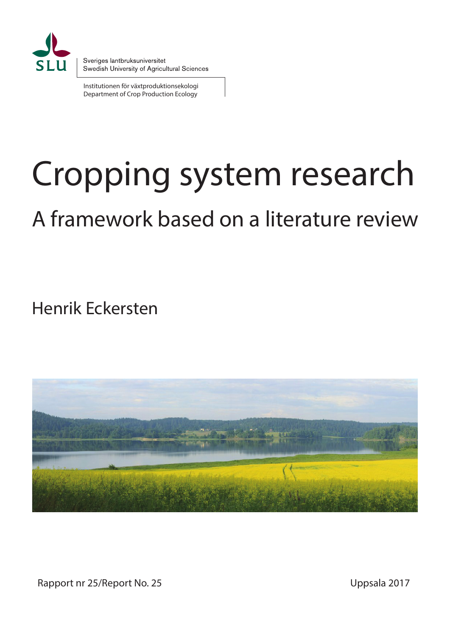

Institutionen för växtproduktionsekologi Department of Crop Production Ecology

# Cropping system research

# A framework based on a literature review

Henrik Eckersten



Rapport nr 25/Report No. 25 Uppsala 2017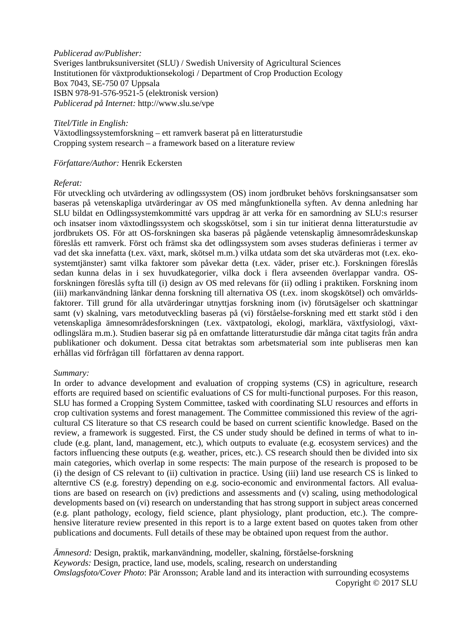# *Publicerad av/Publisher:*

Sveriges lantbruksuniversitet (SLU) / Swedish University of Agricultural Sciences Institutionen för växtproduktionsekologi / Department of Crop Production Ecology Box 7043, SE-750 07 Uppsala ISBN 978-91-576-9521-5 (elektronisk version) *Publicerad på Internet:* http://www.slu.se/vpe

# *Titel/Title in English:*

Växtodlingssystemforskning – ett ramverk baserat på en litteraturstudie Cropping system research – a framework based on a literature review

# *Författare/Author:* Henrik Eckersten

# *Referat:*

För utveckling och utvärdering av odlingssystem (OS) inom jordbruket behövs forskningsansatser som baseras på vetenskapliga utvärderingar av OS med mångfunktionella syften. Av denna anledning har SLU bildat en Odlingssystemkommitté vars uppdrag är att verka för en samordning av SLU:s resurser och insatser inom växtodlingssystem och skogsskötsel, som i sin tur initierat denna litteraturstudie av jordbrukets OS. För att OS-forskningen ska baseras på pågående vetenskaplig ämnesområdeskunskap föreslås ett ramverk. Först och främst ska det odlingssystem som avses studeras definieras i termer av vad det ska innefatta (t.ex. växt, mark, skötsel m.m.) vilka utdata som det ska utvärderas mot (t.ex. ekosystemtjänster) samt vilka faktorer som påvekar detta (t.ex. väder, priser etc.). Forskningen föreslås sedan kunna delas in i sex huvudkategorier, vilka dock i flera avseenden överlappar vandra. OSforskningen föreslås syfta till (i) design av OS med relevans för (ii) odling i praktiken. Forskning inom (iii) markanvändning länkar denna forskning till alternativa OS (t.ex. inom skogskötsel) och omvärldsfaktorer. Till grund för alla utvärderingar utnyttjas forskning inom (iv) förutsägelser och skattningar samt (v) skalning, vars metodutveckling baseras på (vi) förståelse-forskning med ett starkt stöd i den vetenskapliga ämnesområdesforskningen (t.ex. växtpatologi, ekologi, marklära, växtfysiologi, växtodlingslära m.m.). Studien baserar sig på en omfattande litteraturstudie där många citat tagits från andra publikationer och dokument. Dessa citat betraktas som arbetsmaterial som inte publiseras men kan erhållas vid förfrågan till författaren av denna rapport.

# *Summary:*

In order to advance development and evaluation of cropping systems (CS) in agriculture, research efforts are required based on scientific evaluations of CS for multi-functional purposes. For this reason, SLU has formed a Cropping System Committee, tasked with coordinating SLU resources and efforts in crop cultivation systems and forest management. The Committee commissioned this review of the agricultural CS literature so that CS research could be based on current scientific knowledge. Based on the review, a framework is suggested. First, the CS under study should be defined in terms of what to include (e.g. plant, land, management, etc.), which outputs to evaluate (e.g. ecosystem services) and the factors influencing these outputs (e.g. weather, prices, etc.). CS research should then be divided into six main categories, which overlap in some respects: The main purpose of the research is proposed to be (i) the design of CS relevant to (ii) cultivation in practice. Using (iii) land use research CS is linked to alterntive CS (e.g. forestry) depending on e.g. socio-economic and environmental factors. All evaluations are based on research on (iv) predictions and assessments and (v) scaling, using methodological developments based on (vi) research on understanding that has strong support in subject areas concerned (e.g. plant pathology, ecology, field science, plant physiology, plant production, etc.). The comprehensive literature review presented in this report is to a large extent based on quotes taken from other publications and documents. Full details of these may be obtained upon request from the author.

*Ämnesord:* Design, praktik, markanvändning, modeller, skalning, förståelse-forskning *Keywords:* Design, practice, land use, models, scaling, research on understanding *Omslagsfoto/Cover Photo*: Pär Aronsson; Arable land and its interaction with surrounding ecosystems Copyright © 2017 SLU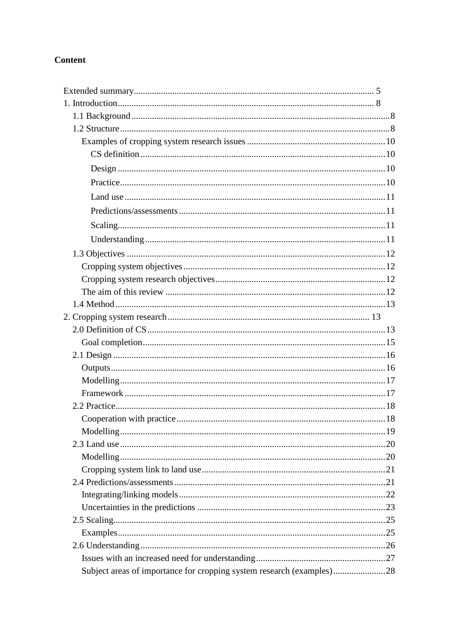# **Content**

| Subject areas of importance for cropping system research (examples)28 |  |
|-----------------------------------------------------------------------|--|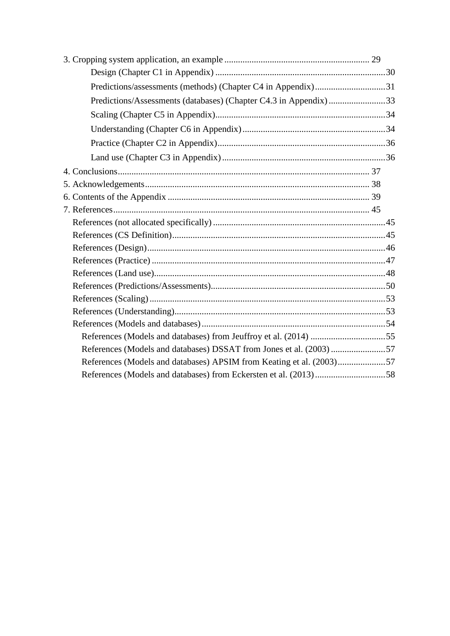| Predictions/assessments (methods) (Chapter C4 in Appendix)31     |  |
|------------------------------------------------------------------|--|
| Predictions/Assessments (databases) (Chapter C4.3 in Appendix)33 |  |
|                                                                  |  |
|                                                                  |  |
|                                                                  |  |
|                                                                  |  |
|                                                                  |  |
|                                                                  |  |
|                                                                  |  |
|                                                                  |  |
|                                                                  |  |
|                                                                  |  |
|                                                                  |  |
|                                                                  |  |
|                                                                  |  |
|                                                                  |  |
|                                                                  |  |
|                                                                  |  |
|                                                                  |  |
|                                                                  |  |
|                                                                  |  |
|                                                                  |  |
|                                                                  |  |
|                                                                  |  |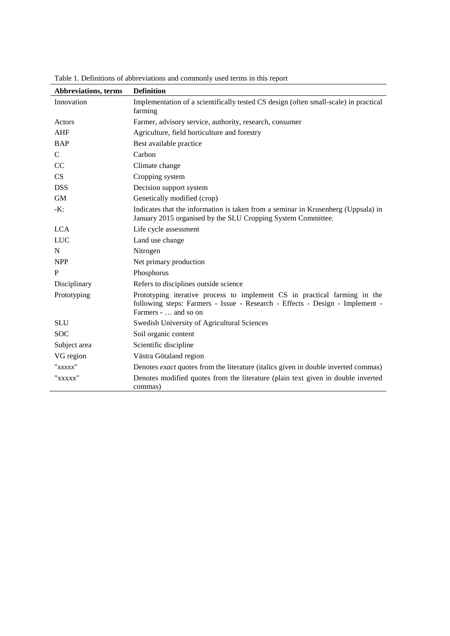| <b>Abbreviations, terms</b> | <b>Definition</b>                                                                                                                                                                 |  |  |
|-----------------------------|-----------------------------------------------------------------------------------------------------------------------------------------------------------------------------------|--|--|
| Innovation                  | Implementation of a scientifically tested CS design (often small-scale) in practical<br>farming                                                                                   |  |  |
| Actors                      | Farmer, advisory service, authority, research, consumer                                                                                                                           |  |  |
| <b>AHF</b>                  | Agriculture, field horticulture and forestry                                                                                                                                      |  |  |
| <b>BAP</b>                  | Best available practice                                                                                                                                                           |  |  |
| $\mathcal{C}$               | Carbon                                                                                                                                                                            |  |  |
| <sub>CC</sub>               | Climate change                                                                                                                                                                    |  |  |
| CS                          | Cropping system                                                                                                                                                                   |  |  |
| <b>DSS</b>                  | Decision support system                                                                                                                                                           |  |  |
| <b>GM</b>                   | Genetically modified (crop)                                                                                                                                                       |  |  |
| $-K$ :                      | Indicates that the information is taken from a seminar in Krusenberg (Uppsala) in<br>January 2015 organised by the SLU Cropping System Committee.                                 |  |  |
| <b>LCA</b>                  | Life cycle assessment                                                                                                                                                             |  |  |
| <b>LUC</b>                  | Land use change                                                                                                                                                                   |  |  |
| $\mathbf N$                 | Nitrogen                                                                                                                                                                          |  |  |
| <b>NPP</b>                  | Net primary production                                                                                                                                                            |  |  |
| P                           | Phosphorus                                                                                                                                                                        |  |  |
| Disciplinary                | Refers to disciplines outside science                                                                                                                                             |  |  |
| Prototyping                 | Prototyping iterative process to implement CS in practical farming in the<br>following steps: Farmers - Issue - Research - Effects - Design - Implement -<br>Farmers -  and so on |  |  |
| <b>SLU</b>                  | Swedish University of Agricultural Sciences                                                                                                                                       |  |  |
| <b>SOC</b>                  | Soil organic content                                                                                                                                                              |  |  |
| Subject area                | Scientific discipline                                                                                                                                                             |  |  |
| VG region                   | Västra Götaland region                                                                                                                                                            |  |  |
| "xxxxx"                     | Denotes exact quotes from the literature (italics given in double inverted commas)                                                                                                |  |  |
| "xxxxx"                     | Denotes modified quotes from the literature (plain text given in double inverted<br>commas)                                                                                       |  |  |

Table 1. Definitions of abbreviations and commonly used terms in this report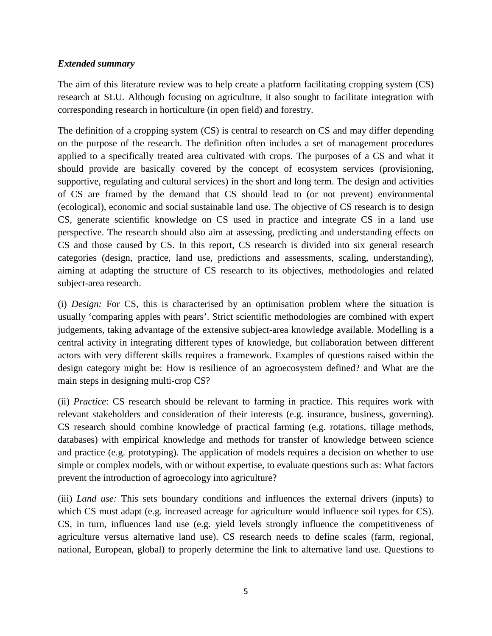# *Extended summary*

<span id="page-6-0"></span>The aim of this literature review was to help create a platform facilitating cropping system (CS) research at SLU. Although focusing on agriculture, it also sought to facilitate integration with corresponding research in horticulture (in open field) and forestry.

The definition of a cropping system (CS) is central to research on CS and may differ depending on the purpose of the research. The definition often includes a set of management procedures applied to a specifically treated area cultivated with crops. The purposes of a CS and what it should provide are basically covered by the concept of ecosystem services (provisioning, supportive, regulating and cultural services) in the short and long term. The design and activities of CS are framed by the demand that CS should lead to (or not prevent) environmental (ecological), economic and social sustainable land use. The objective of CS research is to design CS, generate scientific knowledge on CS used in practice and integrate CS in a land use perspective. The research should also aim at assessing, predicting and understanding effects on CS and those caused by CS. In this report, CS research is divided into six general research categories (design, practice, land use, predictions and assessments, scaling, understanding), aiming at adapting the structure of CS research to its objectives, methodologies and related subject-area research.

(i) *Design:* For CS, this is characterised by an optimisation problem where the situation is usually 'comparing apples with pears'. Strict scientific methodologies are combined with expert judgements, taking advantage of the extensive subject-area knowledge available. Modelling is a central activity in integrating different types of knowledge, but collaboration between different actors with very different skills requires a framework. Examples of questions raised within the design category might be: How is resilience of an agroecosystem defined? and What are the main steps in designing multi-crop CS?

(ii) *Practice*: CS research should be relevant to farming in practice. This requires work with relevant stakeholders and consideration of their interests (e.g. insurance, business, governing). CS research should combine knowledge of practical farming (e.g. rotations, tillage methods, databases) with empirical knowledge and methods for transfer of knowledge between science and practice (e.g. prototyping). The application of models requires a decision on whether to use simple or complex models, with or without expertise, to evaluate questions such as: What factors prevent the introduction of agroecology into agriculture?

(iii) *Land use:* This sets boundary conditions and influences the external drivers (inputs) to which CS must adapt (e.g. increased acreage for agriculture would influence soil types for CS). CS, in turn, influences land use (e.g. yield levels strongly influence the competitiveness of agriculture versus alternative land use). CS research needs to define scales (farm, regional, national, European, global) to properly determine the link to alternative land use. Questions to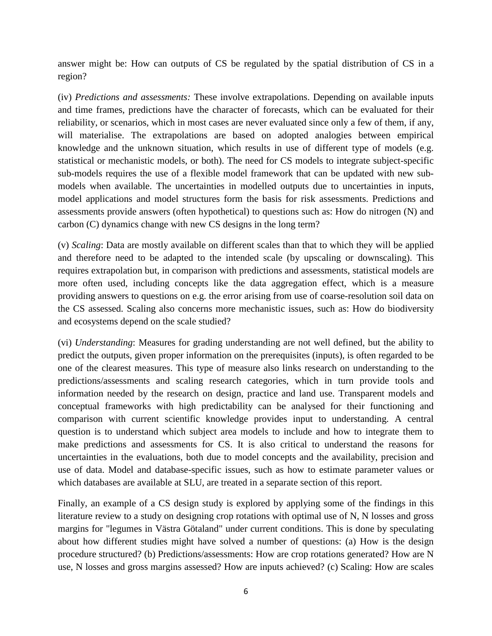answer might be: How can outputs of CS be regulated by the spatial distribution of CS in a region?

(iv) *Predictions and assessments:* These involve extrapolations. Depending on available inputs and time frames, predictions have the character of forecasts, which can be evaluated for their reliability, or scenarios, which in most cases are never evaluated since only a few of them, if any, will materialise. The extrapolations are based on adopted analogies between empirical knowledge and the unknown situation, which results in use of different type of models (e.g. statistical or mechanistic models, or both). The need for CS models to integrate subject-specific sub-models requires the use of a flexible model framework that can be updated with new submodels when available. The uncertainties in modelled outputs due to uncertainties in inputs, model applications and model structures form the basis for risk assessments. Predictions and assessments provide answers (often hypothetical) to questions such as: How do nitrogen (N) and carbon (C) dynamics change with new CS designs in the long term?

(v) *Scaling*: Data are mostly available on different scales than that to which they will be applied and therefore need to be adapted to the intended scale (by upscaling or downscaling). This requires extrapolation but, in comparison with predictions and assessments, statistical models are more often used, including concepts like the data aggregation effect, which is a measure providing answers to questions on e.g. the error arising from use of coarse-resolution soil data on the CS assessed. Scaling also concerns more mechanistic issues, such as: How do biodiversity and ecosystems depend on the scale studied?

(vi) *Understanding*: Measures for grading understanding are not well defined, but the ability to predict the outputs, given proper information on the prerequisites (inputs), is often regarded to be one of the clearest measures. This type of measure also links research on understanding to the predictions/assessments and scaling research categories, which in turn provide tools and information needed by the research on design, practice and land use. Transparent models and conceptual frameworks with high predictability can be analysed for their functioning and comparison with current scientific knowledge provides input to understanding. A central question is to understand which subject area models to include and how to integrate them to make predictions and assessments for CS. It is also critical to understand the reasons for uncertainties in the evaluations, both due to model concepts and the availability, precision and use of data. Model and database-specific issues, such as how to estimate parameter values or which databases are available at SLU, are treated in a separate section of this report.

Finally, an example of a CS design study is explored by applying some of the findings in this literature review to a study on designing crop rotations with optimal use of N, N losses and gross margins for "legumes in Västra Götaland" under current conditions. This is done by speculating about how different studies might have solved a number of questions: (a) How is the design procedure structured? (b) Predictions/assessments: How are crop rotations generated? How are N use, N losses and gross margins assessed? How are inputs achieved? (c) Scaling: How are scales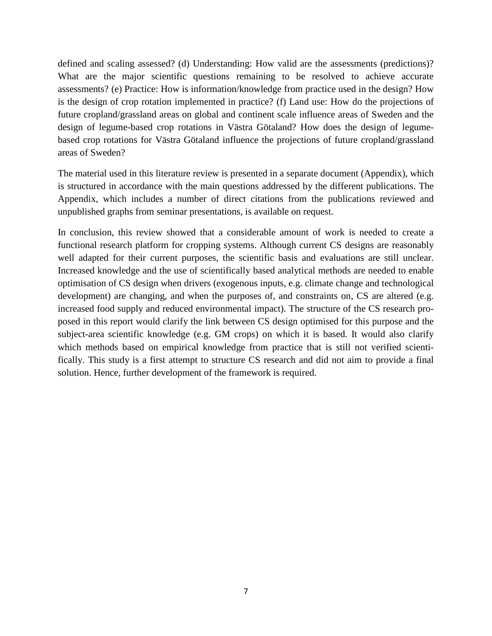defined and scaling assessed? (d) Understanding: How valid are the assessments (predictions)? What are the major scientific questions remaining to be resolved to achieve accurate assessments? (e) Practice: How is information/knowledge from practice used in the design? How is the design of crop rotation implemented in practice? (f) Land use: How do the projections of future cropland/grassland areas on global and continent scale influence areas of Sweden and the design of legume-based crop rotations in Västra Götaland? How does the design of legumebased crop rotations for Västra Götaland influence the projections of future cropland/grassland areas of Sweden?

The material used in this literature review is presented in a separate document (Appendix), which is structured in accordance with the main questions addressed by the different publications. The Appendix, which includes a number of direct citations from the publications reviewed and unpublished graphs from seminar presentations, is available on request.

In conclusion, this review showed that a considerable amount of work is needed to create a functional research platform for cropping systems. Although current CS designs are reasonably well adapted for their current purposes, the scientific basis and evaluations are still unclear. Increased knowledge and the use of scientifically based analytical methods are needed to enable optimisation of CS design when drivers (exogenous inputs, e.g. climate change and technological development) are changing, and when the purposes of, and constraints on, CS are altered (e.g. increased food supply and reduced environmental impact). The structure of the CS research proposed in this report would clarify the link between CS design optimised for this purpose and the subject-area scientific knowledge (e.g. GM crops) on which it is based. It would also clarify which methods based on empirical knowledge from practice that is still not verified scientifically. This study is a first attempt to structure CS research and did not aim to provide a final solution. Hence, further development of the framework is required.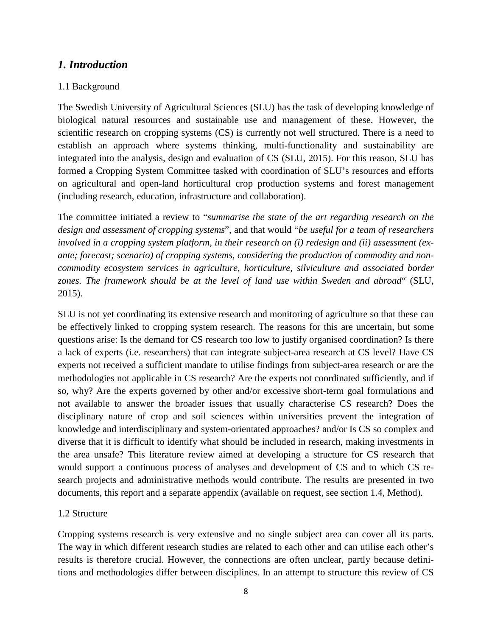# *1. Introduction*

# 1.1 Background

<span id="page-9-1"></span><span id="page-9-0"></span>The Swedish University of Agricultural Sciences (SLU) has the task of developing knowledge of biological natural resources and sustainable use and management of these. However, the scientific research on cropping systems (CS) is currently not well structured. There is a need to establish an approach where systems thinking, multi-functionality and sustainability are integrated into the analysis, design and evaluation of CS (SLU, 2015). For this reason, SLU has formed a Cropping System Committee tasked with coordination of SLU's resources and efforts on agricultural and open-land horticultural crop production systems and forest management (including research, education, infrastructure and collaboration).

The committee initiated a review to "*summarise the state of the art regarding research on the design and assessment of cropping systems*", and that would "*be useful for a team of researchers involved in a cropping system platform, in their research on (i) redesign and (ii) assessment (exante; forecast; scenario) of cropping systems, considering the production of commodity and noncommodity ecosystem services in agriculture, horticulture, silviculture and associated border zones. The framework should be at the level of land use within Sweden and abroad*" (SLU, 2015).

SLU is not yet coordinating its extensive research and monitoring of agriculture so that these can be effectively linked to cropping system research. The reasons for this are uncertain, but some questions arise: Is the demand for CS research too low to justify organised coordination? Is there a lack of experts (i.e. researchers) that can integrate subject-area research at CS level? Have CS experts not received a sufficient mandate to utilise findings from subject-area research or are the methodologies not applicable in CS research? Are the experts not coordinated sufficiently, and if so, why? Are the experts governed by other and/or excessive short-term goal formulations and not available to answer the broader issues that usually characterise CS research? Does the disciplinary nature of crop and soil sciences within universities prevent the integration of knowledge and interdisciplinary and system-orientated approaches? and/or Is CS so complex and diverse that it is difficult to identify what should be included in research, making investments in the area unsafe? This literature review aimed at developing a structure for CS research that would support a continuous process of analyses and development of CS and to which CS research projects and administrative methods would contribute. The results are presented in two documents, this report and a separate appendix (available on request, see section 1.4, Method).

# 1.2 Structure

<span id="page-9-2"></span>Cropping systems research is very extensive and no single subject area can cover all its parts. The way in which different research studies are related to each other and can utilise each other's results is therefore crucial. However, the connections are often unclear, partly because definitions and methodologies differ between disciplines. In an attempt to structure this review of CS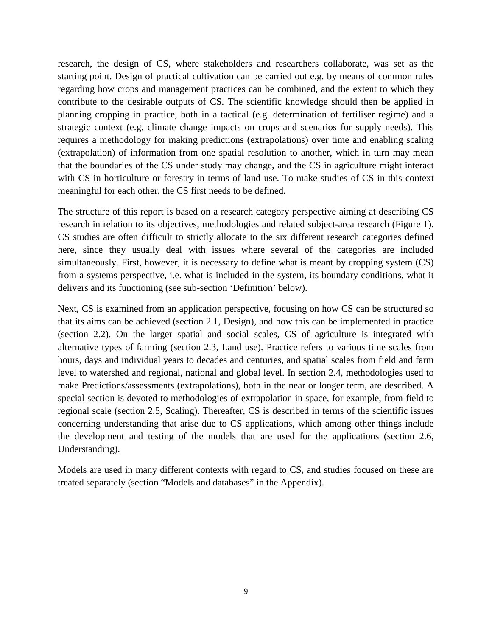research, the design of CS, where stakeholders and researchers collaborate, was set as the starting point. Design of practical cultivation can be carried out e.g. by means of common rules regarding how crops and management practices can be combined, and the extent to which they contribute to the desirable outputs of CS. The scientific knowledge should then be applied in planning cropping in practice, both in a tactical (e.g. determination of fertiliser regime) and a strategic context (e.g. climate change impacts on crops and scenarios for supply needs). This requires a methodology for making predictions (extrapolations) over time and enabling scaling (extrapolation) of information from one spatial resolution to another, which in turn may mean that the boundaries of the CS under study may change, and the CS in agriculture might interact with CS in horticulture or forestry in terms of land use. To make studies of CS in this context meaningful for each other, the CS first needs to be defined.

The structure of this report is based on a research category perspective aiming at describing CS research in relation to its objectives, methodologies and related subject-area research (Figure 1). CS studies are often difficult to strictly allocate to the six different research categories defined here, since they usually deal with issues where several of the categories are included simultaneously. First, however, it is necessary to define what is meant by cropping system (CS) from a systems perspective, i.e. what is included in the system, its boundary conditions, what it delivers and its functioning (see sub-section 'Definition' below).

Next, CS is examined from an application perspective, focusing on how CS can be structured so that its aims can be achieved (section 2.1, Design), and how this can be implemented in practice (section 2.2). On the larger spatial and social scales, CS of agriculture is integrated with alternative types of farming (section 2.3, Land use). Practice refers to various time scales from hours, days and individual years to decades and centuries, and spatial scales from field and farm level to watershed and regional, national and global level. In section 2.4, methodologies used to make Predictions/assessments (extrapolations), both in the near or longer term, are described. A special section is devoted to methodologies of extrapolation in space, for example, from field to regional scale (section 2.5, Scaling). Thereafter, CS is described in terms of the scientific issues concerning understanding that arise due to CS applications, which among other things include the development and testing of the models that are used for the applications (section 2.6, Understanding).

Models are used in many different contexts with regard to CS, and studies focused on these are treated separately (section "Models and databases" in the Appendix).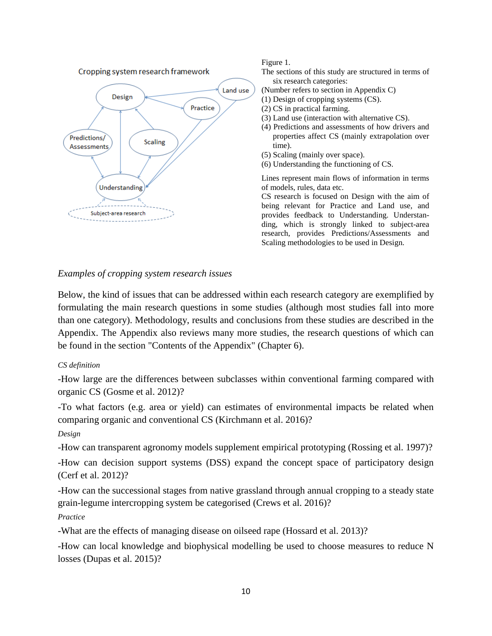

#### Figure 1.

- The sections of this study are structured in terms of six research categories:
- (Number refers to section in Appendix C)
- (1) Design of cropping systems (CS).
- (2) CS in practical farming.
- (3) Land use (interaction with alternative CS).
- (4) Predictions and assessments of how drivers and properties affect CS (mainly extrapolation over time).
- (5) Scaling (mainly over space).
- (6) Understanding the functioning of CS.

Lines represent main flows of information in terms of models, rules, data etc.

CS research is focused on Design with the aim of being relevant for Practice and Land use, and provides feedback to Understanding. Understanding, which is strongly linked to subject-area research, provides Predictions/Assessments and Scaling methodologies to be used in Design.

# *Examples of cropping system research issues*

<span id="page-11-0"></span>Below, the kind of issues that can be addressed within each research category are exemplified by formulating the main research questions in some studies (although most studies fall into more than one category). Methodology, results and conclusions from these studies are described in the Appendix. The Appendix also reviews many more studies, the research questions of which can be found in the section "Contents of the Appendix" (Chapter 6).

# *CS definition*

-How large are the differences between subclasses within conventional farming compared with organic CS (Gosme et al. 2012)?

<span id="page-11-1"></span>-To what factors (e.g. area or yield) can estimates of environmental impacts be related when comparing organic and conventional CS (Kirchmann et al. 2016)?

# *Design*

-How can transparent agronomy models supplement empirical prototyping (Rossing et al. 1997)? -How can decision support systems (DSS) expand the concept space of participatory design (Cerf et al. 2012)?

<span id="page-11-2"></span>-How can the successional stages from native grassland through annual cropping to a steady state grain-legume intercropping system be categorised (Crews et al. 2016)?

# *Practice*

-What are the effects of managing disease on oilseed rape (Hossard et al. 2013)?

<span id="page-11-3"></span>-How can local knowledge and biophysical modelling be used to choose measures to reduce N losses (Dupas et al. 2015)?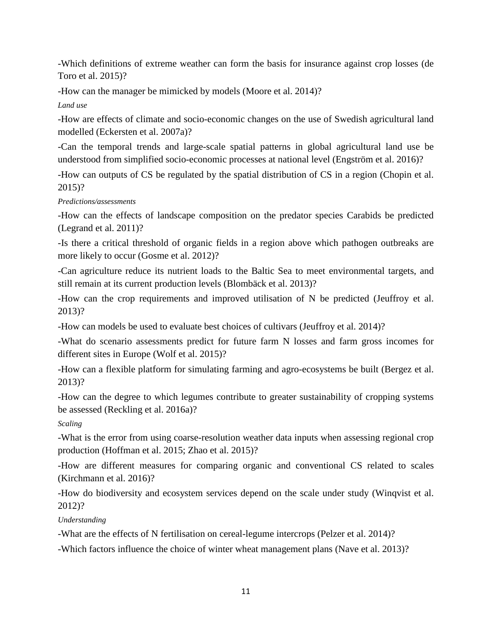-Which definitions of extreme weather can form the basis for insurance against crop losses (de Toro et al. 2015)?

-How can the manager be mimicked by models (Moore et al. 2014)?

*Land use*

-How are effects of climate and socio-economic changes on the use of Swedish agricultural land modelled (Eckersten et al. 2007a)?

<span id="page-12-0"></span>-Can the temporal trends and large-scale spatial patterns in global agricultural land use be understood from simplified socio-economic processes at national level (Engström et al. 2016)?

-How can outputs of CS be regulated by the spatial distribution of CS in a region (Chopin et al. 2015)?

# *Predictions/assessments*

-How can the effects of landscape composition on the predator species Carabids be predicted (Legrand et al. 2011)?

<span id="page-12-1"></span>-Is there a critical threshold of organic fields in a region above which pathogen outbreaks are more likely to occur (Gosme et al. 2012)?

-Can agriculture reduce its nutrient loads to the Baltic Sea to meet environmental targets, and still remain at its current production levels (Blombäck et al. 2013)?

-How can the crop requirements and improved utilisation of N be predicted (Jeuffroy et al. 2013)?

-How can models be used to evaluate best choices of cultivars (Jeuffroy et al. 2014)?

-What do scenario assessments predict for future farm N losses and farm gross incomes for different sites in Europe (Wolf et al. 2015)?

-How can a flexible platform for simulating farming and agro-ecosystems be built (Bergez et al. 2013)?

-How can the degree to which legumes contribute to greater sustainability of cropping systems be assessed (Reckling et al. 2016a)?

*Scaling*

-What is the error from using coarse-resolution weather data inputs when assessing regional crop production (Hoffman et al. 2015; Zhao et al. 2015)?

<span id="page-12-2"></span>-How are different measures for comparing organic and conventional CS related to scales (Kirchmann et al. 2016)?

-How do biodiversity and ecosystem services depend on the scale under study (Winqvist et al. 2012)?

# *Understanding*

-What are the effects of N fertilisation on cereal-legume intercrops (Pelzer et al. 2014)?

<span id="page-12-3"></span>-Which factors influence the choice of winter wheat management plans (Nave et al. 2013)?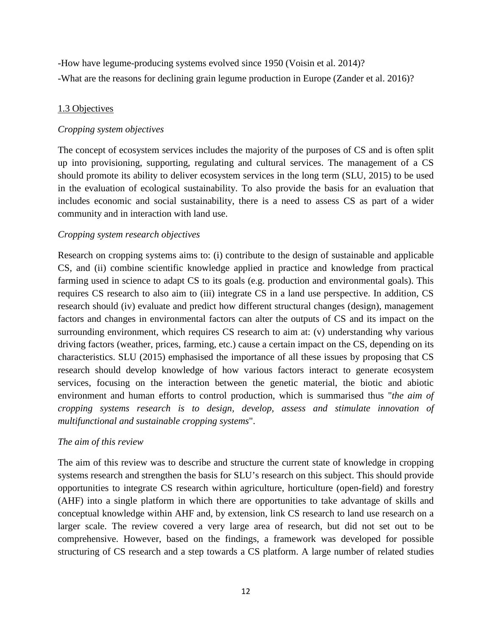-How have legume-producing systems evolved since 1950 (Voisin et al. 2014)? -What are the reasons for declining grain legume production in Europe (Zander et al. 2016)?

# 1.3 Objectives

# *Cropping system objectives*

<span id="page-13-1"></span><span id="page-13-0"></span>The concept of ecosystem services includes the majority of the purposes of CS and is often split up into provisioning, supporting, regulating and cultural services. The management of a CS should promote its ability to deliver ecosystem services in the long term (SLU, 2015) to be used in the evaluation of ecological sustainability. To also provide the basis for an evaluation that includes economic and social sustainability, there is a need to assess CS as part of a wider community and in interaction with land use.

# *Cropping system research objectives*

<span id="page-13-2"></span>Research on cropping systems aims to: (i) contribute to the design of sustainable and applicable CS, and (ii) combine scientific knowledge applied in practice and knowledge from practical farming used in science to adapt CS to its goals (e.g. production and environmental goals). This requires CS research to also aim to (iii) integrate CS in a land use perspective. In addition, CS research should (iv) evaluate and predict how different structural changes (design), management factors and changes in environmental factors can alter the outputs of CS and its impact on the surrounding environment, which requires CS research to aim at: (v) understanding why various driving factors (weather, prices, farming, etc.) cause a certain impact on the CS, depending on its characteristics. SLU (2015) emphasised the importance of all these issues by proposing that CS research should develop knowledge of how various factors interact to generate ecosystem services, focusing on the interaction between the genetic material, the biotic and abiotic environment and human efforts to control production, which is summarised thus "*the aim of cropping systems research is to design, develop, assess and stimulate innovation of multifunctional and sustainable cropping systems*".

# *The aim of this review*

<span id="page-13-3"></span>The aim of this review was to describe and structure the current state of knowledge in cropping systems research and strengthen the basis for SLU's research on this subject. This should provide opportunities to integrate CS research within agriculture, horticulture (open-field) and forestry (AHF) into a single platform in which there are opportunities to take advantage of skills and conceptual knowledge within AHF and, by extension, link CS research to land use research on a larger scale. The review covered a very large area of research, but did not set out to be comprehensive. However, based on the findings, a framework was developed for possible structuring of CS research and a step towards a CS platform. A large number of related studies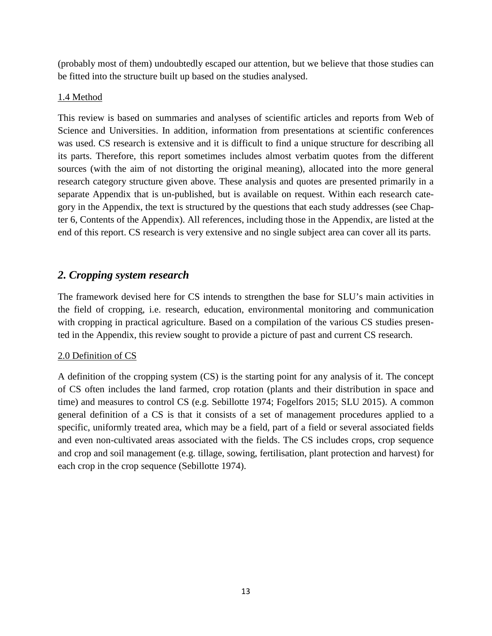(probably most of them) undoubtedly escaped our attention, but we believe that those studies can be fitted into the structure built up based on the studies analysed.

# 1.4 Method

<span id="page-14-0"></span>This review is based on summaries and analyses of scientific articles and reports from Web of Science and Universities. In addition, information from presentations at scientific conferences was used. CS research is extensive and it is difficult to find a unique structure for describing all its parts. Therefore, this report sometimes includes almost verbatim quotes from the different sources (with the aim of not distorting the original meaning), allocated into the more general research category structure given above. These analysis and quotes are presented primarily in a separate Appendix that is un-published, but is available on request. Within each research category in the Appendix, the text is structured by the questions that each study addresses (see Chapter 6, Contents of the Appendix). All references, including those in the Appendix, are listed at the end of this report. CS research is very extensive and no single subject area can cover all its parts.

# *2. Cropping system research*

<span id="page-14-1"></span>The framework devised here for CS intends to strengthen the base for SLU's main activities in the field of cropping, i.e. research, education, environmental monitoring and communication with cropping in practical agriculture. Based on a compilation of the various CS studies presented in the Appendix, this review sought to provide a picture of past and current CS research.

# 2.0 Definition of CS

<span id="page-14-2"></span>A definition of the cropping system (CS) is the starting point for any analysis of it. The concept of CS often includes the land farmed, crop rotation (plants and their distribution in space and time) and measures to control CS (e.g. Sebillotte 1974; Fogelfors 2015; SLU 2015). A common general definition of a CS is that it consists of a set of management procedures applied to a specific, uniformly treated area, which may be a field, part of a field or several associated fields and even non-cultivated areas associated with the fields. The CS includes crops, crop sequence and crop and soil management (e.g. tillage, sowing, fertilisation, plant protection and harvest) for each crop in the crop sequence (Sebillotte 1974).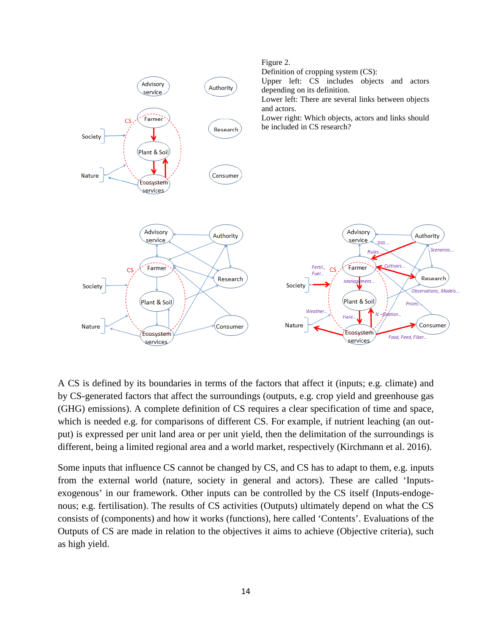

A CS is defined by its boundaries in terms of the factors that affect it (inputs; e.g. climate) and by CS-generated factors that affect the surroundings (outputs, e.g. crop yield and greenhouse gas (GHG) emissions). A complete definition of CS requires a clear specification of time and space, which is needed e.g. for comparisons of different CS. For example, if nutrient leaching (an output) is expressed per unit land area or per unit yield, then the delimitation of the surroundings is different, being a limited regional area and a world market, respectively (Kirchmann et al. 2016).

Some inputs that influence CS cannot be changed by CS, and CS has to adapt to them, e.g. inputs from the external world (nature, society in general and actors). These are called 'Inputsexogenous' in our framework. Other inputs can be controlled by the CS itself (Inputs-endogenous; e.g. fertilisation). The results of CS activities (Outputs) ultimately depend on what the CS consists of (components) and how it works (functions), here called 'Contents'. Evaluations of the Outputs of CS are made in relation to the objectives it aims to achieve (Objective criteria), such as high yield.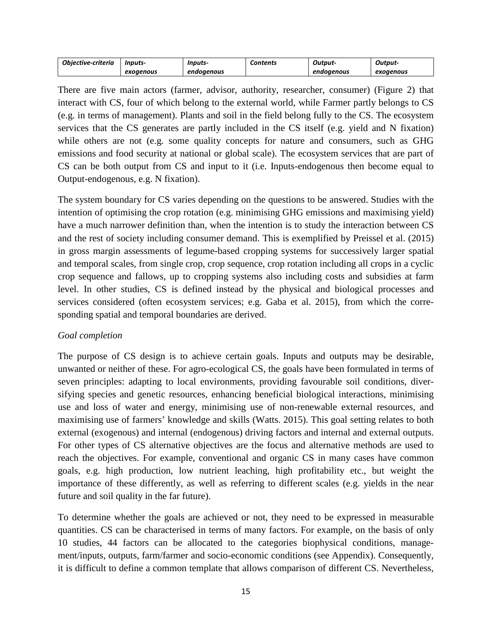| <b>Obiective-criteria</b> | Inputs-   | Inputs-    | Contents | Output     | Output-   |
|---------------------------|-----------|------------|----------|------------|-----------|
|                           | exoaenous | endoaenous |          | endoaenous | exogenous |

There are five main actors (farmer, advisor, authority, researcher, consumer) (Figure 2) that interact with CS, four of which belong to the external world, while Farmer partly belongs to CS (e.g. in terms of management). Plants and soil in the field belong fully to the CS. The ecosystem services that the CS generates are partly included in the CS itself (e.g. yield and N fixation) while others are not (e.g. some quality concepts for nature and consumers, such as GHG emissions and food security at national or global scale). The ecosystem services that are part of CS can be both output from CS and input to it (i.e. Inputs-endogenous then become equal to Output-endogenous, e.g. N fixation).

The system boundary for CS varies depending on the questions to be answered. Studies with the intention of optimising the crop rotation (e.g. minimising GHG emissions and maximising yield) have a much narrower definition than, when the intention is to study the interaction between CS and the rest of society including consumer demand. This is exemplified by Preissel et al. (2015) in gross margin assessments of legume-based cropping systems for successively larger spatial and temporal scales, from single crop, crop sequence, crop rotation including all crops in a cyclic crop sequence and fallows, up to cropping systems also including costs and subsidies at farm level. In other studies, CS is defined instead by the physical and biological processes and services considered (often ecosystem services; e.g. Gaba et al. 2015), from which the corresponding spatial and temporal boundaries are derived.

# *Goal completion*

<span id="page-16-0"></span>The purpose of CS design is to achieve certain goals. Inputs and outputs may be desirable, unwanted or neither of these. For agro-ecological CS, the goals have been formulated in terms of seven principles: adapting to local environments, providing favourable soil conditions, diversifying species and genetic resources, enhancing beneficial biological interactions, minimising use and loss of water and energy, minimising use of non-renewable external resources, and maximising use of farmers' knowledge and skills (Watts. 2015). This goal setting relates to both external (exogenous) and internal (endogenous) driving factors and internal and external outputs. For other types of CS alternative objectives are the focus and alternative methods are used to reach the objectives. For example, conventional and organic CS in many cases have common goals, e.g. high production, low nutrient leaching, high profitability etc., but weight the importance of these differently, as well as referring to different scales (e.g. yields in the near future and soil quality in the far future).

To determine whether the goals are achieved or not, they need to be expressed in measurable quantities. CS can be characterised in terms of many factors. For example, on the basis of only 10 studies, 44 factors can be allocated to the categories biophysical conditions, management/inputs, outputs, farm/farmer and socio-economic conditions (see Appendix). Consequently, it is difficult to define a common template that allows comparison of different CS. Nevertheless,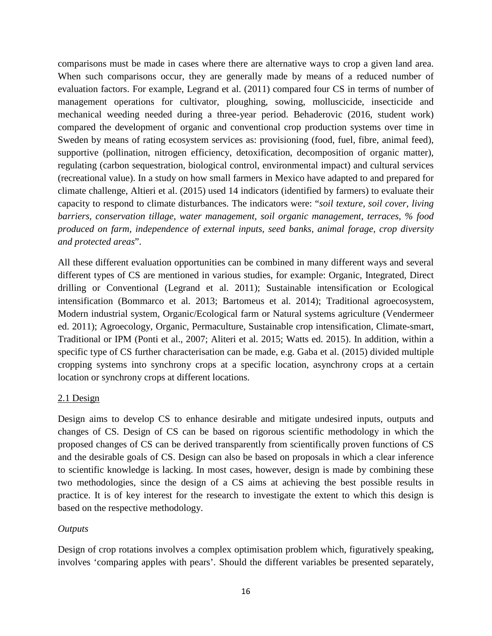comparisons must be made in cases where there are alternative ways to crop a given land area. When such comparisons occur, they are generally made by means of a reduced number of evaluation factors. For example, Legrand et al. (2011) compared four CS in terms of number of management operations for cultivator, ploughing, sowing, molluscicide, insecticide and mechanical weeding needed during a three-year period. Behaderovic (2016, student work) compared the development of organic and conventional crop production systems over time in Sweden by means of rating ecosystem services as: provisioning (food, fuel, fibre, animal feed), supportive (pollination, nitrogen efficiency, detoxification, decomposition of organic matter), regulating (carbon sequestration, biological control, environmental impact) and cultural services (recreational value). In a study on how small farmers in Mexico have adapted to and prepared for climate challenge, Altieri et al. (2015) used 14 indicators (identified by farmers) to evaluate their capacity to respond to climate disturbances. The indicators were: "*soil texture, soil cover, living barriers, conservation tillage, water management, soil organic management, terraces, % food produced on farm, independence of external inputs, seed banks, animal forage, crop diversity and protected areas*".

All these different evaluation opportunities can be combined in many different ways and several different types of CS are mentioned in various studies, for example: Organic, Integrated, Direct drilling or Conventional (Legrand et al. 2011); Sustainable intensification or Ecological intensification (Bommarco et al. 2013; Bartomeus et al. 2014); Traditional agroecosystem, Modern industrial system, Organic/Ecological farm or Natural systems agriculture (Vendermeer ed. 2011); Agroecology, Organic, Permaculture, Sustainable crop intensification, Climate-smart, Traditional or IPM (Ponti et al., 2007; Aliteri et al. 2015; Watts ed. 2015). In addition, within a specific type of CS further characterisation can be made, e.g. Gaba et al. (2015) divided multiple cropping systems into synchrony crops at a specific location, asynchrony crops at a certain location or synchrony crops at different locations.

# 2.1 Design

<span id="page-17-0"></span>Design aims to develop CS to enhance desirable and mitigate undesired inputs, outputs and changes of CS. Design of CS can be based on rigorous scientific methodology in which the proposed changes of CS can be derived transparently from scientifically proven functions of CS and the desirable goals of CS. Design can also be based on proposals in which a clear inference to scientific knowledge is lacking. In most cases, however, design is made by combining these two methodologies, since the design of a CS aims at achieving the best possible results in practice. It is of key interest for the research to investigate the extent to which this design is based on the respective methodology.

# *Outputs*

<span id="page-17-1"></span>Design of crop rotations involves a complex optimisation problem which, figuratively speaking, involves 'comparing apples with pears'. Should the different variables be presented separately,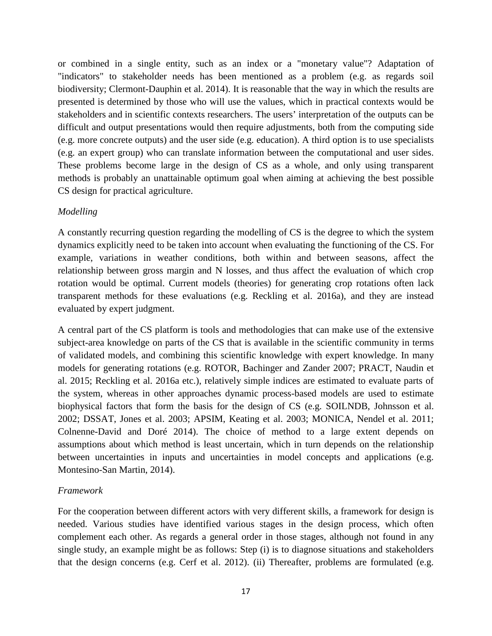or combined in a single entity, such as an index or a "monetary value"? Adaptation of "indicators" to stakeholder needs has been mentioned as a problem (e.g. as regards soil biodiversity; Clermont-Dauphin et al. 2014). It is reasonable that the way in which the results are presented is determined by those who will use the values, which in practical contexts would be stakeholders and in scientific contexts researchers. The users' interpretation of the outputs can be difficult and output presentations would then require adjustments, both from the computing side (e.g. more concrete outputs) and the user side (e.g. education). A third option is to use specialists (e.g. an expert group) who can translate information between the computational and user sides. These problems become large in the design of CS as a whole, and only using transparent methods is probably an unattainable optimum goal when aiming at achieving the best possible CS design for practical agriculture.

# *Modelling*

<span id="page-18-0"></span>A constantly recurring question regarding the modelling of CS is the degree to which the system dynamics explicitly need to be taken into account when evaluating the functioning of the CS. For example, variations in weather conditions, both within and between seasons, affect the relationship between gross margin and N losses, and thus affect the evaluation of which crop rotation would be optimal. Current models (theories) for generating crop rotations often lack transparent methods for these evaluations (e.g. Reckling et al. 2016a), and they are instead evaluated by expert judgment.

A central part of the CS platform is tools and methodologies that can make use of the extensive subject-area knowledge on parts of the CS that is available in the scientific community in terms of validated models, and combining this scientific knowledge with expert knowledge. In many models for generating rotations (e.g. ROTOR, Bachinger and Zander 2007; PRACT, Naudin et al. 2015; Reckling et al. 2016a etc.), relatively simple indices are estimated to evaluate parts of the system, whereas in other approaches dynamic process-based models are used to estimate biophysical factors that form the basis for the design of CS (e.g. SOILNDB, Johnsson et al. 2002; DSSAT, Jones et al. 2003; APSIM, Keating et al. 2003; MONICA, Nendel et al. 2011; Colnenne-David and Doré 2014). The choice of method to a large extent depends on assumptions about which method is least uncertain, which in turn depends on the relationship between uncertainties in inputs and uncertainties in model concepts and applications (e.g. Montesino-San Martin, 2014).

# *Framework*

<span id="page-18-1"></span>For the cooperation between different actors with very different skills, a framework for design is needed. Various studies have identified various stages in the design process, which often complement each other. As regards a general order in those stages, although not found in any single study, an example might be as follows: Step (i) is to diagnose situations and stakeholders that the design concerns (e.g. Cerf et al. 2012). (ii) Thereafter, problems are formulated (e.g.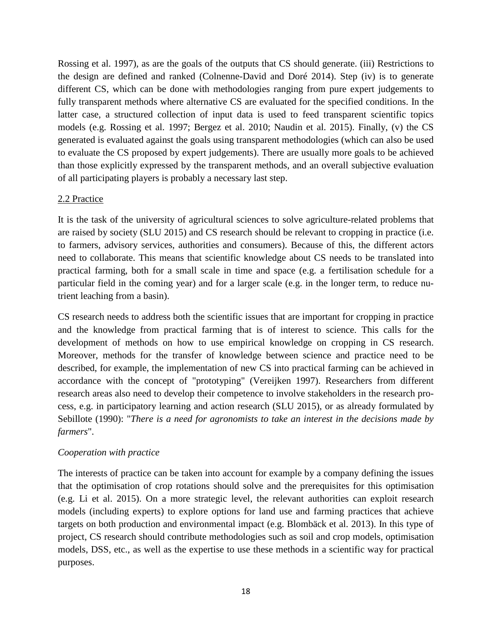Rossing et al. 1997), as are the goals of the outputs that CS should generate. (iii) Restrictions to the design are defined and ranked (Colnenne-David and Doré 2014). Step (iv) is to generate different CS, which can be done with methodologies ranging from pure expert judgements to fully transparent methods where alternative CS are evaluated for the specified conditions. In the latter case, a structured collection of input data is used to feed transparent scientific topics models (e.g. Rossing et al. 1997; Bergez et al. 2010; Naudin et al. 2015). Finally, (v) the CS generated is evaluated against the goals using transparent methodologies (which can also be used to evaluate the CS proposed by expert judgements). There are usually more goals to be achieved than those explicitly expressed by the transparent methods, and an overall subjective evaluation of all participating players is probably a necessary last step.

# 2.2 Practice

<span id="page-19-0"></span>It is the task of the university of agricultural sciences to solve agriculture-related problems that are raised by society (SLU 2015) and CS research should be relevant to cropping in practice (i.e. to farmers, advisory services, authorities and consumers). Because of this, the different actors need to collaborate. This means that scientific knowledge about CS needs to be translated into practical farming, both for a small scale in time and space (e.g. a fertilisation schedule for a particular field in the coming year) and for a larger scale (e.g. in the longer term, to reduce nutrient leaching from a basin).

CS research needs to address both the scientific issues that are important for cropping in practice and the knowledge from practical farming that is of interest to science. This calls for the development of methods on how to use empirical knowledge on cropping in CS research. Moreover, methods for the transfer of knowledge between science and practice need to be described, for example, the implementation of new CS into practical farming can be achieved in accordance with the concept of "prototyping" (Vereijken 1997). Researchers from different research areas also need to develop their competence to involve stakeholders in the research process, e.g. in participatory learning and action research (SLU 2015), or as already formulated by Sebillote (1990): "*There is a need for agronomists to take an interest in the decisions made by farmers*".

# *Cooperation with practice*

<span id="page-19-1"></span>The interests of practice can be taken into account for example by a company defining the issues that the optimisation of crop rotations should solve and the prerequisites for this optimisation (e.g. Li et al. 2015). On a more strategic level, the relevant authorities can exploit research models (including experts) to explore options for land use and farming practices that achieve targets on both production and environmental impact (e.g. Blombäck et al. 2013). In this type of project, CS research should contribute methodologies such as soil and crop models, optimisation models, DSS, etc., as well as the expertise to use these methods in a scientific way for practical purposes.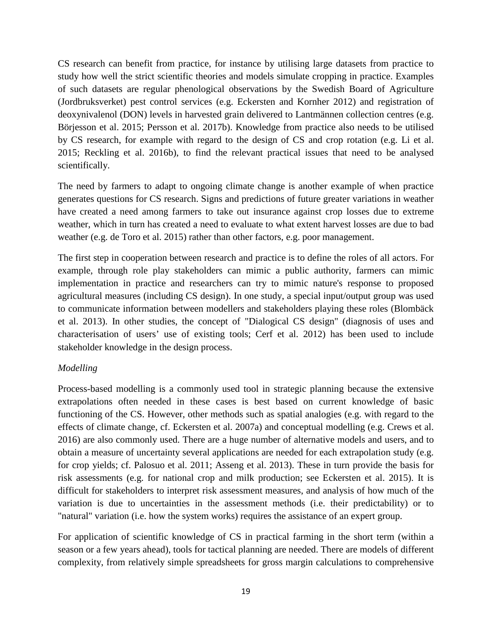CS research can benefit from practice, for instance by utilising large datasets from practice to study how well the strict scientific theories and models simulate cropping in practice. Examples of such datasets are regular phenological observations by the Swedish Board of Agriculture (Jordbruksverket) pest control services (e.g. Eckersten and Kornher 2012) and registration of deoxynivalenol (DON) levels in harvested grain delivered to Lantmännen collection centres (e.g. Börjesson et al. 2015; Persson et al. 2017b). Knowledge from practice also needs to be utilised by CS research, for example with regard to the design of CS and crop rotation (e.g. Li et al. 2015; Reckling et al. 2016b), to find the relevant practical issues that need to be analysed scientifically.

The need by farmers to adapt to ongoing climate change is another example of when practice generates questions for CS research. Signs and predictions of future greater variations in weather have created a need among farmers to take out insurance against crop losses due to extreme weather, which in turn has created a need to evaluate to what extent harvest losses are due to bad weather (e.g. de Toro et al. 2015) rather than other factors, e.g. poor management.

The first step in cooperation between research and practice is to define the roles of all actors. For example, through role play stakeholders can mimic a public authority, farmers can mimic implementation in practice and researchers can try to mimic nature's response to proposed agricultural measures (including CS design). In one study, a special input/output group was used to communicate information between modellers and stakeholders playing these roles (Blombäck et al. 2013). In other studies, the concept of "Dialogical CS design" (diagnosis of uses and characterisation of users' use of existing tools; Cerf et al. 2012) has been used to include stakeholder knowledge in the design process.

# *Modelling*

<span id="page-20-0"></span>Process-based modelling is a commonly used tool in strategic planning because the extensive extrapolations often needed in these cases is best based on current knowledge of basic functioning of the CS. However, other methods such as spatial analogies (e.g. with regard to the effects of climate change, cf. Eckersten et al. 2007a) and conceptual modelling (e.g. Crews et al. 2016) are also commonly used. There are a huge number of alternative models and users, and to obtain a measure of uncertainty several applications are needed for each extrapolation study (e.g. for crop yields; cf. Palosuo et al. 2011; Asseng et al. 2013). These in turn provide the basis for risk assessments (e.g. for national crop and milk production; see Eckersten et al. 2015). It is difficult for stakeholders to interpret risk assessment measures, and analysis of how much of the variation is due to uncertainties in the assessment methods (i.e. their predictability) or to "natural" variation (i.e. how the system works) requires the assistance of an expert group.

For application of scientific knowledge of CS in practical farming in the short term (within a season or a few years ahead), tools for tactical planning are needed. There are models of different complexity, from relatively simple spreadsheets for gross margin calculations to comprehensive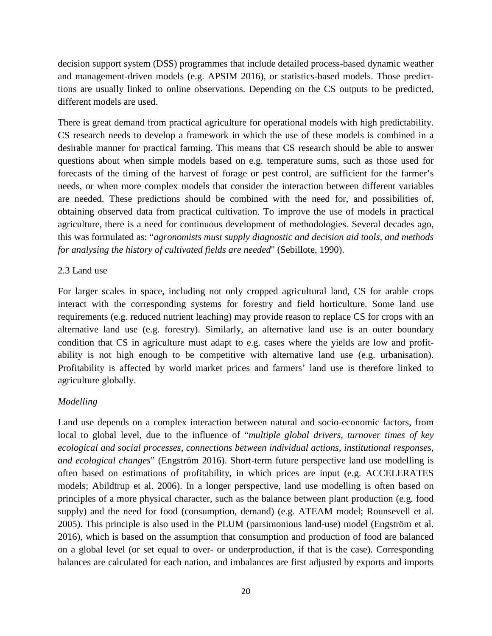decision support system (DSS) programmes that include detailed process-based dynamic weather and management-driven models (e.g. APSIM 2016), or statistics-based models. Those predicttions are usually linked to online observations. Depending on the CS outputs to be predicted, different models are used.

There is great demand from practical agriculture for operational models with high predictability. CS research needs to develop a framework in which the use of these models is combined in a desirable manner for practical farming. This means that CS research should be able to answer questions about when simple models based on e.g. temperature sums, such as those used for forecasts of the timing of the harvest of forage or pest control, are sufficient for the farmer's needs, or when more complex models that consider the interaction between different variables are needed. These predictions should be combined with the need for, and possibilities of, obtaining observed data from practical cultivation. To improve the use of models in practical agriculture, there is a need for continuous development of methodologies. Several decades ago, this was formulated as: "*agronomists must supply diagnostic and decision aid tools, and methods for analysing the history of cultivated fields are needed*" (Sebillote, 1990).

# 2.3 Land use

<span id="page-21-0"></span>For larger scales in space, including not only cropped agricultural land, CS for arable crops interact with the corresponding systems for forestry and field horticulture. Some land use requirements (e.g. reduced nutrient leaching) may provide reason to replace CS for crops with an alternative land use (e.g. forestry). Similarly, an alternative land use is an outer boundary condition that CS in agriculture must adapt to e.g. cases where the yields are low and profitability is not high enough to be competitive with alternative land use (e.g. urbanisation). Profitability is affected by world market prices and farmers' land use is therefore linked to agriculture globally.

# *Modelling*

<span id="page-21-1"></span>Land use depends on a complex interaction between natural and socio-economic factors, from local to global level, due to the influence of "*multiple global drivers, turnover times of key ecological and social processes, connections between individual actions, institutional responses, and ecological changes*" (Engström 2016). Short-term future perspective land use modelling is often based on estimations of profitability, in which prices are input (e.g. ACCELERATES models; Abildtrup et al. 2006). In a longer perspective, land use modelling is often based on principles of a more physical character, such as the balance between plant production (e.g. food supply) and the need for food (consumption, demand) (e.g. ATEAM model; Rounsevell et al. 2005). This principle is also used in the PLUM (parsimonious land-use) model (Engström et al. 2016), which is based on the assumption that consumption and production of food are balanced on a global level (or set equal to over- or underproduction, if that is the case). Corresponding balances are calculated for each nation, and imbalances are first adjusted by exports and imports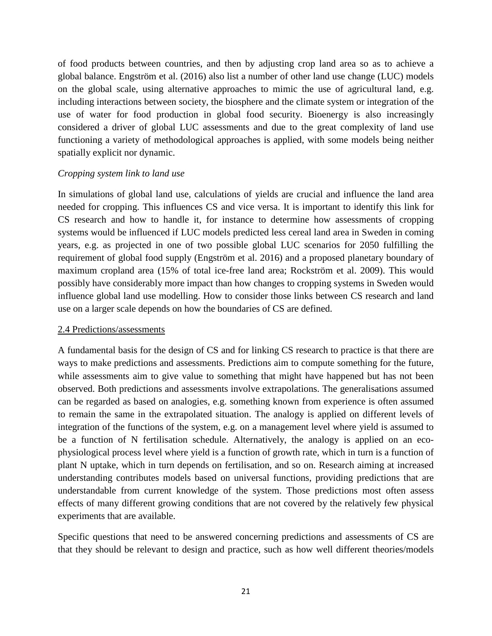of food products between countries, and then by adjusting crop land area so as to achieve a global balance. Engström et al. (2016) also list a number of other land use change (LUC) models on the global scale, using alternative approaches to mimic the use of agricultural land, e.g. including interactions between society, the biosphere and the climate system or integration of the use of water for food production in global food security. Bioenergy is also increasingly considered a driver of global LUC assessments and due to the great complexity of land use functioning a variety of methodological approaches is applied, with some models being neither spatially explicit nor dynamic.

# *Cropping system link to land use*

<span id="page-22-0"></span>In simulations of global land use, calculations of yields are crucial and influence the land area needed for cropping. This influences CS and vice versa. It is important to identify this link for CS research and how to handle it, for instance to determine how assessments of cropping systems would be influenced if LUC models predicted less cereal land area in Sweden in coming years, e.g. as projected in one of two possible global LUC scenarios for 2050 fulfilling the requirement of global food supply (Engström et al. 2016) and a proposed planetary boundary of maximum cropland area (15% of total ice-free land area; Rockström et al. 2009). This would possibly have considerably more impact than how changes to cropping systems in Sweden would influence global land use modelling. How to consider those links between CS research and land use on a larger scale depends on how the boundaries of CS are defined.

# 2.4 Predictions/assessments

<span id="page-22-1"></span>A fundamental basis for the design of CS and for linking CS research to practice is that there are ways to make predictions and assessments. Predictions aim to compute something for the future, while assessments aim to give value to something that might have happened but has not been observed. Both predictions and assessments involve extrapolations. The generalisations assumed can be regarded as based on analogies, e.g. something known from experience is often assumed to remain the same in the extrapolated situation. The analogy is applied on different levels of integration of the functions of the system, e.g. on a management level where yield is assumed to be a function of N fertilisation schedule. Alternatively, the analogy is applied on an ecophysiological process level where yield is a function of growth rate, which in turn is a function of plant N uptake, which in turn depends on fertilisation, and so on. Research aiming at increased understanding contributes models based on universal functions, providing predictions that are understandable from current knowledge of the system. Those predictions most often assess effects of many different growing conditions that are not covered by the relatively few physical experiments that are available.

Specific questions that need to be answered concerning predictions and assessments of CS are that they should be relevant to design and practice, such as how well different theories/models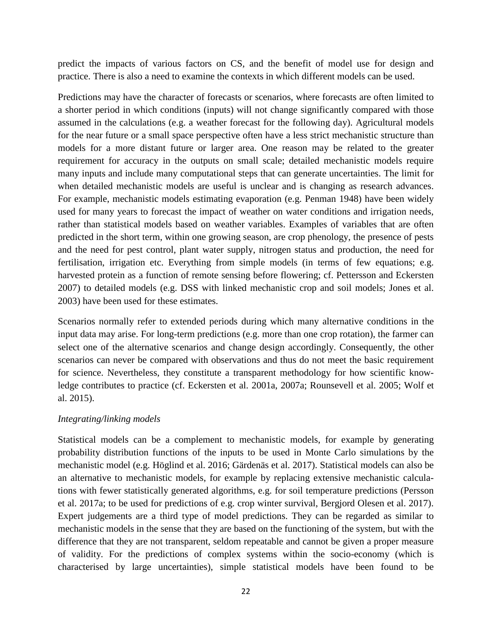predict the impacts of various factors on CS, and the benefit of model use for design and practice. There is also a need to examine the contexts in which different models can be used.

Predictions may have the character of forecasts or scenarios, where forecasts are often limited to a shorter period in which conditions (inputs) will not change significantly compared with those assumed in the calculations (e.g. a weather forecast for the following day). Agricultural models for the near future or a small space perspective often have a less strict mechanistic structure than models for a more distant future or larger area. One reason may be related to the greater requirement for accuracy in the outputs on small scale; detailed mechanistic models require many inputs and include many computational steps that can generate uncertainties. The limit for when detailed mechanistic models are useful is unclear and is changing as research advances. For example, mechanistic models estimating evaporation (e.g. Penman 1948) have been widely used for many years to forecast the impact of weather on water conditions and irrigation needs, rather than statistical models based on weather variables. Examples of variables that are often predicted in the short term, within one growing season, are crop phenology, the presence of pests and the need for pest control, plant water supply, nitrogen status and production, the need for fertilisation, irrigation etc. Everything from simple models (in terms of few equations; e.g. harvested protein as a function of remote sensing before flowering; cf. Pettersson and Eckersten 2007) to detailed models (e.g. DSS with linked mechanistic crop and soil models; Jones et al. 2003) have been used for these estimates.

Scenarios normally refer to extended periods during which many alternative conditions in the input data may arise. For long-term predictions (e.g. more than one crop rotation), the farmer can select one of the alternative scenarios and change design accordingly. Consequently, the other scenarios can never be compared with observations and thus do not meet the basic requirement for science. Nevertheless, they constitute a transparent methodology for how scientific knowledge contributes to practice (cf. Eckersten et al. 2001a, 2007a; Rounsevell et al. 2005; Wolf et al. 2015).

# *Integrating/linking models*

<span id="page-23-0"></span>Statistical models can be a complement to mechanistic models, for example by generating probability distribution functions of the inputs to be used in Monte Carlo simulations by the mechanistic model (e.g. Höglind et al. 2016; Gärdenäs et al. 2017). Statistical models can also be an alternative to mechanistic models, for example by replacing extensive mechanistic calculations with fewer statistically generated algorithms, e.g. for soil temperature predictions (Persson et al. 2017a; to be used for predictions of e.g. crop winter survival, Bergjord Olesen et al. 2017). Expert judgements are a third type of model predictions. They can be regarded as similar to mechanistic models in the sense that they are based on the functioning of the system, but with the difference that they are not transparent, seldom repeatable and cannot be given a proper measure of validity. For the predictions of complex systems within the socio-economy (which is characterised by large uncertainties), simple statistical models have been found to be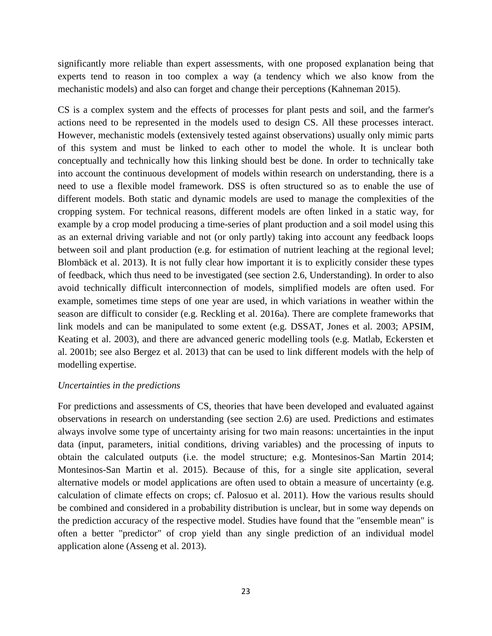significantly more reliable than expert assessments, with one proposed explanation being that experts tend to reason in too complex a way (a tendency which we also know from the mechanistic models) and also can forget and change their perceptions (Kahneman 2015).

CS is a complex system and the effects of processes for plant pests and soil, and the farmer's actions need to be represented in the models used to design CS. All these processes interact. However, mechanistic models (extensively tested against observations) usually only mimic parts of this system and must be linked to each other to model the whole. It is unclear both conceptually and technically how this linking should best be done. In order to technically take into account the continuous development of models within research on understanding, there is a need to use a flexible model framework. DSS is often structured so as to enable the use of different models. Both static and dynamic models are used to manage the complexities of the cropping system. For technical reasons, different models are often linked in a static way, for example by a crop model producing a time-series of plant production and a soil model using this as an external driving variable and not (or only partly) taking into account any feedback loops between soil and plant production (e.g. for estimation of nutrient leaching at the regional level; Blombäck et al. 2013). It is not fully clear how important it is to explicitly consider these types of feedback, which thus need to be investigated (see section 2.6, Understanding). In order to also avoid technically difficult interconnection of models, simplified models are often used. For example, sometimes time steps of one year are used, in which variations in weather within the season are difficult to consider (e.g. Reckling et al. 2016a). There are complete frameworks that link models and can be manipulated to some extent (e.g. DSSAT, Jones et al. 2003; APSIM, Keating et al. 2003), and there are advanced generic modelling tools (e.g. Matlab, Eckersten et al. 2001b; see also Bergez et al. 2013) that can be used to link different models with the help of modelling expertise.

### *Uncertainties in the predictions*

<span id="page-24-0"></span>For predictions and assessments of CS, theories that have been developed and evaluated against observations in research on understanding (see section 2.6) are used. Predictions and estimates always involve some type of uncertainty arising for two main reasons: uncertainties in the input data (input, parameters, initial conditions, driving variables) and the processing of inputs to obtain the calculated outputs (i.e. the model structure; e.g. Montesinos-San Martin 2014; Montesinos-San Martin et al. 2015). Because of this, for a single site application, several alternative models or model applications are often used to obtain a measure of uncertainty (e.g. calculation of climate effects on crops; cf. Palosuo et al. 2011). How the various results should be combined and considered in a probability distribution is unclear, but in some way depends on the prediction accuracy of the respective model. Studies have found that the "ensemble mean" is often a better "predictor" of crop yield than any single prediction of an individual model application alone (Asseng et al. 2013).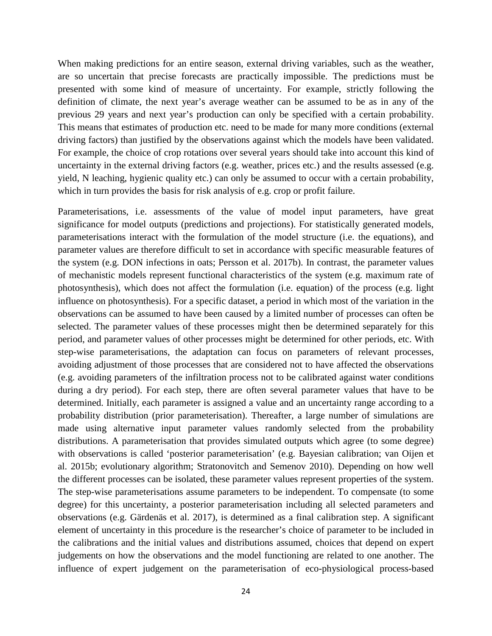When making predictions for an entire season, external driving variables, such as the weather, are so uncertain that precise forecasts are practically impossible. The predictions must be presented with some kind of measure of uncertainty. For example, strictly following the definition of climate, the next year's average weather can be assumed to be as in any of the previous 29 years and next year's production can only be specified with a certain probability. This means that estimates of production etc. need to be made for many more conditions (external driving factors) than justified by the observations against which the models have been validated. For example, the choice of crop rotations over several years should take into account this kind of uncertainty in the external driving factors (e.g. weather, prices etc.) and the results assessed (e.g. yield, N leaching, hygienic quality etc.) can only be assumed to occur with a certain probability, which in turn provides the basis for risk analysis of e.g. crop or profit failure.

Parameterisations, i.e. assessments of the value of model input parameters, have great significance for model outputs (predictions and projections). For statistically generated models, parameterisations interact with the formulation of the model structure (i.e. the equations), and parameter values are therefore difficult to set in accordance with specific measurable features of the system (e.g. DON infections in oats; Persson et al. 2017b). In contrast, the parameter values of mechanistic models represent functional characteristics of the system (e.g. maximum rate of photosynthesis), which does not affect the formulation (i.e. equation) of the process (e.g. light influence on photosynthesis). For a specific dataset, a period in which most of the variation in the observations can be assumed to have been caused by a limited number of processes can often be selected. The parameter values of these processes might then be determined separately for this period, and parameter values of other processes might be determined for other periods, etc. With step-wise parameterisations, the adaptation can focus on parameters of relevant processes, avoiding adjustment of those processes that are considered not to have affected the observations (e.g. avoiding parameters of the infiltration process not to be calibrated against water conditions during a dry period). For each step, there are often several parameter values that have to be determined. Initially, each parameter is assigned a value and an uncertainty range according to a probability distribution (prior parameterisation). Thereafter, a large number of simulations are made using alternative input parameter values randomly selected from the probability distributions. A parameterisation that provides simulated outputs which agree (to some degree) with observations is called 'posterior parameterisation' (e.g. Bayesian calibration; van Oijen et al. 2015b; evolutionary algorithm; Stratonovitch and Semenov 2010). Depending on how well the different processes can be isolated, these parameter values represent properties of the system. The step-wise parameterisations assume parameters to be independent. To compensate (to some degree) for this uncertainty, a posterior parameterisation including all selected parameters and observations (e.g. Gärdenäs et al. 2017), is determined as a final calibration step. A significant element of uncertainty in this procedure is the researcher's choice of parameter to be included in the calibrations and the initial values and distributions assumed, choices that depend on expert judgements on how the observations and the model functioning are related to one another. The influence of expert judgement on the parameterisation of eco-physiological process-based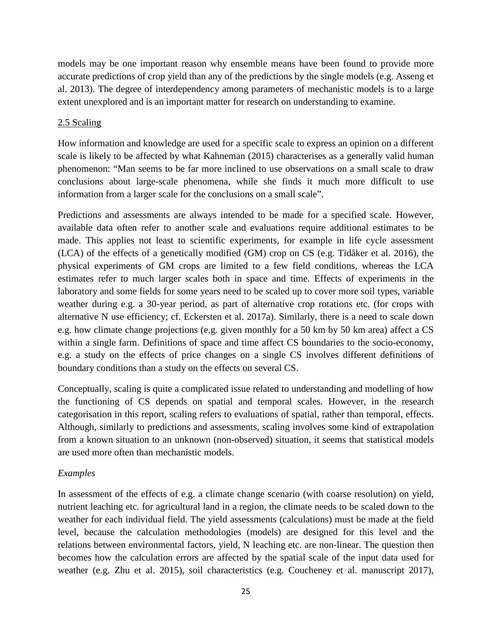models may be one important reason why ensemble means have been found to provide more accurate predictions of crop yield than any of the predictions by the single models (e.g. Asseng et al. 2013). The degree of interdependency among parameters of mechanistic models is to a large extent unexplored and is an important matter for research on understanding to examine.

# 2.5 Scaling

<span id="page-26-0"></span>How information and knowledge are used for a specific scale to express an opinion on a different scale is likely to be affected by what Kahneman (2015) characterises as a generally valid human phenomenon: "Man seems to be far more inclined to use observations on a small scale to draw conclusions about large-scale phenomena, while she finds it much more difficult to use information from a larger scale for the conclusions on a small scale".

Predictions and assessments are always intended to be made for a specified scale. However, available data often refer to another scale and evaluations require additional estimates to be made. This applies not least to scientific experiments, for example in life cycle assessment (LCA) of the effects of a genetically modified (GM) crop on CS (e.g. Tidåker et al. 2016), the physical experiments of GM crops are limited to a few field conditions, whereas the LCA estimates refer to much larger scales both in space and time. Effects of experiments in the laboratory and some fields for some years need to be scaled up to cover more soil types, variable weather during e.g. a 30-year period, as part of alternative crop rotations etc. (for crops with alternative N use efficiency; cf. Eckersten et al. 2017a). Similarly, there is a need to scale down e.g. how climate change projections (e.g. given monthly for a 50 km by 50 km area) affect a CS within a single farm. Definitions of space and time affect CS boundaries to the socio-economy, e.g. a study on the effects of price changes on a single CS involves different definitions of boundary conditions than a study on the effects on several CS.

Conceptually, scaling is quite a complicated issue related to understanding and modelling of how the functioning of CS depends on spatial and temporal scales. However, in the research categorisation in this report, scaling refers to evaluations of spatial, rather than temporal, effects. Although, similarly to predictions and assessments, scaling involves some kind of extrapolation from a known situation to an unknown (non-observed) situation, it seems that statistical models are used more often than mechanistic models.

# *Examples*

<span id="page-26-1"></span>In assessment of the effects of e.g. a climate change scenario (with coarse resolution) on yield, nutrient leaching etc. for agricultural land in a region, the climate needs to be scaled down to the weather for each individual field. The yield assessments (calculations) must be made at the field level, because the calculation methodologies (models) are designed for this level and the relations between environmental factors, yield, N leaching etc. are non-linear. The question then becomes how the calculation errors are affected by the spatial scale of the input data used for weather (e.g. Zhu et al. 2015), soil characteristics (e.g. Coucheney et al. manuscript 2017),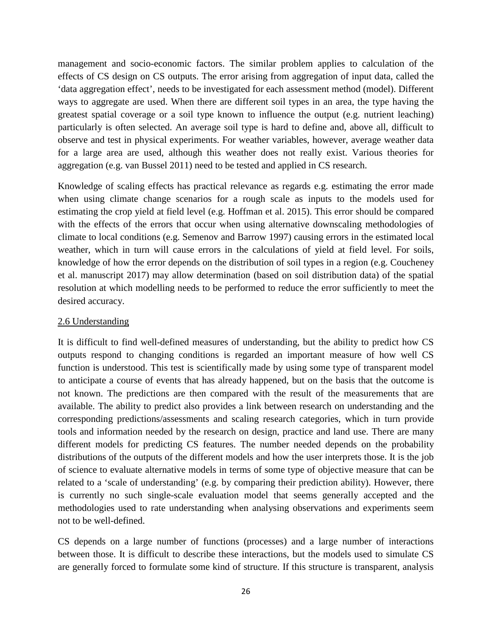management and socio-economic factors. The similar problem applies to calculation of the effects of CS design on CS outputs. The error arising from aggregation of input data, called the 'data aggregation effect', needs to be investigated for each assessment method (model). Different ways to aggregate are used. When there are different soil types in an area, the type having the greatest spatial coverage or a soil type known to influence the output (e.g. nutrient leaching) particularly is often selected. An average soil type is hard to define and, above all, difficult to observe and test in physical experiments. For weather variables, however, average weather data for a large area are used, although this weather does not really exist. Various theories for aggregation (e.g. van Bussel 2011) need to be tested and applied in CS research.

Knowledge of scaling effects has practical relevance as regards e.g. estimating the error made when using climate change scenarios for a rough scale as inputs to the models used for estimating the crop yield at field level (e.g. Hoffman et al. 2015). This error should be compared with the effects of the errors that occur when using alternative downscaling methodologies of climate to local conditions (e.g. Semenov and Barrow 1997) causing errors in the estimated local weather, which in turn will cause errors in the calculations of yield at field level. For soils, knowledge of how the error depends on the distribution of soil types in a region (e.g. Coucheney et al. manuscript 2017) may allow determination (based on soil distribution data) of the spatial resolution at which modelling needs to be performed to reduce the error sufficiently to meet the desired accuracy.

# 2.6 Understanding

<span id="page-27-0"></span>It is difficult to find well-defined measures of understanding, but the ability to predict how CS outputs respond to changing conditions is regarded an important measure of how well CS function is understood. This test is scientifically made by using some type of transparent model to anticipate a course of events that has already happened, but on the basis that the outcome is not known. The predictions are then compared with the result of the measurements that are available. The ability to predict also provides a link between research on understanding and the corresponding predictions/assessments and scaling research categories, which in turn provide tools and information needed by the research on design, practice and land use. There are many different models for predicting CS features. The number needed depends on the probability distributions of the outputs of the different models and how the user interprets those. It is the job of science to evaluate alternative models in terms of some type of objective measure that can be related to a 'scale of understanding' (e.g. by comparing their prediction ability). However, there is currently no such single-scale evaluation model that seems generally accepted and the methodologies used to rate understanding when analysing observations and experiments seem not to be well-defined.

CS depends on a large number of functions (processes) and a large number of interactions between those. It is difficult to describe these interactions, but the models used to simulate CS are generally forced to formulate some kind of structure. If this structure is transparent, analysis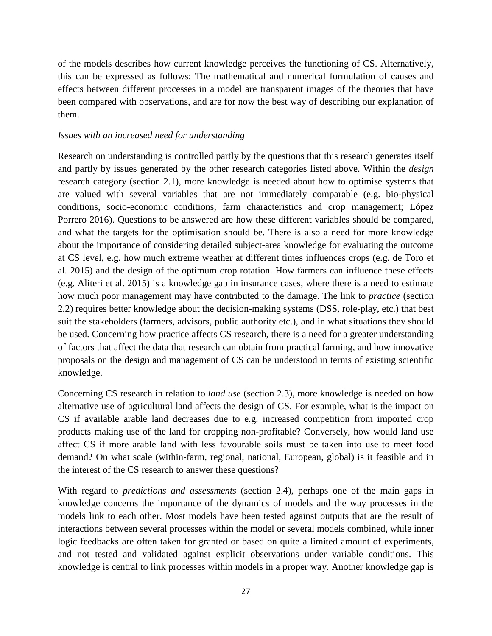of the models describes how current knowledge perceives the functioning of CS. Alternatively, this can be expressed as follows: The mathematical and numerical formulation of causes and effects between different processes in a model are transparent images of the theories that have been compared with observations, and are for now the best way of describing our explanation of them.

# *Issues with an increased need for understanding*

<span id="page-28-0"></span>Research on understanding is controlled partly by the questions that this research generates itself and partly by issues generated by the other research categories listed above. Within the *design* research category (section 2.1), more knowledge is needed about how to optimise systems that are valued with several variables that are not immediately comparable (e.g. bio-physical conditions, socio-economic conditions, farm characteristics and crop management; López Porrero 2016). Questions to be answered are how these different variables should be compared, and what the targets for the optimisation should be. There is also a need for more knowledge about the importance of considering detailed subject-area knowledge for evaluating the outcome at CS level, e.g. how much extreme weather at different times influences crops (e.g. de Toro et al. 2015) and the design of the optimum crop rotation. How farmers can influence these effects (e.g. Aliteri et al. 2015) is a knowledge gap in insurance cases, where there is a need to estimate how much poor management may have contributed to the damage. The link to *practice* (section 2.2) requires better knowledge about the decision-making systems (DSS, role-play, etc.) that best suit the stakeholders (farmers, advisors, public authority etc.), and in what situations they should be used. Concerning how practice affects CS research, there is a need for a greater understanding of factors that affect the data that research can obtain from practical farming, and how innovative proposals on the design and management of CS can be understood in terms of existing scientific knowledge.

Concerning CS research in relation to *land use* (section 2.3), more knowledge is needed on how alternative use of agricultural land affects the design of CS. For example, what is the impact on CS if available arable land decreases due to e.g. increased competition from imported crop products making use of the land for cropping non-profitable? Conversely, how would land use affect CS if more arable land with less favourable soils must be taken into use to meet food demand? On what scale (within-farm, regional, national, European, global) is it feasible and in the interest of the CS research to answer these questions?

With regard to *predictions and assessments* (section 2.4), perhaps one of the main gaps in knowledge concerns the importance of the dynamics of models and the way processes in the models link to each other. Most models have been tested against outputs that are the result of interactions between several processes within the model or several models combined, while inner logic feedbacks are often taken for granted or based on quite a limited amount of experiments, and not tested and validated against explicit observations under variable conditions. This knowledge is central to link processes within models in a proper way. Another knowledge gap is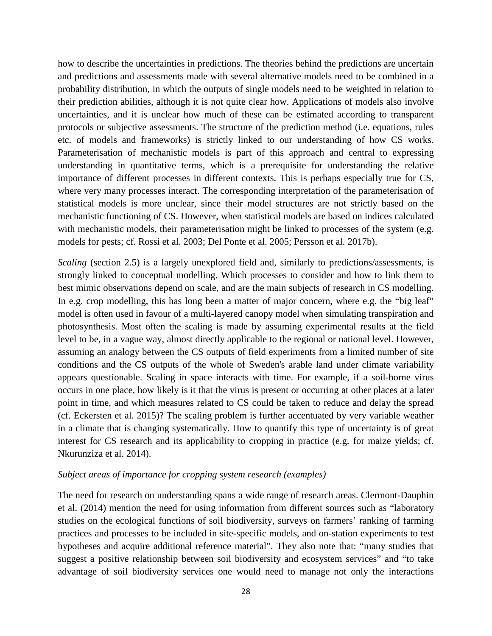how to describe the uncertainties in predictions. The theories behind the predictions are uncertain and predictions and assessments made with several alternative models need to be combined in a probability distribution, in which the outputs of single models need to be weighted in relation to their prediction abilities, although it is not quite clear how. Applications of models also involve uncertainties, and it is unclear how much of these can be estimated according to transparent protocols or subjective assessments. The structure of the prediction method (i.e. equations, rules etc. of models and frameworks) is strictly linked to our understanding of how CS works. Parameterisation of mechanistic models is part of this approach and central to expressing understanding in quantitative terms, which is a prerequisite for understanding the relative importance of different processes in different contexts. This is perhaps especially true for CS, where very many processes interact. The corresponding interpretation of the parameterisation of statistical models is more unclear, since their model structures are not strictly based on the mechanistic functioning of CS. However, when statistical models are based on indices calculated with mechanistic models, their parameterisation might be linked to processes of the system (e.g. models for pests; cf. Rossi et al. 2003; Del Ponte et al. 2005; Persson et al. 2017b).

*Scaling* (section 2.5) is a largely unexplored field and, similarly to predictions/assessments, is strongly linked to conceptual modelling. Which processes to consider and how to link them to best mimic observations depend on scale, and are the main subjects of research in CS modelling. In e.g. crop modelling, this has long been a matter of major concern, where e.g. the "big leaf" model is often used in favour of a multi-layered canopy model when simulating transpiration and photosynthesis. Most often the scaling is made by assuming experimental results at the field level to be, in a vague way, almost directly applicable to the regional or national level. However, assuming an analogy between the CS outputs of field experiments from a limited number of site conditions and the CS outputs of the whole of Sweden's arable land under climate variability appears questionable. Scaling in space interacts with time. For example, if a soil-borne virus occurs in one place, how likely is it that the virus is present or occurring at other places at a later point in time, and which measures related to CS could be taken to reduce and delay the spread (cf. Eckersten et al. 2015)? The scaling problem is further accentuated by very variable weather in a climate that is changing systematically. How to quantify this type of uncertainty is of great interest for CS research and its applicability to cropping in practice (e.g. for maize yields; cf. Nkurunziza et al. 2014).

### *Subject areas of importance for cropping system research (examples)*

<span id="page-29-0"></span>The need for research on understanding spans a wide range of research areas. Clermont-Dauphin et al. (2014) mention the need for using information from different sources such as "laboratory studies on the ecological functions of soil biodiversity, surveys on farmers' ranking of farming practices and processes to be included in site-specific models, and on-station experiments to test hypotheses and acquire additional reference material". They also note that: "many studies that suggest a positive relationship between soil biodiversity and ecosystem services" and "to take advantage of soil biodiversity services one would need to manage not only the interactions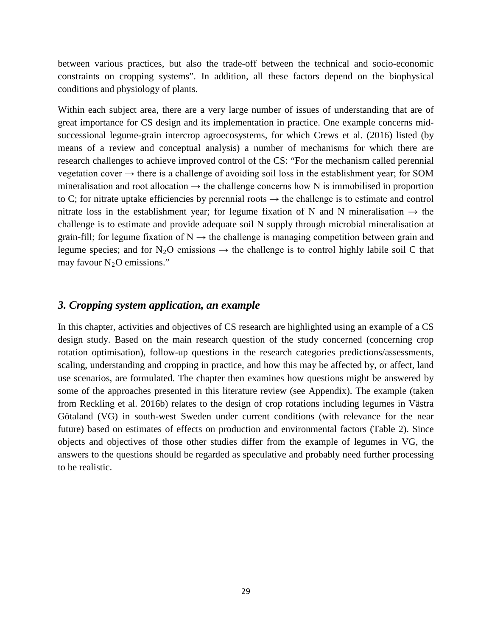between various practices, but also the trade-off between the technical and socio-economic constraints on cropping systems". In addition, all these factors depend on the biophysical conditions and physiology of plants.

Within each subject area, there are a very large number of issues of understanding that are of great importance for CS design and its implementation in practice. One example concerns midsuccessional legume-grain intercrop agroecosystems, for which Crews et al. (2016) listed (by means of a review and conceptual analysis) a number of mechanisms for which there are research challenges to achieve improved control of the CS: "For the mechanism called perennial vegetation cover  $\rightarrow$  there is a challenge of avoiding soil loss in the establishment year; for SOM mineralisation and root allocation  $\rightarrow$  the challenge concerns how N is immobilised in proportion to C; for nitrate uptake efficiencies by perennial roots  $\rightarrow$  the challenge is to estimate and control nitrate loss in the establishment year; for legume fixation of N and N mineralisation  $\rightarrow$  the challenge is to estimate and provide adequate soil N supply through microbial mineralisation at grain-fill; for legume fixation of  $N \rightarrow$  the challenge is managing competition between grain and legume species; and for N<sub>2</sub>O emissions  $\rightarrow$  the challenge is to control highly labile soil C that may favour  $N_2O$  emissions."

# *3. Cropping system application, an example*

<span id="page-30-0"></span>In this chapter, activities and objectives of CS research are highlighted using an example of a CS design study. Based on the main research question of the study concerned (concerning crop rotation optimisation), follow-up questions in the research categories predictions/assessments, scaling, understanding and cropping in practice, and how this may be affected by, or affect, land use scenarios, are formulated. The chapter then examines how questions might be answered by some of the approaches presented in this literature review (see Appendix). The example (taken from Reckling et al. 2016b) relates to the design of crop rotations including legumes in Västra Götaland (VG) in south-west Sweden under current conditions (with relevance for the near future) based on estimates of effects on production and environmental factors (Table 2). Since objects and objectives of those other studies differ from the example of legumes in VG, the answers to the questions should be regarded as speculative and probably need further processing to be realistic.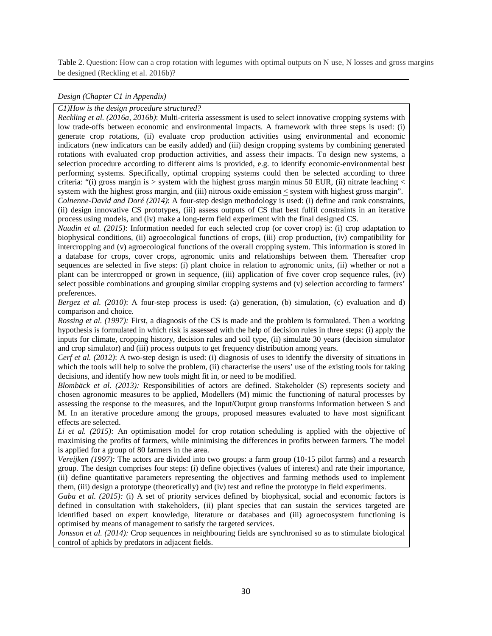Table 2. Question: How can a crop rotation with legumes with optimal outputs on N use, N losses and gross margins be designed (Reckling et al. 2016b)?

#### *Design (Chapter C1 in Appendix)*

*C1)How is the design procedure structured?* 

<span id="page-31-0"></span>*Reckling et al. (2016a, 2016b)*: Multi-criteria assessment is used to select innovative cropping systems with low trade-offs between economic and environmental impacts. A framework with three steps is used: (i) generate crop rotations, (ii) evaluate crop production activities using environmental and economic indicators (new indicators can be easily added) and (iii) design cropping systems by combining generated rotations with evaluated crop production activities, and assess their impacts. To design new systems, a selection procedure according to different aims is provided, e.g. to identify economic-environmental best performing systems. Specifically, optimal cropping systems could then be selected according to three criteria: "(i) gross margin is  $>$  system with the highest gross margin minus 50 EUR, (ii) nitrate leaching  $<$ system with the highest gross margin, and (iii) nitrous oxide emission  $\leq$  system with highest gross margin". *Colnenne-David and Doré (2014)*: A four-step design methodology is used: (i) define and rank constraints, (ii) design innovative CS prototypes, (iii) assess outputs of CS that best fulfil constraints in an iterative process using models, and (iv) make a long-term field experiment with the final designed CS.

*Naudin et al. (2015)*: Information needed for each selected crop (or cover crop) is: (i) crop adaptation to biophysical conditions, (ii) agroecological functions of crops, (iii) crop production, (iv) compatibility for intercropping and (v) agroecological functions of the overall cropping system. This information is stored in a database for crops, cover crops, agronomic units and relationships between them. Thereafter crop sequences are selected in five steps: (i) plant choice in relation to agronomic units, (ii) whether or not a plant can be intercropped or grown in sequence, (iii) application of five cover crop sequence rules, (iv) select possible combinations and grouping similar cropping systems and (v) selection according to farmers' preferences.

*Bergez et al.* (2010): A four-step process is used: (a) generation, (b) simulation, (c) evaluation and d) comparison and choice.

*Rossing et al. (1997):* First, a diagnosis of the CS is made and the problem is formulated. Then a working hypothesis is formulated in which risk is assessed with the help of decision rules in three steps: (i) apply the inputs for climate, cropping history, decision rules and soil type, (ii) simulate 30 years (decision simulator and crop simulator) and (iii) process outputs to get frequency distribution among years.

*Cerf et al. (2012)*: A two-step design is used: (i) diagnosis of uses to identify the diversity of situations in which the tools will help to solve the problem, (ii) characterise the users' use of the existing tools for taking decisions, and identify how new tools might fit in, or need to be modified.

*Blombäck et al.* (2013): Responsibilities of actors are defined. Stakeholder (S) represents society and chosen agronomic measures to be applied, Modellers (M) mimic the functioning of natural processes by assessing the response to the measures, and the Input/Output group transforms information between S and M. In an iterative procedure among the groups, proposed measures evaluated to have most significant effects are selected.

*Li et al. (2015):* An optimisation model for crop rotation scheduling is applied with the objective of maximising the profits of farmers, while minimising the differences in profits between farmers. The model is applied for a group of 80 farmers in the area.

*Vereijken (1997):* The actors are divided into two groups: a farm group (10-15 pilot farms) and a research group. The design comprises four steps: (i) define objectives (values of interest) and rate their importance, (ii) define quantitative parameters representing the objectives and farming methods used to implement them, (iii) design a prototype (theoretically) and (iv) test and refine the prototype in field experiments.

*Gaba et al. (2015):* (i) A set of priority services defined by biophysical, social and economic factors is defined in consultation with stakeholders, (ii) plant species that can sustain the services targeted are identified based on expert knowledge, literature or databases and (iii) agroecosystem functioning is optimised by means of management to satisfy the targeted services.

*Jonsson et al.* (2014): Crop sequences in neighbouring fields are synchronised so as to stimulate biological control of aphids by predators in adjacent fields.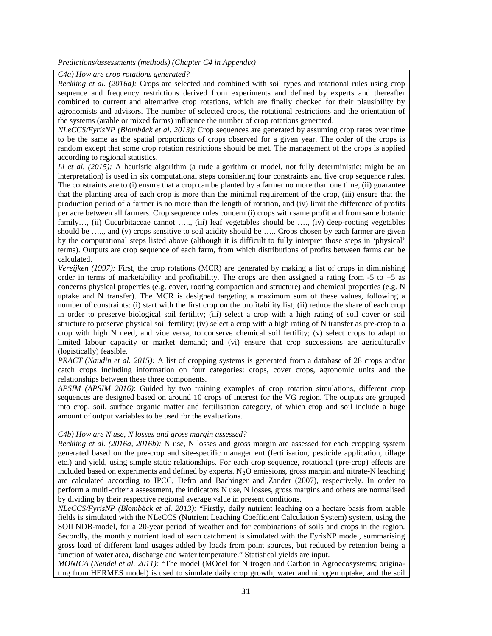#### *Predictions/assessments (methods) (Chapter C4 in Appendix)*

*C4a) How are crop rotations generated?* 

<span id="page-32-0"></span>*Reckling et al. (2016a):* Crops are selected and combined with soil types and rotational rules using crop sequence and frequency restrictions derived from experiments and defined by experts and thereafter combined to current and alternative crop rotations, which are finally checked for their plausibility by agronomists and advisors. The number of selected crops, the rotational restrictions and the orientation of the systems (arable or mixed farms) influence the number of crop rotations generated.

*NLeCCS/FyrisNP (Blombäck et al. 2013):* Crop sequences are generated by assuming crop rates over time to be the same as the spatial proportions of crops observed for a given year. The order of the crops is random except that some crop rotation restrictions should be met. The management of the crops is applied according to regional statistics.

*Li et al. (2015):* A heuristic algorithm (a rude algorithm or model, not fully deterministic; might be an interpretation) is used in six computational steps considering four constraints and five crop sequence rules. The constraints are to (i) ensure that a crop can be planted by a farmer no more than one time, (ii) guarantee that the planting area of each crop is more than the minimal requirement of the crop, (iii) ensure that the production period of a farmer is no more than the length of rotation, and (iv) limit the difference of profits per acre between all farmers. Crop sequence rules concern (i) crops with same profit and from same botanic family…, (ii) Cucurbitaceae cannot ….., (iii) leaf vegetables should be …., (iv) deep-rooting vegetables should be ...., and (v) crops sensitive to soil acidity should be ..... Crops chosen by each farmer are given by the computational steps listed above (although it is difficult to fully interpret those steps in 'physical' terms). Outputs are crop sequence of each farm, from which distributions of profits between farms can be calculated.

*Vereijken (1997):* First, the crop rotations (MCR) are generated by making a list of crops in diminishing order in terms of marketability and profitability. The crops are then assigned a rating from  $-5$  to  $+5$  as concerns physical properties (e.g. cover, rooting compaction and structure) and chemical properties (e.g. N uptake and N transfer). The MCR is designed targeting a maximum sum of these values, following a number of constraints: (i) start with the first crop on the profitability list; (ii) reduce the share of each crop in order to preserve biological soil fertility; (iii) select a crop with a high rating of soil cover or soil structure to preserve physical soil fertility; (iv) select a crop with a high rating of N transfer as pre-crop to a crop with high N need, and vice versa, to conserve chemical soil fertility; (v) select crops to adapt to limited labour capacity or market demand; and (vi) ensure that crop successions are agriculturally (logistically) feasible.

*PRACT (Naudin et al. 2015):* A list of cropping systems is generated from a database of 28 crops and/or catch crops including information on four categories: crops, cover crops, agronomic units and the relationships between these three components.

*APSIM (APSIM 2016)*: Guided by two training examples of crop rotation simulations, different crop sequences are designed based on around 10 crops of interest for the VG region. The outputs are grouped into crop, soil, surface organic matter and fertilisation category, of which crop and soil include a huge amount of output variables to be used for the evaluations.

#### *C4b) How are N use, N losses and gross margin assessed?*

*Reckling et al. (2016a, 2016b):* N use, N losses and gross margin are assessed for each cropping system generated based on the pre-crop and site-specific management (fertilisation, pesticide application, tillage etc.) and yield, using simple static relationships. For each crop sequence, rotational (pre-crop) effects are included based on experiments and defined by experts.  $N_2O$  emissions, gross margin and nitrate-N leaching are calculated according to IPCC, Defra and Bachinger and Zander (2007), respectively. In order to perform a multi-criteria assessment, the indicators N use, N losses, gross margins and others are normalised by dividing by their respective regional average value in present conditions.

*NLeCCS/FyrisNP (Blombäck et al. 2013):* "Firstly, daily nutrient leaching on a hectare basis from arable fields is simulated with the NLeCCS (Nutrient Leaching Coefficient Calculation System) system, using the SOILNDB-model, for a 20-year period of weather and for combinations of soils and crops in the region. Secondly, the monthly nutrient load of each catchment is simulated with the FyrisNP model, summarising gross load of different land usages added by loads from point sources, but reduced by retention being a function of water area, discharge and water temperature." Statistical yields are input.

*MONICA (Nendel et al. 2011):* "The model (MOdel for NItrogen and Carbon in Agroecosystems; originating from HERMES model) is used to simulate daily crop growth, water and nitrogen uptake, and the soil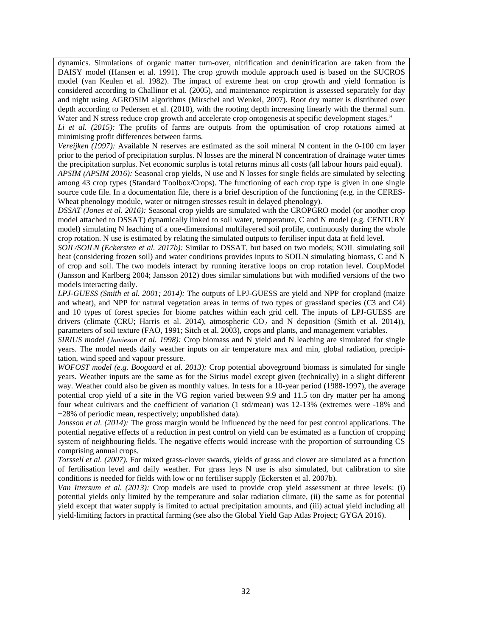dynamics. Simulations of organic matter turn-over, nitrification and denitrification are taken from the DAISY model (Hansen et al. 1991). The crop growth module approach used is based on the SUCROS model (van Keulen et al. 1982). The impact of extreme heat on crop growth and yield formation is considered according to Challinor et al. (2005), and maintenance respiration is assessed separately for day and night using AGROSIM algorithms (Mirschel and Wenkel, 2007). Root dry matter is distributed over depth according to Pedersen et al. (2010), with the rooting depth increasing linearly with the thermal sum. Water and N stress reduce crop growth and accelerate crop ontogenesis at specific development stages."

*Li et al. (2015):* The profits of farms are outputs from the optimisation of crop rotations aimed at minimising profit differences between farms.

*Vereijken (1997):* Available N reserves are estimated as the soil mineral N content in the 0-100 cm layer prior to the period of precipitation surplus. N losses are the mineral N concentration of drainage water times the precipitation surplus. Net economic surplus is total returns minus all costs (all labour hours paid equal).

*APSIM (APSIM 2016):* Seasonal crop yields, N use and N losses for single fields are simulated by selecting among 43 crop types (Standard Toolbox/Crops). The functioning of each crop type is given in one single source code file. In a documentation file, there is a brief description of the functioning (e.g. in the CERES-Wheat phenology module, water or nitrogen stresses result in delayed phenology).

*DSSAT (Jones et al. 2016):* Seasonal crop yields are simulated with the CROPGRO model (or another crop model attached to DSSAT) dynamically linked to soil water, temperature, C and N model (e.g. CENTURY model) simulating N leaching of a one-dimensional multilayered soil profile, continuously during the whole crop rotation. N use is estimated by relating the simulated outputs to fertiliser input data at field level.

*SOIL/SOILN (Eckersten et al. 2017b):* Similar to DSSAT, but based on two models; SOIL simulating soil heat (considering frozen soil) and water conditions provides inputs to SOILN simulating biomass, C and N of crop and soil. The two models interact by running iterative loops on crop rotation level. CoupModel (Jansson and Karlberg 2004; Jansson 2012) does similar simulations but with modified versions of the two models interacting daily.

*LPJ-GUESS (Smith et al. 2001; 2014):* The outputs of LPJ-GUESS are yield and NPP for cropland (maize and wheat), and NPP for natural vegetation areas in terms of two types of grassland species (C3 and C4) and 10 types of forest species for biome patches within each grid cell. The inputs of LPJ-GUESS are drivers (climate (CRU; Harris et al. 2014), atmospheric  $CO_2$  and N deposition (Smith et al. 2014)), parameters of soil texture (FAO, 1991; Sitch et al. 2003), crops and plants, and management variables.

*SIRIUS model (Jamieson et al. 1998):* Crop biomass and N yield and N leaching are simulated for single years. The model needs daily weather inputs on air temperature max and min, global radiation, precipitation, wind speed and vapour pressure.

*WOFOST model (e.g. Boogaard et al. 2013):* Crop potential aboveground biomass is simulated for single years. Weather inputs are the same as for the Sirius model except given (technically) in a slight different way. Weather could also be given as monthly values. In tests for a 10-year period (1988-1997), the average potential crop yield of a site in the VG region varied between 9.9 and 11.5 ton dry matter per ha among four wheat cultivars and the coefficient of variation (1 std/mean) was 12-13% (extremes were -18% and +28% of periodic mean, respectively; unpublished data).

*Jonsson et al.* (2014): The gross margin would be influenced by the need for pest control applications. The potential negative effects of a reduction in pest control on yield can be estimated as a function of cropping system of neighbouring fields. The negative effects would increase with the proportion of surrounding CS comprising annual crops.

*Torssell et al. (2007).* For mixed grass-clover swards, yields of grass and clover are simulated as a function of fertilisation level and daily weather. For grass leys N use is also simulated, but calibration to site conditions is needed for fields with low or no fertiliser supply (Eckersten et al. 2007b).

*Van Ittersum et al. (2013):* Crop models are used to provide crop yield assessment at three levels: (i) potential yields only limited by the temperature and solar radiation climate, (ii) the same as for potential yield except that water supply is limited to actual precipitation amounts, and (iii) actual yield including all yield-limiting factors in practical farming (see also the Global Yield Gap Atlas Project; GYGA 2016).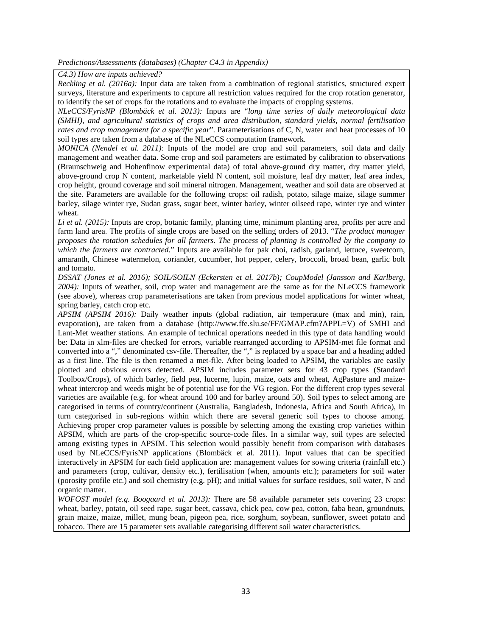*Predictions/Assessments (databases) (Chapter C4.3 in Appendix)*

*C4.3) How are inputs achieved?* 

*Reckling et al. (2016a):* Input data are taken from a combination of regional statistics, structured expert surveys, literature and experiments to capture all restriction values required for the crop rotation generator, to identify the set of crops for the rotations and to evaluate the impacts of cropping systems.

<span id="page-34-0"></span>*NLeCCS/FyrisNP (Blombäck et al. 2013):* Inputs are "*long time series of daily meteorological data (SMHI), and agricultural statistics of crops and area distribution, standard yields, normal fertilisation rates and crop management for a specific year*". Parameterisations of C, N, water and heat processes of 10 soil types are taken from a database of the NLeCCS computation framework.

*MONICA (Nendel et al. 2011):* Inputs of the model are crop and soil parameters, soil data and daily management and weather data. Some crop and soil parameters are estimated by calibration to observations (Braunschweig and Hohenfinow experimental data) of total above-ground dry matter, dry matter yield, above-ground crop N content, marketable yield N content, soil moisture, leaf dry matter, leaf area index, crop height, ground coverage and soil mineral nitrogen. Management, weather and soil data are observed at the site. Parameters are available for the following crops: oil radish, potato, silage maize, silage summer barley, silage winter rye, Sudan grass, sugar beet, winter barley, winter oilseed rape, winter rye and winter wheat.

*Li et al. (2015):* Inputs are crop, botanic family, planting time, minimum planting area, profits per acre and farm land area. The profits of single crops are based on the selling orders of 2013. "*The product manager proposes the rotation schedules for all farmers. The process of planting is controlled by the company to which the farmers are contracted.*" Inputs are available for pak choi, radish, garland, lettuce, sweetcorn, amaranth, Chinese watermelon, coriander, cucumber, hot pepper, celery, broccoli, broad bean, garlic bolt and tomato.

*DSSAT (Jones et al. 2016); SOIL/SOILN (Eckersten et al. 2017b); CoupModel (Jansson and Karlberg, 2004):* Inputs of weather, soil, crop water and management are the same as for the NLeCCS framework (see above), whereas crop parameterisations are taken from previous model applications for winter wheat, spring barley, catch crop etc.

*APSIM (APSIM 2016):* Daily weather inputs (global radiation, air temperature (max and min), rain, evaporation), are taken from a database (http://www.ffe.slu.se/FF/GMAP.cfm?APPL=V) of SMHI and Lant-Met weather stations. An example of technical operations needed in this type of data handling would be: Data in xlm-files are checked for errors, variable rearranged according to APSIM-met file format and converted into a "," denominated csv-file. Thereafter, the "," is replaced by a space bar and a heading added as a first line. The file is then renamed a met-file. After being loaded to APSIM, the variables are easily plotted and obvious errors detected. APSIM includes parameter sets for 43 crop types (Standard Toolbox/Crops), of which barley, field pea, lucerne, lupin, maize, oats and wheat, AgPasture and maizewheat intercrop and weeds might be of potential use for the VG region. For the different crop types several varieties are available (e.g. for wheat around 100 and for barley around 50). Soil types to select among are categorised in terms of country/continent (Australia, Bangladesh, Indonesia, Africa and South Africa), in turn categorised in sub-regions within which there are several generic soil types to choose among. Achieving proper crop parameter values is possible by selecting among the existing crop varieties within APSIM, which are parts of the crop-specific source-code files. In a similar way, soil types are selected among existing types in APSIM. This selection would possibly benefit from comparison with databases used by NLeCCS/FyrisNP applications (Blombäck et al. 2011). Input values that can be specified interactively in APSIM for each field application are: management values for sowing criteria (rainfall etc.) and parameters (crop, cultivar, density etc.), fertilisation (when, amounts etc.); parameters for soil water (porosity profile etc.) and soil chemistry (e.g. pH); and initial values for surface residues, soil water, N and organic matter.

*WOFOST model (e.g. Boogaard et al. 2013):* There are 58 available parameter sets covering 23 crops: wheat, barley, potato, oil seed rape, sugar beet, cassava, chick pea, cow pea, cotton, faba bean, groundnuts, grain maize, maize, millet, mung bean, pigeon pea, rice, sorghum, soybean, sunflower, sweet potato and tobacco. There are 15 parameter sets available categorising different soil water characteristics.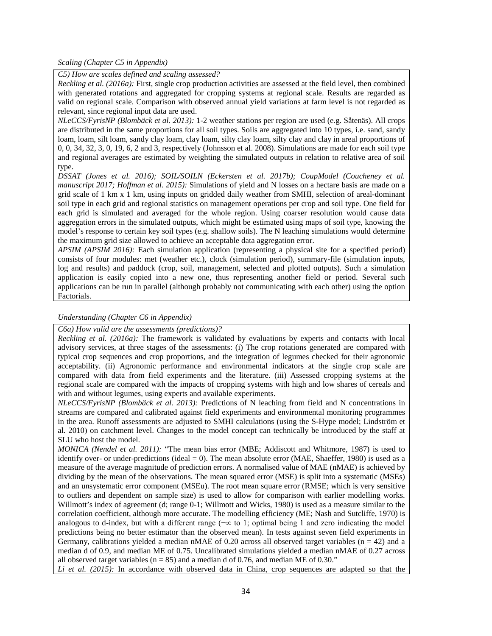*Scaling (Chapter C5 in Appendix)*

*C5) How are scales defined and scaling assessed?*

<span id="page-35-0"></span>*Reckling et al. (2016a):* First, single crop production activities are assessed at the field level, then combined with generated rotations and aggregated for cropping systems at regional scale. Results are regarded as valid on regional scale. Comparison with observed annual yield variations at farm level is not regarded as relevant, since regional input data are used.

*NLeCCS/FyrisNP (Blombäck et al. 2013):* 1-2 weather stations per region are used (e.g. Såtenäs). All crops are distributed in the same proportions for all soil types. Soils are aggregated into 10 types, i.e. sand, sandy loam, loam, silt loam, sandy clay loam, clay loam, silty clay loam, silty clay and clay in areal proportions of 0, 0, 34, 32, 3, 0, 19, 6, 2 and 3, respectively (Johnsson et al. 2008). Simulations are made for each soil type and regional averages are estimated by weighting the simulated outputs in relation to relative area of soil type.

*DSSAT (Jones et al. 2016); SOIL/SOILN (Eckersten et al. 2017b); CoupModel (Coucheney et al. manuscript 2017; Hoffman et al. 2015):* Simulations of yield and N losses on a hectare basis are made on a grid scale of 1 km x 1 km, using inputs on gridded daily weather from SMHI, selection of areal-dominant soil type in each grid and regional statistics on management operations per crop and soil type. One field for each grid is simulated and averaged for the whole region. Using coarser resolution would cause data aggregation errors in the simulated outputs, which might be estimated using maps of soil type, knowing the model's response to certain key soil types (e.g. shallow soils). The N leaching simulations would determine the maximum grid size allowed to achieve an acceptable data aggregation error.

*APSIM (APSIM 2016):* Each simulation application (representing a physical site for a specified period) consists of four modules: met (weather etc.), clock (simulation period), summary-file (simulation inputs, log and results) and paddock (crop, soil, management, selected and plotted outputs). Such a simulation application is easily copied into a new one, thus representing another field or period. Several such applications can be run in parallel (although probably not communicating with each other) using the option Factorials.

#### *Understanding (Chapter C6 in Appendix)*

#### *C6a) How valid are the assessments (predictions)?*

<span id="page-35-1"></span>*Reckling et al. (2016a):* The framework is validated by evaluations by experts and contacts with local advisory services, at three stages of the assessments: (i) The crop rotations generated are compared with typical crop sequences and crop proportions, and the integration of legumes checked for their agronomic acceptability. (ii) Agronomic performance and environmental indicators at the single crop scale are compared with data from field experiments and the literature. (iii) Assessed cropping systems at the regional scale are compared with the impacts of cropping systems with high and low shares of cereals and with and without legumes, using experts and available experiments.

*NLeCCS/FyrisNP (Blombäck et al. 2013):* Predictions of N leaching from field and N concentrations in streams are compared and calibrated against field experiments and environmental monitoring programmes in the area. Runoff assessments are adjusted to SMHI calculations (using the S-Hype model; Lindström et al. 2010) on catchment level. Changes to the model concept can technically be introduced by the staff at SLU who host the model.

*MONICA (Nendel et al. 2011):* "The mean bias error (MBE; Addiscott and Whitmore, 1987) is used to identify over- or under-predictions (ideal  $= 0$ ). The mean absolute error (MAE, Shaeffer, 1980) is used as a measure of the average magnitude of prediction errors. A normalised value of MAE (nMAE) is achieved by dividing by the mean of the observations. The mean squared error (MSE) is split into a systematic (MSEs) and an unsystematic error component (MSEu). The root mean square error (RMSE; which is very sensitive to outliers and dependent on sample size) is used to allow for comparison with earlier modelling works. Willmott's index of agreement (d; range 0-1; Willmott and Wicks, 1980) is used as a measure similar to the correlation coefficient, although more accurate. The modelling efficiency (ME; Nash and Sutcliffe, 1970) is analogous to d-index, but with a different range (−∞ to 1; optimal being 1 and zero indicating the model predictions being no better estimator than the observed mean). In tests against seven field experiments in Germany, calibrations yielded a median nMAE of 0.20 across all observed target variables ( $n = 42$ ) and a median d of 0.9, and median ME of 0.75. Uncalibrated simulations yielded a median nMAE of 0.27 across all observed target variables ( $n = 85$ ) and a median d of 0.76, and median ME of 0.30."

*Li et al. (2015):* In accordance with observed data in China, crop sequences are adapted so that the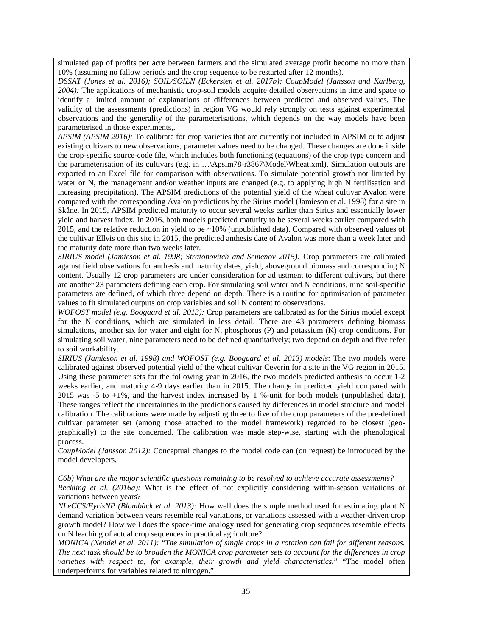simulated gap of profits per acre between farmers and the simulated average profit become no more than 10% (assuming no fallow periods and the crop sequence to be restarted after 12 months).

*DSSAT (Jones et al. 2016); SOIL/SOILN (Eckersten et al. 2017b); CoupModel (Jansson and Karlberg, 2004):* The applications of mechanistic crop-soil models acquire detailed observations in time and space to identify a limited amount of explanations of differences between predicted and observed values. The validity of the assessments (predictions) in region VG would rely strongly on tests against experimental observations and the generality of the parameterisations, which depends on the way models have been parameterised in those experiments,.

*APSIM (APSIM 2016):* To calibrate for crop varieties that are currently not included in APSIM or to adjust existing cultivars to new observations, parameter values need to be changed. These changes are done inside the crop-specific source-code file, which includes both functioning (equations) of the crop type concern and the parameterisation of its cultivars (e.g. in …\Apsim78-r3867\Model\Wheat.xml). Simulation outputs are exported to an Excel file for comparison with observations. To simulate potential growth not limited by water or N, the management and/or weather inputs are changed (e.g. to applying high N fertilisation and increasing precipitation). The APSIM predictions of the potential yield of the wheat cultivar Avalon were compared with the corresponding Avalon predictions by the Sirius model (Jamieson et al. 1998) for a site in Skåne. In 2015, APSIM predicted maturity to occur several weeks earlier than Sirius and essentially lower yield and harvest index. In 2016, both models predicted maturity to be several weeks earlier compared with 2015, and the relative reduction in yield to be ~10% (unpublished data). Compared with observed values of the cultivar Ellvis on this site in 2015, the predicted anthesis date of Avalon was more than a week later and the maturity date more than two weeks later.

*SIRIUS model (Jamieson et al. 1998; Stratonovitch and Semenov 2015):* Crop parameters are calibrated against field observations for anthesis and maturity dates, yield, aboveground biomass and corresponding N content. Usually 12 crop parameters are under consideration for adjustment to different cultivars, but there are another 23 parameters defining each crop. For simulating soil water and N conditions, nine soil-specific parameters are defined, of which three depend on depth. There is a routine for optimisation of parameter values to fit simulated outputs on crop variables and soil N content to observations.

*WOFOST model (e.g. Boogaard et al. 2013):* Crop parameters are calibrated as for the Sirius model except for the N conditions, which are simulated in less detail. There are 43 parameters defining biomass simulations, another six for water and eight for N, phosphorus (P) and potassium (K) crop conditions. For simulating soil water, nine parameters need to be defined quantitatively; two depend on depth and five refer to soil workability.

*SIRIUS (Jamieson et al. 1998) and WOFOST (e.g. Boogaard et al. 2013) models*: The two models were calibrated against observed potential yield of the wheat cultivar Ceverin for a site in the VG region in 2015. Using these parameter sets for the following year in 2016, the two models predicted anthesis to occur 1-2 weeks earlier, and maturity 4-9 days earlier than in 2015. The change in predicted yield compared with 2015 was -5 to +1%, and the harvest index increased by 1 %-unit for both models (unpublished data). These ranges reflect the uncertainties in the predictions caused by differences in model structure and model calibration. The calibrations were made by adjusting three to five of the crop parameters of the pre-defined cultivar parameter set (among those attached to the model framework) regarded to be closest (geographically) to the site concerned. The calibration was made step-wise, starting with the phenological process.

*CoupModel (Jansson 2012):* Conceptual changes to the model code can (on request) be introduced by the model developers.

*C6b) What are the major scientific questions remaining to be resolved to achieve accurate assessments?*

*Reckling et al. (2016a):* What is the effect of not explicitly considering within-season variations or variations between years?

*NLeCCS/FyrisNP (Blombäck et al. 2013):* How well does the simple method used for estimating plant N demand variation between years resemble real variations, or variations assessed with a weather-driven crop growth model? How well does the space-time analogy used for generating crop sequences resemble effects on N leaching of actual crop sequences in practical agriculture?

*MONICA (Nendel et al. 2011):* "*The simulation of single crops in a rotation can fail for different reasons. The next task should be to broaden the MONICA crop parameter sets to account for the differences in crop varieties with respect to, for example, their growth and yield characteristics.*" "The model often underperforms for variables related to nitrogen."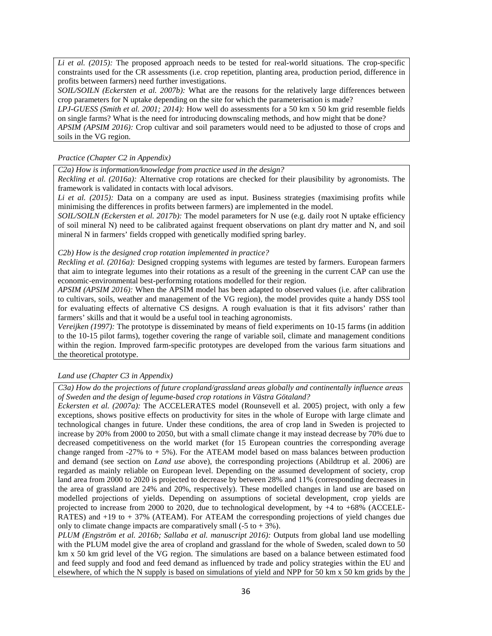*Li et al. (2015):* The proposed approach needs to be tested for real-world situations. The crop-specific constraints used for the CR assessments (i.e. crop repetition, planting area, production period, difference in profits between farmers) need further investigations.

*SOIL/SOILN (Eckersten et al. 2007b):* What are the reasons for the relatively large differences between crop parameters for N uptake depending on the site for which the parameterisation is made?

*LPJ-GUESS (Smith et al. 2001; 2014):* How well do assessments for a 50 km x 50 km grid resemble fields on single farms? What is the need for introducing downscaling methods, and how might that be done? *APSIM (APSIM 2016):* Crop cultivar and soil parameters would need to be adjusted to those of crops and

soils in the VG region.

#### *Practice (Chapter C2 in Appendix)*

*C2a) How is information/knowledge from practice used in the design?*

*Reckling et al. (2016a):* Alternative crop rotations are checked for their plausibility by agronomists. The framework is validated in contacts with local advisors.

<span id="page-37-0"></span>*Li et al. (2015):* Data on a company are used as input. Business strategies (maximising profits while minimising the differences in profits between farmers) are implemented in the model.

*SOIL/SOILN (Eckersten et al. 2017b):* The model parameters for N use (e.g. daily root N uptake efficiency of soil mineral N) need to be calibrated against frequent observations on plant dry matter and N, and soil mineral N in farmers' fields cropped with genetically modified spring barley.

#### *C2b) How is the designed crop rotation implemented in practice?*

*Reckling et al. (2016a):* Designed cropping systems with legumes are tested by farmers. European farmers that aim to integrate legumes into their rotations as a result of the greening in the current CAP can use the economic-environmental best-performing rotations modelled for their region.

*APSIM (APSIM 2016):* When the APSIM model has been adapted to observed values (i.e. after calibration to cultivars, soils, weather and management of the VG region), the model provides quite a handy DSS tool for evaluating effects of alternative CS designs. A rough evaluation is that it fits advisors' rather than farmers' skills and that it would be a useful tool in teaching agronomists.

*Vereijken (1997):* The prototype is disseminated by means of field experiments on 10-15 farms (in addition to the 10-15 pilot farms), together covering the range of variable soil, climate and management conditions within the region. Improved farm-specific prototypes are developed from the various farm situations and the theoretical prototype.

#### *Land use (Chapter C3 in Appendix)*

*C3a) How do the projections of future cropland/grassland areas globally and continentally influence areas of Sweden and the design of legume-based crop rotations in Västra Götaland?*

<span id="page-37-1"></span>*Eckersten et al. (2007a):* The ACCELERATES model (Rounsevell et al. 2005) project, with only a few exceptions, shows positive effects on productivity for sites in the whole of Europe with large climate and technological changes in future. Under these conditions, the area of crop land in Sweden is projected to increase by 20% from 2000 to 2050, but with a small climate change it may instead decrease by 70% due to decreased competitiveness on the world market (for 15 European countries the corresponding average change ranged from  $-27\%$  to  $+5\%$ ). For the ATEAM model based on mass balances between production and demand (see section on *Land use* above), the corresponding projections (Abildtrup et al. 2006) are regarded as mainly reliable on European level. Depending on the assumed development of society, crop land area from 2000 to 2020 is projected to decrease by between 28% and 11% (corresponding decreases in the area of grassland are 24% and 20%, respectively). These modelled changes in land use are based on modelled projections of yields. Depending on assumptions of societal development, crop yields are projected to increase from 2000 to 2020, due to technological development, by +4 to +68% (ACCELE-RATES) and +19 to + 37% (ATEAM). For ATEAM the corresponding projections of yield changes due only to climate change impacts are comparatively small  $(-5 \text{ to } +3\%)$ .

*PLUM (Engström et al. 2016b; Sallaba et al. manuscript 2016):* Outputs from global land use modelling with the PLUM model give the area of cropland and grassland for the whole of Sweden, scaled down to 50 km x 50 km grid level of the VG region. The simulations are based on a balance between estimated food and feed supply and food and feed demand as influenced by trade and policy strategies within the EU and elsewhere, of which the N supply is based on simulations of yield and NPP for 50 km x 50 km grids by the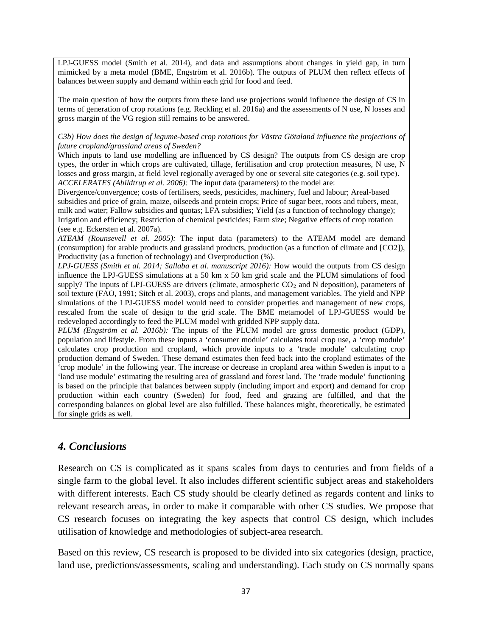LPJ-GUESS model (Smith et al. 2014), and data and assumptions about changes in yield gap, in turn mimicked by a meta model (BME, Engström et al. 2016b). The outputs of PLUM then reflect effects of balances between supply and demand within each grid for food and feed.

The main question of how the outputs from these land use projections would influence the design of CS in terms of generation of crop rotations (e.g. Reckling et al. 2016a) and the assessments of N use, N losses and gross margin of the VG region still remains to be answered.

*C3b) How does the design of legume-based crop rotations for Västra Götaland influence the projections of future cropland/grassland areas of Sweden?*

Which inputs to land use modelling are influenced by CS design? The outputs from CS design are crop types, the order in which crops are cultivated, tillage, fertilisation and crop protection measures, N use, N losses and gross margin, at field level regionally averaged by one or several site categories (e.g. soil type). *ACCELERATES (Abildtrup et al. 2006):* The input data (parameters) to the model are:

Divergence/convergence; costs of fertilisers, seeds, pesticides, machinery, fuel and labour; Areal-based subsidies and price of grain, maize, oilseeds and protein crops; Price of sugar beet, roots and tubers, meat, milk and water; Fallow subsidies and quotas; LFA subsidies; Yield (as a function of technology change); Irrigation and efficiency; Restriction of chemical pesticides; Farm size; Negative effects of crop rotation (see e.g. Eckersten et al. 2007a).

*ATEAM (Rounsevell et al. 2005):* The input data (parameters) to the ATEAM model are demand (consumption) for arable products and grassland products, production (as a function of climate and [CO2]), Productivity (as a function of technology) and Overproduction (%).

*LPJ-GUESS (Smith et al. 2014; Sallaba et al. manuscript 2016):* How would the outputs from CS design influence the LPJ-GUESS simulations at a 50 km x 50 km grid scale and the PLUM simulations of food supply? The inputs of LPJ-GUESS are drivers (climate, atmospheric  $CO<sub>2</sub>$  and N deposition), parameters of soil texture (FAO, 1991; Sitch et al. 2003), crops and plants, and management variables. The yield and NPP simulations of the LPJ-GUESS model would need to consider properties and management of new crops, rescaled from the scale of design to the grid scale. The BME metamodel of LPJ-GUESS would be redeveloped accordingly to feed the PLUM model with gridded NPP supply data.

*PLUM (Engström et al. 2016b):* The inputs of the PLUM model are gross domestic product (GDP), population and lifestyle. From these inputs a 'consumer module' calculates total crop use, a 'crop module' calculates crop production and cropland, which provide inputs to a 'trade module' calculating crop production demand of Sweden. These demand estimates then feed back into the cropland estimates of the 'crop module' in the following year. The increase or decrease in cropland area within Sweden is input to a 'land use module' estimating the resulting area of grassland and forest land. The 'trade module' functioning is based on the principle that balances between supply (including import and export) and demand for crop production within each country (Sweden) for food, feed and grazing are fulfilled, and that the corresponding balances on global level are also fulfilled. These balances might, theoretically, be estimated for single grids as well.

# *4. Conclusions*

<span id="page-38-0"></span>Research on CS is complicated as it spans scales from days to centuries and from fields of a single farm to the global level. It also includes different scientific subject areas and stakeholders with different interests. Each CS study should be clearly defined as regards content and links to relevant research areas, in order to make it comparable with other CS studies. We propose that CS research focuses on integrating the key aspects that control CS design, which includes utilisation of knowledge and methodologies of subject-area research.

Based on this review, CS research is proposed to be divided into six categories (design, practice, land use, predictions/assessments, scaling and understanding). Each study on CS normally spans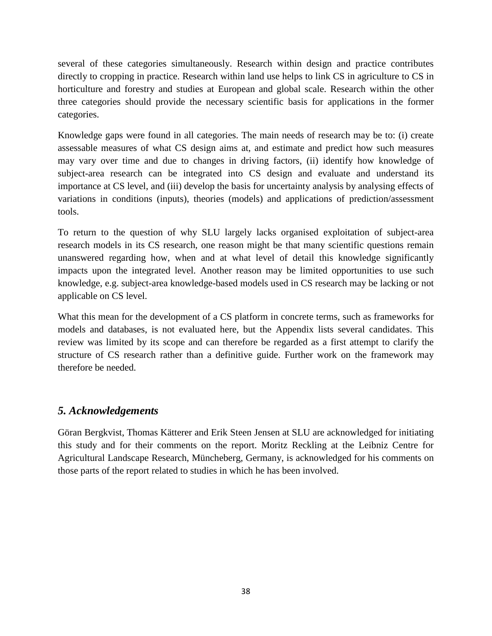several of these categories simultaneously. Research within design and practice contributes directly to cropping in practice. Research within land use helps to link CS in agriculture to CS in horticulture and forestry and studies at European and global scale. Research within the other three categories should provide the necessary scientific basis for applications in the former categories.

Knowledge gaps were found in all categories. The main needs of research may be to: (i) create assessable measures of what CS design aims at, and estimate and predict how such measures may vary over time and due to changes in driving factors, (ii) identify how knowledge of subject-area research can be integrated into CS design and evaluate and understand its importance at CS level, and (iii) develop the basis for uncertainty analysis by analysing effects of variations in conditions (inputs), theories (models) and applications of prediction/assessment tools.

To return to the question of why SLU largely lacks organised exploitation of subject-area research models in its CS research, one reason might be that many scientific questions remain unanswered regarding how, when and at what level of detail this knowledge significantly impacts upon the integrated level. Another reason may be limited opportunities to use such knowledge, e.g. subject-area knowledge-based models used in CS research may be lacking or not applicable on CS level.

What this mean for the development of a CS platform in concrete terms, such as frameworks for models and databases, is not evaluated here, but the Appendix lists several candidates. This review was limited by its scope and can therefore be regarded as a first attempt to clarify the structure of CS research rather than a definitive guide. Further work on the framework may therefore be needed.

# *5. Acknowledgements*

<span id="page-39-0"></span>Göran Bergkvist, Thomas Kätterer and Erik Steen Jensen at SLU are acknowledged for initiating this study and for their comments on the report. Moritz Reckling at the Leibniz Centre for Agricultural Landscape Research, Müncheberg, Germany, is acknowledged for his comments on those parts of the report related to studies in which he has been involved.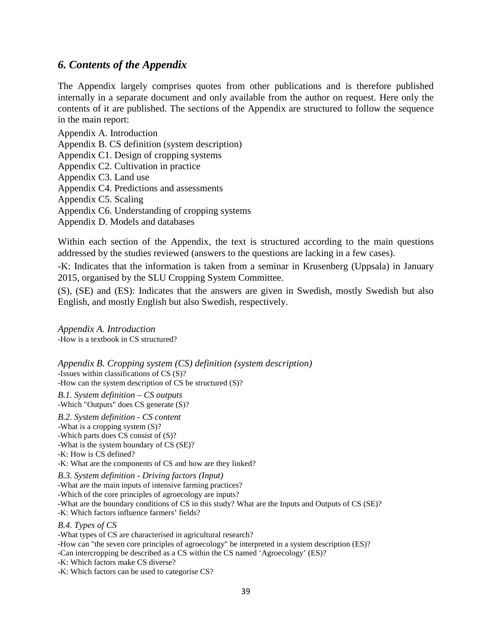# *6. Contents of the Appendix*

<span id="page-40-0"></span>The Appendix largely comprises quotes from other publications and is therefore published internally in a separate document and only available from the author on request. Here only the contents of it are published. The sections of the Appendix are structured to follow the sequence in the main report:

Appendix A. Introduction

Appendix B. CS definition (system description)

Appendix C1. Design of cropping systems

Appendix C2. Cultivation in practice

Appendix C3. Land use

Appendix C4. Predictions and assessments

Appendix C5. Scaling

Appendix C6. Understanding of cropping systems

Appendix D. Models and databases

Within each section of the Appendix, the text is structured according to the main questions addressed by the studies reviewed (answers to the questions are lacking in a few cases).

-K: Indicates that the information is taken from a seminar in Krusenberg (Uppsala) in January 2015, organised by the SLU Cropping System Committee.

(S), (SE) and (ES): Indicates that the answers are given in Swedish, mostly Swedish but also English, and mostly English but also Swedish, respectively.

*Appendix A. Introduction* -How is a textbook in CS structured?

*Appendix B. Cropping system (CS) definition (system description)* -Issues within classifications of CS (S)? -How can the system description of CS be structured (S)?

*B.1. System definition – CS outputs* -Which "Outputs" does CS generate (S)?

*B.2. System definition - CS content* -What is a cropping system (S)? -Which parts does CS consist of (S)? -What is the system boundary of CS (SE)? -K: How is CS defined? -K: What are the components of CS and how are they linked? *B.3. System definition - Driving factors (Input)*

-What are the main inputs of intensive farming practices? -Which of the core principles of agroecology are inputs? -What are the boundary conditions of CS in this study? What are the Inputs and Outputs of CS (SE)? -K: Which factors influence farmers' fields?

# *B.4. Types of CS*

-What types of CS are characterised in agricultural research? -How can "the seven core principles of agroecology" be interpreted in a system description (ES)? -Can intercropping be described as a CS within the CS named 'Agroecology' (ES)? -K: Which factors make CS diverse? -K: Which factors can be used to categorise CS?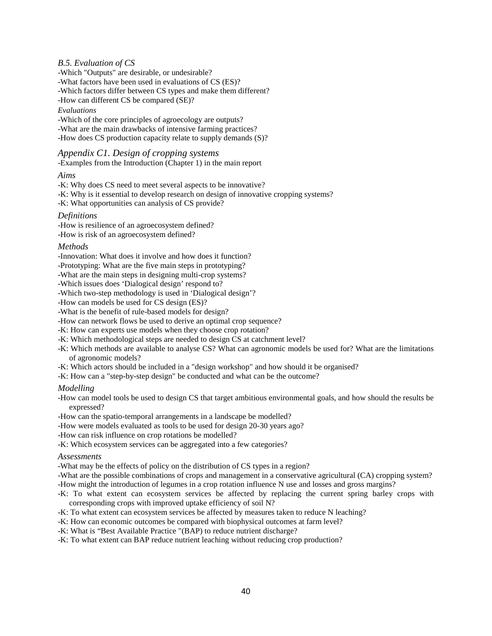#### *B.5. Evaluation of CS*

-Which "Outputs" are desirable, or undesirable? -What factors have been used in evaluations of CS (ES)? -Which factors differ between CS types and make them different? -How can different CS be compared (SE)?

#### *Evaluations*

-Which of the core principles of agroecology are outputs? -What are the main drawbacks of intensive farming practices? -How does CS production capacity relate to supply demands (S)?

#### *Appendix C1. Design of cropping systems*

-Examples from the Introduction (Chapter 1) in the main report

#### *Aims*

-K: Why does CS need to meet several aspects to be innovative?

- -K: Why is it essential to develop research on design of innovative cropping systems?
- -K: What opportunities can analysis of CS provide?

#### *Definitions*

-How is resilience of an agroecosystem defined?

-How is risk of an agroecosystem defined?

#### *Methods*

- -Innovation: What does it involve and how does it function?
- -Prototyping: What are the five main steps in prototyping?
- -What are the main steps in designing multi-crop systems?
- -Which issues does 'Dialogical design' respond to?
- -Which two-step methodology is used in 'Dialogical design'?
- -How can models be used for CS design (ES)?
- -What is the benefit of rule-based models for design?
- -How can network flows be used to derive an optimal crop sequence?
- -K: How can experts use models when they choose crop rotation?
- -K: Which methodological steps are needed to design CS at catchment level?
- -K: Which methods are available to analyse CS? What can agronomic models be used for? What are the limitations of agronomic models?
- -K: Which actors should be included in a "design workshop" and how should it be organised?
- -K: How can a "step-by-step design" be conducted and what can be the outcome?

#### *Modelling*

-How can model tools be used to design CS that target ambitious environmental goals, and how should the results be expressed?

- -How can the spatio-temporal arrangements in a landscape be modelled?
- -How were models evaluated as tools to be used for design 20-30 years ago?
- -How can risk influence on crop rotations be modelled?

-K: Which ecosystem services can be aggregated into a few categories?

#### *Assessments*

-What may be the effects of policy on the distribution of CS types in a region?

-What are the possible combinations of crops and management in a conservative agricultural (CA) cropping system?

- -How might the introduction of legumes in a crop rotation influence N use and losses and gross margins?
- -K: To what extent can ecosystem services be affected by replacing the current spring barley crops with corresponding crops with improved uptake efficiency of soil N?
- -K: To what extent can ecosystem services be affected by measures taken to reduce N leaching?
- -K: How can economic outcomes be compared with biophysical outcomes at farm level?
- -K: What is "Best Available Practice "(BAP) to reduce nutrient discharge?
- -K: To what extent can BAP reduce nutrient leaching without reducing crop production?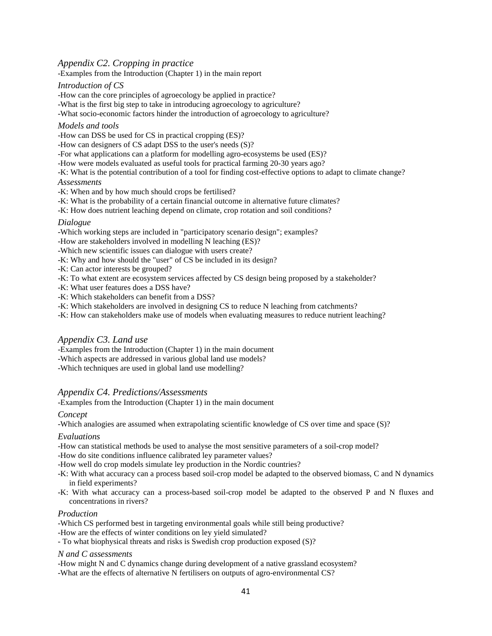# *Appendix C2. Cropping in practice*

-Examples from the Introduction (Chapter 1) in the main report

#### *Introduction of CS*

-How can the core principles of agroecology be applied in practice?

-What is the first big step to take in introducing agroecology to agriculture?

-What socio-economic factors hinder the introduction of agroecology to agriculture?

#### *Models and tools*

-How can DSS be used for CS in practical cropping (ES)?

-How can designers of CS adapt DSS to the user's needs (S)?

-For what applications can a platform for modelling agro-ecosystems be used (ES)?

-How were models evaluated as useful tools for practical farming 20-30 years ago?

-K: What is the potential contribution of a tool for finding cost-effective options to adapt to climate change? *Assessments*

-K: When and by how much should crops be fertilised?

-K: What is the probability of a certain financial outcome in alternative future climates?

-K: How does nutrient leaching depend on climate, crop rotation and soil conditions?

#### *Dialogue*

-Which working steps are included in "participatory scenario design"; examples?

-How are stakeholders involved in modelling N leaching (ES)?

-Which new scientific issues can dialogue with users create?

-K: Why and how should the "user" of CS be included in its design?

-K: Can actor interests be grouped?

-K: To what extent are ecosystem services affected by CS design being proposed by a stakeholder?

-K: What user features does a DSS have?

-K: Which stakeholders can benefit from a DSS?

-K: Which stakeholders are involved in designing CS to reduce N leaching from catchments?

-K: How can stakeholders make use of models when evaluating measures to reduce nutrient leaching?

### *Appendix C3. Land use*

-Examples from the Introduction (Chapter 1) in the main document

-Which aspects are addressed in various global land use models?

-Which techniques are used in global land use modelling?

### *Appendix C4. Predictions/Assessments*

-Examples from the Introduction (Chapter 1) in the main document

#### *Concept*

-Which analogies are assumed when extrapolating scientific knowledge of CS over time and space (S)?

#### *Evaluations*

-How can statistical methods be used to analyse the most sensitive parameters of a soil-crop model?

-How do site conditions influence calibrated ley parameter values?

-How well do crop models simulate ley production in the Nordic countries?

-K: With what accuracy can a process based soil-crop model be adapted to the observed biomass, C and N dynamics in field experiments?

-K: With what accuracy can a process-based soil-crop model be adapted to the observed P and N fluxes and concentrations in rivers?

#### *Production*

-Which CS performed best in targeting environmental goals while still being productive?

-How are the effects of winter conditions on ley yield simulated?

- To what biophysical threats and risks is Swedish crop production exposed (S)?

#### *N and C assessments*

-How might N and C dynamics change during development of a native grassland ecosystem?

-What are the effects of alternative N fertilisers on outputs of agro-environmental CS?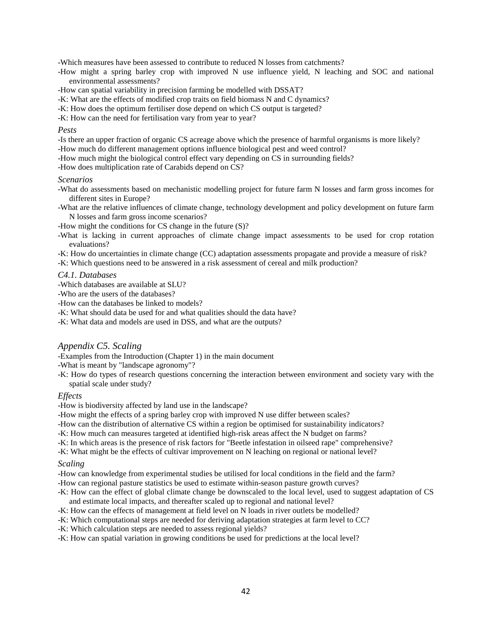-Which measures have been assessed to contribute to reduced N losses from catchments?

- -How might a spring barley crop with improved N use influence yield, N leaching and SOC and national environmental assessments?
- -How can spatial variability in precision farming be modelled with DSSAT?
- -K: What are the effects of modified crop traits on field biomass N and C dynamics?
- -K: How does the optimum fertiliser dose depend on which CS output is targeted?
- -K: How can the need for fertilisation vary from year to year?

#### *Pests*

- -Is there an upper fraction of organic CS acreage above which the presence of harmful organisms is more likely?
- -How much do different management options influence biological pest and weed control?
- -How much might the biological control effect vary depending on CS in surrounding fields?
- -How does multiplication rate of Carabids depend on CS?

#### *Scenarios*

- -What do assessments based on mechanistic modelling project for future farm N losses and farm gross incomes for different sites in Europe?
- -What are the relative influences of climate change, technology development and policy development on future farm N losses and farm gross income scenarios?
- -How might the conditions for CS change in the future (S)?
- -What is lacking in current approaches of climate change impact assessments to be used for crop rotation evaluations?
- -K: How do uncertainties in climate change (CC) adaptation assessments propagate and provide a measure of risk?
- -K: Which questions need to be answered in a risk assessment of cereal and milk production?

#### *C4.1. Databases*

-Which databases are available at SLU?

- -Who are the users of the databases?
- -How can the databases be linked to models?
- -K: What should data be used for and what qualities should the data have?
- -K: What data and models are used in DSS, and what are the outputs?

#### *Appendix C5. Scaling*

-Examples from the Introduction (Chapter 1) in the main document

- -What is meant by "landscape agronomy"?
- -K: How do types of research questions concerning the interaction between environment and society vary with the spatial scale under study?

#### *Effects*

-How is biodiversity affected by land use in the landscape?

-How might the effects of a spring barley crop with improved N use differ between scales?

- -How can the distribution of alternative CS within a region be optimised for sustainability indicators?
- -K: How much can measures targeted at identified high-risk areas affect the N budget on farms?
- -K: In which areas is the presence of risk factors for "Beetle infestation in oilseed rape" comprehensive?
- -K: What might be the effects of cultivar improvement on N leaching on regional or national level?

#### *Scaling*

- -How can knowledge from experimental studies be utilised for local conditions in the field and the farm?
- -How can regional pasture statistics be used to estimate within-season pasture growth curves?
- -K: How can the effect of global climate change be downscaled to the local level, used to suggest adaptation of CS and estimate local impacts, and thereafter scaled up to regional and national level?
- -K: How can the effects of management at field level on N loads in river outlets be modelled?
- -K: Which computational steps are needed for deriving adaptation strategies at farm level to CC?
- -K: Which calculation steps are needed to assess regional yields?
- -K: How can spatial variation in growing conditions be used for predictions at the local level?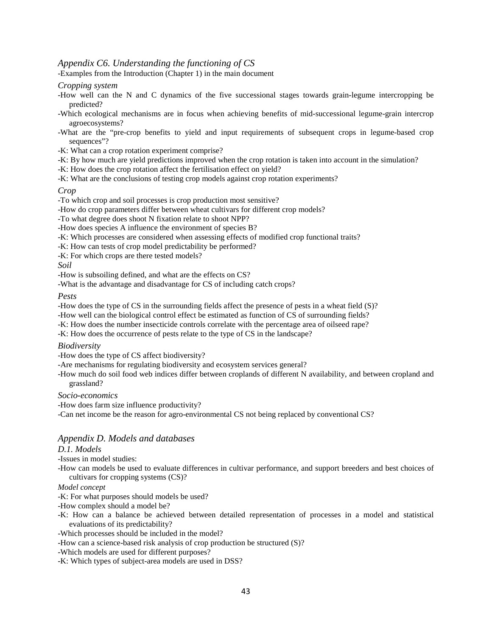# *Appendix C6. Understanding the functioning of CS*

-Examples from the Introduction (Chapter 1) in the main document

#### *Cropping system*

- -How well can the N and C dynamics of the five successional stages towards grain-legume intercropping be predicted?
- -Which ecological mechanisms are in focus when achieving benefits of mid-successional legume-grain intercrop agroecosystems?
- -What are the "pre-crop benefits to yield and input requirements of subsequent crops in legume-based crop sequences"?
- -K: What can a crop rotation experiment comprise?
- -K: By how much are yield predictions improved when the crop rotation is taken into account in the simulation?
- -K: How does the crop rotation affect the fertilisation effect on yield?
- -K: What are the conclusions of testing crop models against crop rotation experiments?

#### *Crop*

- -To which crop and soil processes is crop production most sensitive?
- -How do crop parameters differ between wheat cultivars for different crop models?
- -To what degree does shoot N fixation relate to shoot NPP?
- -How does species A influence the environment of species B?
- -K: Which processes are considered when assessing effects of modified crop functional traits?
- -K: How can tests of crop model predictability be performed?
- -K: For which crops are there tested models?

*Soil*

- -How is subsoiling defined, and what are the effects on CS?
- -What is the advantage and disadvantage for CS of including catch crops?

*Pests*

-How does the type of CS in the surrounding fields affect the presence of pests in a wheat field (S)?

- -How well can the biological control effect be estimated as function of CS of surrounding fields?
- -K: How does the number insecticide controls correlate with the percentage area of oilseed rape?
- -K: How does the occurrence of pests relate to the type of CS in the landscape?

#### *Biodiversity*

-How does the type of CS affect biodiversity?

- -Are mechanisms for regulating biodiversity and ecosystem services general?
- -How much do soil food web indices differ between croplands of different N availability, and between cropland and grassland?

#### *Socio-economics*

-How does farm size influence productivity?

-Can net income be the reason for agro-environmental CS not being replaced by conventional CS?

### *Appendix D. Models and databases*

#### *D.1. Models*

-Issues in model studies:

-How can models be used to evaluate differences in cultivar performance, and support breeders and best choices of cultivars for cropping systems (CS)?

#### *Model concept*

- -K: For what purposes should models be used?
- -How complex should a model be?
- -K: How can a balance be achieved between detailed representation of processes in a model and statistical evaluations of its predictability?

#### -Which processes should be included in the model?

- -How can a science-based risk analysis of crop production be structured (S)?
- -Which models are used for different purposes?
- -K: Which types of subject-area models are used in DSS?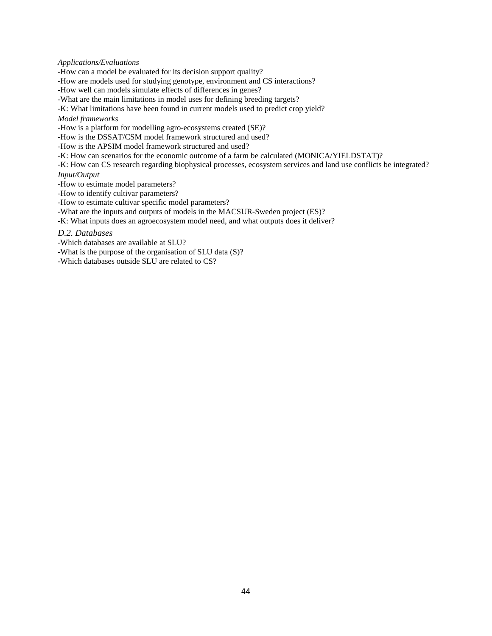#### *Applications/Evaluations*

-How can a model be evaluated for its decision support quality?

-How are models used for studying genotype, environment and CS interactions?

-How well can models simulate effects of differences in genes?

-What are the main limitations in model uses for defining breeding targets?

-K: What limitations have been found in current models used to predict crop yield?

*Model frameworks*

-How is a platform for modelling agro-ecosystems created (SE)?

-How is the DSSAT/CSM model framework structured and used?

-How is the APSIM model framework structured and used?

-K: How can scenarios for the economic outcome of a farm be calculated (MONICA/YIELDSTAT)?

-K: How can CS research regarding biophysical processes, ecosystem services and land use conflicts be integrated?

*Input/Output*

-How to estimate model parameters?

-How to identify cultivar parameters?

-How to estimate cultivar specific model parameters?

-What are the inputs and outputs of models in the MACSUR-Sweden project (ES)?

-K: What inputs does an agroecosystem model need, and what outputs does it deliver?

*D.2. Databases*

-Which databases are available at SLU?

-What is the purpose of the organisation of SLU data (S)?

-Which databases outside SLU are related to CS?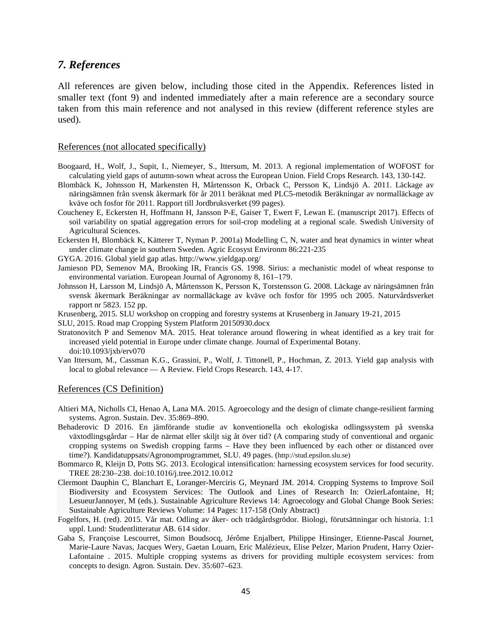# *7. References*

<span id="page-46-0"></span>All references are given below, including those cited in the Appendix. References listed in smaller text (font 9) and indented immediately after a main reference are a secondary source taken from this main reference and not analysed in this review (different reference styles are used).

#### References (not allocated specifically)

- Boogaard, H., Wolf, J., Supit, I., Niemeyer, S., Ittersum, M. 2013. A regional implementation of WOFOST for calculating yield gaps of autumn-sown wheat across the European Union. Field Crops Research. 143, 130-142.
- <span id="page-46-1"></span>Blombäck K, Johnsson H, Markensten H, Mårtensson K, Orback C, Persson K, Lindsjö A. 2011. Läckage av näringsämnen från svensk åkermark för år 2011 beräknat med PLC5-metodik Beräkningar av normalläckage av kväve och fosfor för 2011. Rapport till Jordbruksverket (99 pages).
- Coucheney E, Eckersten H, Hoffmann H, Jansson P-E, Gaiser T, Ewert F, Lewan E. (manuscript 2017). Effects of soil variability on spatial aggregation errors for soil-crop modeling at a regional scale. Swedish University of Agricultural Sciences.
- Eckersten H, Blombäck K, Kätterer T, Nyman P. 2001a) Modelling C, N, water and heat dynamics in winter wheat under climate change in southern Sweden. Agric Ecosyst Environm 86:221-235
- GYGA. 2016. Global yield gap atlas. http://www.yieldgap.org/
- Jamieson PD, Semenov MA, Brooking IR, Francis GS. 1998. Sirius: a mechanistic model of wheat response to environmental variation. European Journal of Agronomy 8, 161–179.
- Johnsson H, Larsson M, Lindsjö A, Mårtensson K, Persson K, Torstensson G. 2008. Läckage av näringsämnen från svensk åkermark Beräkningar av normalläckage av kväve och fosfor för 1995 och 2005. Naturvårdsverket rapport nr 5823. 152 pp.
- Krusenberg, 2015. SLU workshop on cropping and forestry systems at Krusenberg in January 19-21, 2015
- SLU, 2015. Road map Cropping System Platform 20150930.docx
- Stratonovitch P and Semenov MA. 2015. Heat tolerance around flowering in wheat identified as a key trait for increased yield potential in Europe under climate change. Journal of Experimental Botany. doi:10.1093/jxb/erv070
- Van Ittersum, M., Cassman K.G., Grassini, P., Wolf, J. Tittonell, P., Hochman, Z. 2013. Yield gap analysis with local to global relevance — A Review. Field Crops Research. 143, 4-17.

#### References (CS Definition)

- Altieri MA, Nicholls CI, Henao A, Lana MA. 2015. Agroecology and the design of climate change-resilient farming systems. Agron. Sustain. Dev. 35:869–890.
- <span id="page-46-2"></span>Behaderovic D 2016. En jämförande studie av konventionella och ekologiska odlingssystem på svenska växtodlingsgårdar – Har de närmat eller skiljt sig åt över tid? (A comparing study of conventional and organic cropping systems on Swedish cropping farms – Have they been influenced by each other or distanced over time?). Kandidatuppsats/Agronomprogrammet, SLU. 49 pages. (http://stud.epsilon.slu.se)
- Bommarco R, Kleijn D, Potts SG. 2013. Ecological intensification: harnessing ecosystem services for food security. TREE 28:230–238. doi:10.1016/j.tree.2012.10.012
- Clermont Dauphin C, Blanchart E, Loranger-Merciris G, Meynard JM. 2014. Cropping Systems to Improve Soil Biodiversity and Ecosystem Services: The Outlook and Lines of Research In: OzierLafontaine, H; LesueurJannoyer, M (eds.). Sustainable Agriculture Reviews 14: Agroecology and Global Change Book Series: Sustainable Agriculture Reviews Volume: 14 Pages: 117-158 (Only Abstract)
- Fogelfors, H. (red). 2015. Vår mat. Odling av åker- och trädgårdsgrödor. Biologi, förutsättningar och historia. 1:1 uppl. Lund: Studentlitteratur AB. 614 sidor.
- Gaba S, Françoise Lescourret, Simon Boudsocq, Jérôme Enjalbert, Philippe Hinsinger, Etienne-Pascal Journet, Marie-Laure Navas, Jacques Wery, Gaetan Louarn, Eric Malézieux, Elise Pelzer, Marion Prudent, Harry Ozier-Lafontaine . 2015. Multiple cropping systems as drivers for providing multiple ecosystem services: from concepts to design. Agron. Sustain. Dev. 35:607–623.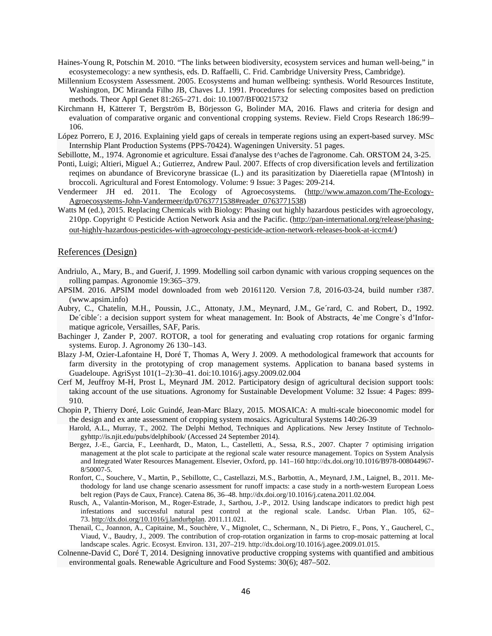- Haines-Young R, Potschin M. 2010. "The links between biodiversity, ecosystem services and human well-being," in ecosystemecology: a new synthesis, eds. D. Raffaelli, C. Frid. Cambridge University Press, Cambridge).
- Millennium Ecosystem Assessment. 2005. Ecosystems and human wellbeing: synthesis. World Resources Institute, Washington, DC Miranda Filho JB, Chaves LJ. 1991. Procedures for selecting composites based on prediction methods. Theor Appl Genet 81:265–271. doi: 10.1007/BF00215732
- Kirchmann H, Kätterer T, Bergström B, Börjesson G, Bolinder MA, 2016. Flaws and criteria for design and evaluation of comparative organic and conventional cropping systems. Review. Field Crops Research 186:99– 106.
- López Porrero, E J, 2016. Explaining yield gaps of cereals in temperate regions using an expert-based survey. MSc Internship Plant Production Systems (PPS-70424). Wageningen University. 51 pages.
- Sebillotte, M., 1974. Agronomie et agriculture. Essai d'analyse des t^aches de l'agronome. Cah. ORSTOM 24, 3-25.
- Ponti, Luigi; Altieri, Miguel A.; Gutierrez, Andrew Paul. 2007. Effects of crop diversification levels and fertilization reqimes on abundance of Brevicoryne brassicae (L.) and its parasitization by Diaeretiella rapae (M'Intosh) in broccoli. Agricultural and Forest Entomology. Volume: 9 Issue: 3 Pages: 209-214.
- Vendermeer JH ed. 2011. The Ecology of Agroecosystems. [\(http://www.amazon.com/The-Ecology-](http://www.amazon.com/The-Ecology-Agroecosystems-John-Vandermeer/dp/0763771538#reader_0763771538)[Agroecosystems-John-Vandermeer/dp/0763771538#reader\\_0763771538\)](http://www.amazon.com/The-Ecology-Agroecosystems-John-Vandermeer/dp/0763771538#reader_0763771538)
- Watts M (ed.), 2015. Replacing Chemicals with Biology: Phasing out highly hazardous pesticides with agroecology, 210pp. Copyright © Pesticide Action Network Asia and the Pacific. [\(http://pan-international.org/release/phasing](http://pan-international.org/release/phasing-out-highly-hazardous-pesticides-with-agroecology-pesticide-action-network-releases-book-at-iccm4/)[out-highly-hazardous-pesticides-with-agroecology-pesticide-action-network-releases-book-at-iccm4/\)](http://pan-international.org/release/phasing-out-highly-hazardous-pesticides-with-agroecology-pesticide-action-network-releases-book-at-iccm4/)

#### References (Design)

- Andriulo, A., Mary, B., and Guerif, J. 1999. Modelling soil carbon dynamic with various cropping sequences on the rolling pampas. Agronomie 19:365–379.
- <span id="page-47-0"></span>APSIM. 2016. APSIM model downloaded from web 20161120. Version 7.8, 2016-03-24, build number r387. (www.apsim.info)
- Aubry, C., Chatelin, M.H., Poussin, J.C., Attonaty, J.M., Meynard, J.M., Ge´rard, C. and Robert, D., 1992. De´cible´: a decision support system for wheat management. In: Book of Abstracts, 4e`me Congre`s d'Informatique agricole, Versailles, SAF, Paris.
- Bachinger J, Zander P, 2007. ROTOR, a tool for generating and evaluating crop rotations for organic farming systems. Europ. J. Agronomy 26 130–143.
- Blazy J-M, Ozier-Lafontaine H, Doré T, Thomas A, Wery J. 2009. A methodological framework that accounts for farm diversity in the prototyping of crop management systems. Application to banana based systems in Guadeloupe. AgriSyst 101(1–2):30–41. doi:10.1016/j.agsy.2009.02.004
- Cerf M, Jeuffroy M-H, Prost L, Meynard JM. 2012. Participatory design of agricultural decision support tools: taking account of the use situations. Agronomy for Sustainable Development Volume: 32 Issue: 4 Pages: 899- 910.
- Chopin P, Thierry Doré, Loïc Guindé, Jean-Marc Blazy, 2015. MOSAICA: A multi-scale bioeconomic model for the design and ex ante assessment of cropping system mosaics. Agricultural Systems 140:26-39
	- Harold, A.L., Murray, T., 2002. The Delphi Method, Techniques and Applications. New Jersey Institute of Technologyhttp://is.njit.edu/pubs/delphibook/ (Accessed 24 September 2014).
	- Bergez, J.-E., Garcia, F., Leenhardt, D., Maton, L., Castelletti, A., Sessa, R.S., 2007. Chapter 7 optimising irrigation management at the plot scale to participate at the regional scale water resource management. Topics on System Analysis and Integrated Water Resources Management. Elsevier, Oxford, pp. 141–160 http://dx.doi.org/10.1016/B978-008044967- 8/50007-5.
	- Ronfort, C., Souchere, V., Martin, P., Sebillotte, C., Castellazzi, M.S., Barbottin, A., Meynard, J.M., Laignel, B., 2011. Methodology for land use change scenario assessment for runoff impacts: a case study in a north-western European Loess belt region (Pays de Caux, France). Catena 86, 36–48. http://dx.doi.org/10.1016/j.catena.2011.02.004.
	- Rusch, A., Valantin-Morison, M., Roger-Estrade, J., Sarthou, J.-P., 2012. Using landscape indicators to predict high pest infestations and successful natural pest control at the regional scale. Landsc. Urban Plan. 105, 62– 73. [http://dx.doi.org/10.1016/j.landurbplan.](http://dx.doi.org/10.1016/j.landurbplan) 2011.11.021.
	- Thenail, C., Joannon, A., Capitaine, M., Souchère, V., Mignolet, C., Schermann, N., Di Pietro, F., Pons, Y., Gaucherel, C., Viaud, V., Baudry, J., 2009. The contribution of crop-rotation organization in farms to crop-mosaic patterning at local landscape scales. Agric. Ecosyst. Environ. 131, 207–219. http://dx.doi.org/10.1016/j.agee.2009.01.015.
- Colnenne-David C, Doré T, 2014. Designing innovative productive cropping systems with quantified and ambitious environmental goals. Renewable Agriculture and Food Systems: 30(6); 487–502.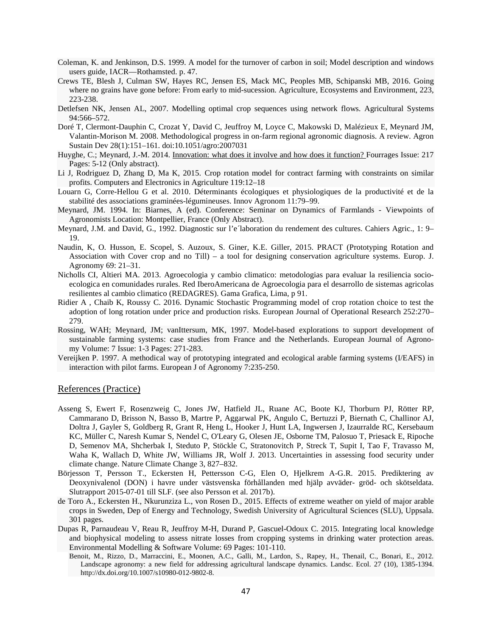- Coleman, K. and Jenkinson, D.S. 1999. A model for the turnover of carbon in soil; Model description and windows users guide, IACR—Rothamsted. p. 47.
- Crews TE, Blesh J, Culman SW, Hayes RC, Jensen ES, Mack MC, Peoples MB, Schipanski MB, 2016. Going where no grains have gone before: From early to mid-sucession. Agriculture, Ecosystems and Environment, 223, 223-238.
- Detlefsen NK, Jensen AL, 2007. Modelling optimal crop sequences using network flows. Agricultural Systems 94:566–572.
- Doré T, Clermont-Dauphin C, Crozat Y, David C, Jeuffroy M, Loyce C, Makowski D, Malézieux E, Meynard JM, Valantin-Morison M. 2008. Methodological progress in on-farm regional agronomic diagnosis. A review. Agron Sustain Dev 28(1):151–161. doi:10.1051/agro:2007031
- Huyghe, C.; Meynard, J.-M. 2014. [Innovation: what does it involve and how does it function? F](https://apps.webofknowledge.com/full_record.do?product=UA&search_mode=GeneralSearch&qid=7&SID=S1JPriF2YPyPnAtiIWK&page=1&doc=2)ourrages Issue: 217 Pages: 5-12 (Only abstract).
- Li J, Rodriguez D, Zhang D, Ma K, 2015. Crop rotation model for contract farming with constraints on similar profits. Computers and Electronics in Agriculture 119:12–18
- Louarn G, Corre-Hellou G et al. 2010. Déterminants écologiques et physiologiques de la productivité et de la stabilité des associations graminées-légumineuses. Innov Agronom 11:79–99.
- Meynard, JM. 1994. In: Biarnes, A (ed). Conference: Seminar on Dynamics of Farmlands Viewpoints of Agronomists Location: Montpellier, France (Only Abstract).
- Meynard, J.M. and David, G., 1992. Diagnostic sur l'e´laboration du rendement des cultures. Cahiers Agric., 1: 9– 19.
- Naudin, K, O. Husson, E. Scopel, S. Auzoux, S. Giner, K.E. Giller, 2015. PRACT (Prototyping Rotation and Association with Cover crop and no Till) – a tool for designing conservation agriculture systems. Europ. J. Agronomy 69: 21–31.
- Nicholls CI, Altieri MA. 2013. Agroecologia y cambio climatico: metodologias para evaluar la resiliencia socioecologica en comunidades rurales. Red IberoAmericana de Agroecologia para el desarrollo de sistemas agricolas resilientes al cambio climatico (REDAGRES). Gama Grafica, Lima, p 91.
- Ridier A , Chaib K, Roussy C. 2016. Dynamic Stochastic Programming model of crop rotation choice to test the adoption of long rotation under price and production risks. European Journal of Operational Research 252:270– 279.
- Rossing, WAH; Meynard, JM; vanIttersum, MK, 1997. [Model-based explorations to support development of](https://apps.webofknowledge.com/full_record.do?product=UA&search_mode=GeneralSearch&qid=7&SID=S1JPriF2YPyPnAtiIWK&page=3&doc=22)  [sustainable farming systems: case studies from France and the Netherlands.](https://apps.webofknowledge.com/full_record.do?product=UA&search_mode=GeneralSearch&qid=7&SID=S1JPriF2YPyPnAtiIWK&page=3&doc=22) European Journal of Agronomy Volume: 7 Issue: 1-3 Pages: 271-283.
- Vereijken P. 1997. A methodical way of prototyping integrated and ecological arable farming systems (I/EAFS) in interaction with pilot farms. European J of Agronomy 7:235-250.

#### References (Practice)

- <span id="page-48-0"></span>Asseng S, Ewert F, Rosenzweig C, Jones JW, Hatfield JL, Ruane AC, Boote KJ, Thorburn PJ, Rötter RP, Cammarano D, Brisson N, Basso B, Martre P, Aggarwal PK, Angulo C, Bertuzzi P, Biernath C, Challinor AJ, Doltra J, Gayler S, Goldberg R, Grant R, Heng L, Hooker J, Hunt LA, Ingwersen J, Izaurralde RC, Kersebaum KC, Müller C, Naresh Kumar S, Nendel C, O'Leary G, Olesen JE, Osborne TM, Palosuo T, Priesack E, Ripoche D, Semenov MA, Shcherbak I, Steduto P, Stöckle C, Stratonovitch P, Streck T, Supit I, Tao F, Travasso M, Waha K, Wallach D, White JW, Williams JR, Wolf J. 2013. Uncertainties in assessing food security under climate change. Nature Climate Change 3, 827–832.
- Börjesson T, Persson T., Eckersten H, Pettersson C-G, Elen O, Hjelkrem A-G.R. 2015. Prediktering av Deoxynivalenol (DON) i havre under västsvenska förhållanden med hjälp avväder- gröd- och skötseldata. Slutrapport 2015-07-01 till SLF. (see also Persson et al. 2017b).
- de Toro A., Eckersten H., Nkurunziza L., von Rosen D., 2015. Effects of extreme weather on yield of major arable crops in Sweden, Dep of Energy and Technology, Swedish University of Agricultural Sciences (SLU), Uppsala. 301 pages.
- Dupas R, Parnaudeau V, Reau R, Jeuffroy M-H, Durand P, Gascuel-Odoux C. 2015. Integrating local knowledge and biophysical modeling to assess nitrate losses from cropping systems in drinking water protection areas. Environmental Modelling & Software Volume: 69 Pages: 101-110.
	- Benoit, M., Rizzo, D., Marraccini, E., Moonen, A.C., Galli, M., Lardon, S., Rapey, H., Thenail, C., Bonari, E., 2012. Landscape agronomy: a new field for addressing agricultural landscape dynamics. Landsc. Ecol. 27 (10), 1385-1394. http://dx.doi.org/10.1007/s10980-012-9802-8.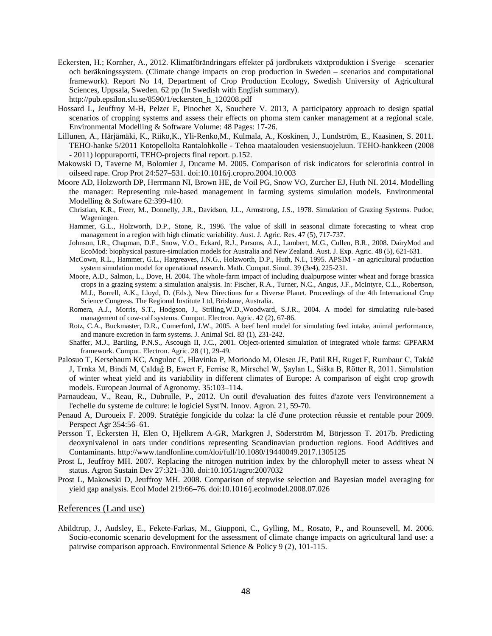- Eckersten, H.; Kornher, A., 2012. Klimatförändringars effekter på jordbrukets växtproduktion i Sverige scenarier och beräkningssystem. (Climate change impacts on crop production in Sweden – scenarios and computational framework). Report No 14, Department of Crop Production Ecology, Swedish University of Agricultural Sciences, Uppsala, Sweden. 62 pp (In Swedish with English summary). http://pub.epsilon.slu.se/8590/1/eckersten\_h\_120208.pdf
- Hossard L, Jeuffroy M-H, Pelzer E, Pinochet X, Souchere V. 2013, A participatory approach to design spatial scenarios of cropping systems and assess their effects on phoma stem canker management at a regional scale. Environmental Modelling & Software Volume: 48 Pages: 17-26.
- Lillunen, A., Härjämäki, K., Riiko,K., Yli-Renko,M., Kulmala, A., Koskinen, J., Lundström, E., Kaasinen, S. 2011. TEHO-hanke 5/2011 Kotopellolta Rantalohkolle - Tehoa maatalouden vesiensuojeluun. TEHO-hankkeen (2008 - 2011) loppuraportti, TEHO-projects final report. p.152.
- Makowski D, Taverne M, Bolomier J, Ducarne M. 2005. Comparison of risk indicators for sclerotinia control in oilseed rape. Crop Prot 24:527–531. doi:10.1016/j.cropro.2004.10.003
- Moore AD, Holzworth DP, Herrmann NI, Brown HE, de Voil PG, Snow VO, Zurcher EJ, Huth NI. 2014. Modelling the manager: Representing rule-based management in farming systems simulation models. Environmental Modelling & Software 62:399-410.
	- Christian, K.R., Freer, M., Donnelly, J.R., Davidson, J.L., Armstrong, J.S., 1978. Simulation of Grazing Systems. Pudoc, Wageningen.
	- Hammer, G.L., Holzworth, D.P., Stone, R., 1996. The value of skill in seasonal climate forecasting to wheat crop management in a region with high climatic variability. Aust. J. Agric. Res. 47 (5), 717-737.
	- Johnson, I.R., Chapman, D.F., Snow, V.O., Eckard, R.J., Parsons, A.J., Lambert, M.G., Cullen, B.R., 2008. DairyMod and EcoMod: biophysical pasture-simulation models for Australia and New Zealand. Aust. J. Exp. Agric. 48 (5), 621-631.
	- McCown, R.L., Hammer, G.L., Hargreaves, J.N.G., Holzworth, D.P., Huth, N.I., 1995. APSIM an agricultural production system simulation model for operational research. Math. Comput. Simul. 39 (3e4), 225-231.
	- Moore, A.D., Salmon, L., Dove, H. 2004. The whole-farm impact of including dualpurpose winter wheat and forage brassica crops in a grazing system: a simulation analysis. In: Fischer, R.A., Turner, N.C., Angus, J.F., McIntyre, C.L., Robertson, M.J., Borrell, A.K., Lloyd, D. (Eds.), New Directions for a Diverse Planet. Proceedings of the 4th International Crop Science Congress. The Regional Institute Ltd, Brisbane, Australia.
	- Romera, A.J., Morris, S.T., Hodgson, J., Striling,W.D.,Woodward, S.J.R., 2004. A model for simulating rule-based management of cow-calf systems. Comput. Electron. Agric. 42 (2), 67-86.
	- Rotz, C.A., Buckmaster, D.R., Comerford, J.W., 2005. A beef herd model for simulating feed intake, animal performance, and manure excretion in farm systems. J. Animal Sci. 83 (1), 231-242.
	- Shaffer, M.J., Bartling, P.N.S., Ascough II, J.C., 2001. Object-oriented simulation of integrated whole farms: GPFARM framework. Comput. Electron. Agric. 28 (1), 29-49.
- Palosuo T, Kersebaum KC, Anguloc C, Hlavinka P, Moriondo M, Olesen JE, Patil RH, Ruget F, Rumbaur C, Takáč J, Trnka M, Bindi M, Çaldağ B, Ewert F, Ferrise R, Mirschel W, Şaylan L, Šiška B, Rötter R, 2011. Simulation of winter wheat yield and its variability in different climates of Europe: A comparison of eight crop growth models. European Journal of Agronomy. 35:103–114.
- Parnaudeau, V., Reau, R., Dubrulle, P., 2012. Un outil d'evaluation des fuites d'azote vers l'environnement a l'echelle du systeme de culture: le logiciel Syst'N. Innov. Agron. 21, 59-70.
- Penaud A, Duroueix F. 2009. Stratégie fongicide du colza: la clé d'une protection réussie et rentable pour 2009. Perspect Agr 354:56–61.
- Persson T, Eckersten H, Elen O, Hjelkrem A-GR, Markgren J, Söderström M, Börjesson T. 2017b. Predicting deoxynivalenol in oats under conditions representing Scandinavian production regions. Food Additives and Contaminants. http://www.tandfonline.com/doi/full/10.1080/19440049.2017.1305125
- Prost L, Jeuffroy MH. 2007. Replacing the nitrogen nutrition index by the chlorophyll meter to assess wheat N status. Agron Sustain Dev 27:321–330. doi:10.1051/agro:2007032
- Prost L, Makowski D, Jeuffroy MH. 2008. Comparison of stepwise selection and Bayesian model averaging for yield gap analysis. Ecol Model 219:66–76. doi:10.1016/j.ecolmodel.2008.07.026

#### References (Land use)

<span id="page-49-0"></span>Abildtrup, J., Audsley, E., Fekete-Farkas, M., Giupponi, C., Gylling, M., Rosato, P., and Rounsevell, M. 2006. Socio-economic scenario development for the assessment of climate change impacts on agricultural land use: a pairwise comparison approach. Environmental Science & Policy 9 (2), 101-115.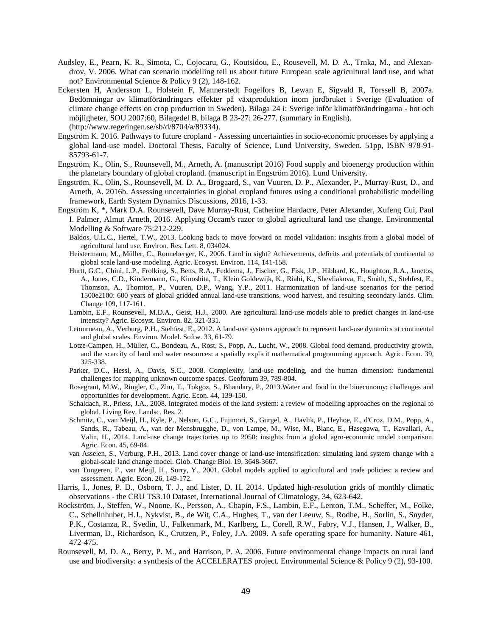- Audsley, E., Pearn, K. R., Simota, C., Cojocaru, G., Koutsidou, E., Rousevell, M. D. A., Trnka, M., and Alexandrov, V. 2006. What can scenario modelling tell us about future European scale agricultural land use, and what not? Environmental Science & Policy 9 (2), 148-162.
- Eckersten H, Andersson L, Holstein F, Mannerstedt Fogelfors B, Lewan E, Sigvald R, Torssell B, 2007a. Bedömningar av klimatförändringars effekter på växtproduktion inom jordbruket i Sverige (Evaluation of climate change effects on crop production in Sweden). Bilaga 24 i: Sverige inför klimatförändringarna - hot och möjligheter, SOU 2007:60, Bilagedel B, bilaga B 23-27: 26-277. (summary in English). (http://www.regeringen.se/sb/d/8704/a/89334).
- Engström K. 2016. Pathways to future cropland Assessing uncertainties in socio-economic processes by applying a global land-use model. Doctoral Thesis, Faculty of Science, Lund University, Sweden. 51pp, ISBN 978-91- 85793-61-7.
- Engström, K., Olin, S., Rounsevell, M., Arneth, A. (manuscript 2016) Food supply and bioenergy production within the planetary boundary of global cropland. (manuscript in Engström 2016). Lund University*.*
- Engström, K., Olin, S., Rounsevell, M. D. A., Brogaard, S., van Vuuren, D. P., Alexander, P., Murray-Rust, D., and Arneth, A. 2016b. Assessing uncertainties in global cropland futures using a conditional probabilistic modelling framework, Earth System Dynamics Discussions, 2016, 1-33.
- Engström K, \*, Mark D.A. Rounsevell, Dave Murray-Rust, Catherine Hardacre, Peter Alexander, Xufeng Cui, Paul I. Palmer, Almut Arneth, 2016. Applying Occam's razor to global agricultural land use change. Environmental Modelling & Software 75:212-229.
	- Baldos, U.L.C., Hertel, T.W., 2013. Looking back to move forward on model validation: insights from a global model of agricultural land use. Environ. Res. Lett. 8, 034024.
	- Heistermann, M., Müller, C., Ronneberger, K., 2006. Land in sight? Achievements, deficits and potentials of continental to global scale land-use modeling. Agric. Ecosyst. Environ. 114, 141-158.
	- Hurtt, G.C., Chini, L.P., Frolking, S., Betts, R.A., Feddema, J., Fischer, G., Fisk, J.P., Hibbard, K., Houghton, R.A., Janetos, A., Jones, C.D., Kindermann, G., Kinoshita, T., Klein Goldewijk, K., Riahi, K., Shevliakova, E., Smith, S., Stehfest, E., Thomson, A., Thornton, P., Vuuren, D.P., Wang, Y.P., 2011. Harmonization of land-use scenarios for the period 1500e2100: 600 years of global gridded annual land-use transitions, wood harvest, and resulting secondary lands. Clim. Change 109, 117-161.
	- Lambin, E.F., Rounsevell, M.D.A., Geist, H.J., 2000. Are agricultural land-use models able to predict changes in land-use intensity? Agric. Ecosyst. Environ. 82, 321-331.
	- Letourneau, A., Verburg, P.H., Stehfest, E., 2012. A land-use systems approach to represent land-use dynamics at continental and global scales. Environ. Model. Softw. 33, 61-79.
	- Lotze-Campen, H., Müller, C., Bondeau, A., Rost, S., Popp, A., Lucht, W., 2008. Global food demand, productivity growth, and the scarcity of land and water resources: a spatially explicit mathematical programming approach. Agric. Econ. 39, 325-338.
	- Parker, D.C., Hessl, A., Davis, S.C., 2008. Complexity, land-use modeling, and the human dimension: fundamental challenges for mapping unknown outcome spaces. Geoforum 39, 789-804.
	- Rosegrant, M.W., Ringler, C., Zhu, T., Tokgoz, S., Bhandary, P., 2013.Water and food in the bioeconomy: challenges and opportunities for development. Agric. Econ. 44, 139-150.
	- Schaldach, R., Priess, J.A., 2008. Integrated models of the land system: a review of modelling approaches on the regional to global. Living Rev. Landsc. Res. 2.
	- Schmitz, C., van Meijl, H., Kyle, P., Nelson, G.C., Fujimori, S., Gurgel, A., Havlik, P., Heyhoe, E., d'Croz, D.M., Popp, A., Sands, R., Tabeau, A., van der Mensbrugghe, D., von Lampe, M., Wise, M., Blanc, E., Hasegawa, T., Kavallari, A., Valin, H., 2014. Land-use change trajectories up to 2050: insights from a global agro-economic model comparison. Agric. Econ. 45, 69-84.
	- van Asselen, S., Verburg, P.H., 2013. Land cover change or land-use intensification: simulating land system change with a global-scale land change model. Glob. Change Biol. 19, 3648-3667.
	- van Tongeren, F., van Meijl, H., Surry, Y., 2001. Global models applied to agricultural and trade policies: a review and assessment. Agric. Econ. 26, 149-172.
- Harris, I., Jones, P. D., Osborn, T. J., and Lister, D. H. 2014. Updated high-resolution grids of monthly climatic observations - the CRU TS3.10 Dataset, International Journal of Climatology, 34, 623-642.
- Rockström, J., Steffen, W., Noone, K., Persson, A., Chapin, F.S., Lambin, E.F., Lenton, T.M., Scheffer, M., Folke, C., Schellnhuber, H.J., Nykvist, B., de Wit, C.A., Hughes, T., van der Leeuw, S., Rodhe, H., Sorlin, S., Snyder, P.K., Costanza, R., Svedin, U., Falkenmark, M., Karlberg, L., Corell, R.W., Fabry, V.J., Hansen, J., Walker, B., Liverman, D., Richardson, K., Crutzen, P., Foley, J.A. 2009. A safe operating space for humanity. Nature 461, 472-475.
- Rounsevell, M. D. A., Berry, P. M., and Harrison, P. A. 2006. Future environmental change impacts on rural land use and biodiversity: a synthesis of the ACCELERATES project. Environmental Science & Policy 9 (2), 93-100.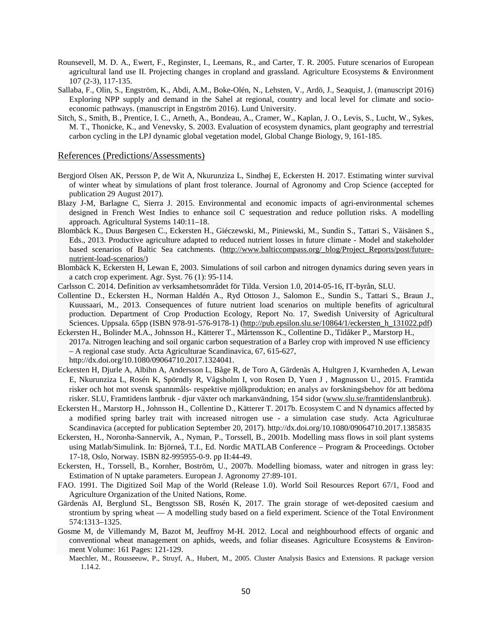- Rounsevell, M. D. A., Ewert, F., Reginster, I., Leemans, R., and Carter, T. R. 2005. Future scenarios of European agricultural land use II. Projecting changes in cropland and grassland. Agriculture Ecosystems & Environment 107 (2-3), 117-135.
- Sallaba, F., Olin, S., Engström, K., Abdi, A.M., Boke-Olén, N., Lehsten, V., Ardö, J., Seaquist, J. (manuscript 2016) Exploring NPP supply and demand in the Sahel at regional, country and local level for climate and socioeconomic pathways. (manuscript in Engström 2016). Lund University.
- Sitch, S., Smith, B., Prentice, I. C., Arneth, A., Bondeau, A., Cramer, W., Kaplan, J. O., Levis, S., Lucht, W., Sykes, M. T., Thonicke, K., and Venevsky, S. 2003. Evaluation of ecosystem dynamics, plant geography and terrestrial carbon cycling in the LPJ dynamic global vegetation model, Global Change Biology, 9, 161-185.

#### References (Predictions/Assessments)

- Bergjord Olsen AK, Persson P, de Wit A, Nkurunziza L, Sindhøj E, Eckersten H. 2017. Estimating winter survival of winter wheat by simulations of plant frost tolerance. Journal of Agronomy and Crop Science (accepted for publication 29 August 2017).
- <span id="page-51-0"></span>Blazy J-M, Barlagne C, Sierra J. 2015. Environmental and economic impacts of agri-environmental schemes designed in French West Indies to enhance soil C sequestration and reduce pollution risks. A modelling approach. Agricultural Systems 140:11–18.
- Blombäck K., Duus Børgesen C., Eckersten H., Giéczewski, M., Piniewski, M., Sundin S., Tattari S., Väisänen S., Eds., 2013. Productive agriculture adapted to reduced nutrient losses in future climate - Model and stakeholder based scenarios of Baltic Sea catchments. [\(http://www.balticcompass.org/\\_blog/Project\\_Reports/post/future](http://www.balticcompass.org/_blog/Project_Reports/post/future-nutrient-load-scenarios/)[nutrient-load-scenarios/\)](http://www.balticcompass.org/_blog/Project_Reports/post/future-nutrient-load-scenarios/)
- Blombäck K, Eckersten H, Lewan E, 2003. Simulations of soil carbon and nitrogen dynamics during seven years in a catch crop experiment. Agr. Syst. 76 (1): 95-114.
- Carlsson C. 2014. Definition av verksamhetsområdet för Tilda. Version 1.0, 2014-05-16, IT-byrån, SLU.
- Collentine D., Eckersten H., Norman Haldén A., Ryd Ottoson J., Salomon E., Sundin S., Tattari S., Braun J., Kuussaari, M., 2013. Consequences of future nutrient load scenarios on multiple benefits of agricultural production. Department of Crop Production Ecology, Report No. 17, Swedish University of Agricultural Sciences. Uppsala. 65pp (ISBN 978-91-576-9178-1) [\(http://pub.epsilon.slu.se/10864/1/eckersten\\_h\\_131022.pdf\)](http://pub.epsilon.slu.se/10864/1/eckersten_h_131022.pdf)
- Eckersten H., Bolinder M.A., Johnsson H., Kätterer T., Mårtensson K., Collentine D., Tidåker P., Marstorp H., 2017a. Nitrogen leaching and soil organic carbon sequestration of a Barley crop with improved N use efficiency – A regional case study. Acta Agriculturae Scandinavica, 67, 615-627, http://dx.doi.org/10.1080/09064710.2017.1324041.
- Eckersten H, Djurle A, Albihn A, Andersson L, Båge R, de Toro A, Gärdenäs A, Hultgren J, Kvarnheden A, Lewan E, Nkurunziza L, Rosén K, Spörndly R, Vågsholm I, von Rosen D, Yuen J , Magnusson U., 2015. Framtida risker och hot mot svensk spannmåls- respektive mjölkproduktion; en analys av forskningsbehov för att bedöma risker. SLU, Framtidens lantbruk - djur växter och markanvändning, 154 sidor [\(www.slu.se/framtidenslantbruk\)](http://www.slu.se/framtidenslantbruk).
- Eckersten H., Marstorp H., Johnsson H., Collentine D., Kätterer T. 2017b. Ecosystem C and N dynamics affected by a modified spring barley trait with increased nitrogen use - a simulation case study. Acta Agriculturae Scandinavica (accepted for publication September 20, 2017). http://dx.doi.org/10.1080/09064710.2017.1385835
- Eckersten, H., Noronha-Sannervik, A., Nyman, P., Torssell, B., 2001b. Modelling mass flows in soil plant systems using Matlab/Simulink. In: Björneå, T.I., Ed. Nordic MATLAB Conference – Program & Proceedings. October 17-18, Oslo, Norway. ISBN 82-995955-0-9. pp II:44-49.
- Eckersten, H., Torssell, B., Kornher, Boström, U., 2007b. Modelling biomass, water and nitrogen in grass ley: Estimation of N uptake parameters. European J. Agronomy 27:89-101.
- FAO. 1991. The Digitized Soil Map of the World (Release 1.0). World Soil Resources Report 67/1, Food and Agriculture Organization of the United Nations, Rome.
- Gärdenäs AI, Berglund SL, Bengtsson SB, Rosén K, 2017. The grain storage of wet-deposited caesium and strontium by spring wheat — A modelling study based on a field experiment. Science of the Total Environment 574:1313–1325.
- Gosme M, de Villemandy M, Bazot M, Jeuffroy M-H. 2012. Local and neighbourhood effects of organic and conventional wheat management on aphids, weeds, and foliar diseases. Agriculture Ecosystems & Environment Volume: 161 Pages: 121-129.
	- Maechler, M., Rousseeuw, P., Struyf, A., Hubert, M., 2005. Cluster Analysis Basics and Extensions. R package version 1.14.2.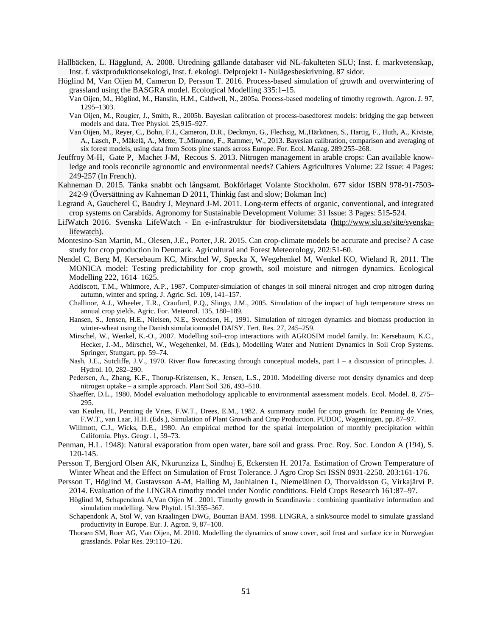- Hallbäcken, L. Hägglund, A. 2008. Utredning gällande databaser vid NL-fakulteten SLU; Inst. f. markvetenskap, Inst. f. växtproduktionsekologi, Inst. f. ekologi. Delprojekt 1- Nulägesbeskrivning. 87 sidor.
- Höglind M, Van Oijen M, Cameron D, Persson T. 2016. Process-based simulation of growth and overwintering of grassland using the BASGRA model. Ecological Modelling 335:1–15.
	- Van Oijen, M., Höglind, M., Hanslin, H.M., Caldwell, N., 2005a. Process-based modeling of timothy regrowth. Agron. J. 97, 1295–1303.
	- Van Oijen, M., Rougier, J., Smith, R., 2005b. Bayesian calibration of process-basedforest models: bridging the gap between models and data. Tree Physiol. 25,915–927.
	- Van Oijen, M., Reyer, C., Bohn, F.J., Cameron, D.R., Deckmyn, G., Flechsig, M.,Härkönen, S., Hartig, F., Huth, A., Kiviste, A., Lasch, P., Mäkelä, A., Mette, T.,Minunno, F., Rammer, W., 2013. Bayesian calibration, comparison and averaging of six forest models, using data from Scots pine stands across Europe. For. Ecol. Manag. 289:255–268.
- Jeuffroy M-H, Gate P, Machet J-M, Recous S. 2013. Nitrogen management in arable crops: Can available knowledge and tools reconcile agronomic and environmental needs? Cahiers Agricultures Volume: 22 Issue: 4 Pages: 249-257 (In French).
- Kahneman D. 2015. Tänka snabbt och långsamt. Bokförlaget Volante Stockholm. 677 sidor ISBN 978-91-7503- 242-9 (Översättning av Kahneman D 2011, Thinkig fast and slow; Bokman Inc)
- Legrand A, Gaucherel C, Baudry J, Meynard J-M. 2011. Long-term effects of organic, conventional, and integrated crop systems on Carabids. Agronomy for Sustainable Development Volume: 31 Issue: 3 Pages: 515-524.
- LifWatch 2016. Svenska LifeWatch En e-infrastruktur för biodiversitetsdata [\(http://www.slu.se/site/svenska](http://www.slu.se/site/svenska-lifewatch)[lifewatch\)](http://www.slu.se/site/svenska-lifewatch).
- Montesino-San Martin, M., Olesen, J.E., Porter, J.R. 2015. Can crop-climate models be accurate and precise? A case study for crop production in Denmark. Agricultural and Forest Meteorology, 202:51-60.
- Nendel C, Berg M, Kersebaum KC, Mirschel W, Specka X, Wegehenkel M, Wenkel KO, Wieland R, 2011. The MONICA model: Testing predictability for crop growth, soil moisture and nitrogen dynamics. Ecological Modelling 222, 1614–1625.
	- Addiscott, T.M., Whitmore, A.P., 1987. Computer-simulation of changes in soil mineral nitrogen and crop nitrogen during autumn, winter and spring. J. Agric. Sci. 109, 141–157.
	- Challinor, A.J., Wheeler, T.R., Craufurd, P.Q., Slingo, J.M., 2005. Simulation of the impact of high temperature stress on annual crop yields. Agric. For. Meteorol. 135, 180–189.
	- Hansen, S., Jensen, H.E., Nielsen, N.E., Svendsen, H., 1991. Simulation of nitrogen dynamics and biomass production in winter-wheat using the Danish simulationmodel DAISY. Fert. Res. 27, 245–259.
	- Mirschel, W., Wenkel, K.-O., 2007. Modelling soil–crop interactions with AGROSIM model family. In: Kersebaum, K.C., Hecker, J.-M., Mirschel, W., Wegehenkel, M. (Eds.), Modelling Water and Nutrient Dynamics in Soil Crop Systems. Springer, Stuttgart, pp. 59–74.
	- Nash, J.E., Sutcliffe, J.V., 1970. River flow forecasting through conceptual models, part I a discussion of principles. J. Hydrol. 10, 282–290.
	- Pedersen, A., Zhang, K.F., Thorup-Kristensen, K., Jensen, L.S., 2010. Modelling diverse root density dynamics and deep nitrogen uptake – a simple approach. Plant Soil 326, 493–510.
	- Shaeffer, D.L., 1980. Model evaluation methodology applicable to environmental assessment models. Ecol. Model. 8, 275– 295.
	- van Keulen, H., Penning de Vries, F.W.T., Drees, E.M., 1982. A summary model for crop growth. In: Penning de Vries, F.W.T., van Laar, H.H. (Eds.), Simulation of Plant Growth and Crop Production. PUDOC, Wageningen, pp. 87–97.
	- Willmott, C.J., Wicks, D.E., 1980. An empirical method for the spatial interpolation of monthly precipitation within California. Phys. Geogr. 1, 59–73.
- Penman, H.L. 1948): Natural evaporation from open water, bare soil and grass. Proc. Roy. Soc. London A (194), S. 120-145.
- Persson T, Bergjord Olsen AK, Nkurunziza L, Sindhoj E, Eckersten H. 2017a. Estimation of Crown Temperature of Winter Wheat and the Effect on Simulation of Frost Tolerance. J Agro Crop Sci ISSN 0931-2250. 203:161-176.
- Persson T, Höglind M, Gustavsson A-M, Halling M, Jauhiainen L, Niemeläinen O, Thorvaldsson G, Virkajärvi P. 2014. Evaluation of the LINGRA timothy model under Nordic conditions. Field Crops Research 161:87–97. Höglind M, Schapendonk A,Van Oijen M . 2001. Timothy growth in Scandinavia : combining quantitative information and simulation modelling. New Phytol. 151:355-367.
	- Schapendonk A, Stol W, van Kraalingen DWG, Bouman BAM. 1998. LINGRA, a sink/source model to simulate grassland productivity in Europe. Eur. J. Agron. 9, 87–100.
	- Thorsen SM, Roer AG, Van Oijen, M. 2010. Modelling the dynamics of snow cover, soil frost and surface ice in Norwegian grasslands. Polar Res. 29:110–126.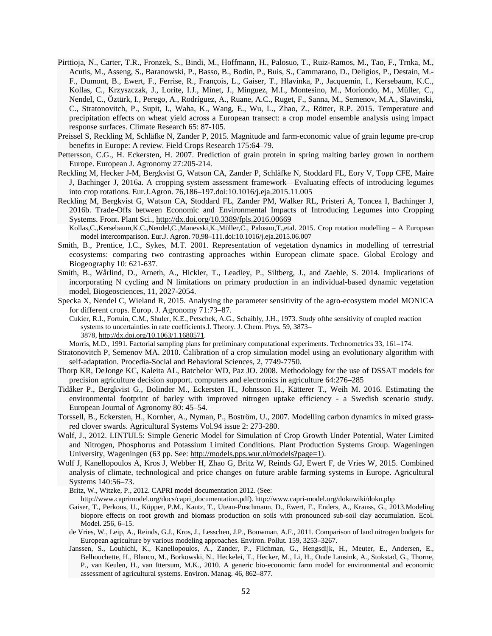- Pirttioja, N., Carter, T.R., Fronzek, S., Bindi, M., Hoffmann, H., Palosuo, T., Ruiz-Ramos, M., Tao, F., Trnka, M., Acutis, M., Asseng, S., Baranowski, P., Basso, B., Bodin, P., Buis, S., Cammarano, D., Deligios, P., Destain, M.- F., Dumont, B., Ewert, F., Ferrise, R., François, L., Gaiser, T., Hlavinka, P., Jacquemin, I., Kersebaum, K.C., Kollas, C., Krzyszczak, J., Lorite, I.J., Minet, J., Minguez, M.I., Montesino, M., Moriondo, M., Müller, C., Nendel, C., Öztürk, I., Perego, A., Rodríguez, A., Ruane, A.C., Ruget, F., Sanna, M., Semenov, M.A., Slawinski, C., Stratonovitch, P., Supit, I., Waha, K., Wang, E., Wu, L., Zhao, Z., Rötter, R.P. 2015. Temperature and precipitation effects on wheat yield across a European transect: a crop model ensemble analysis using impact response surfaces. Climate Research 65: 87-105.
- Preissel S, Reckling M, Schläfke N, Zander P, 2015. Magnitude and farm-economic value of grain legume pre-crop benefits in Europe: A review. Field Crops Research 175:64–79.
- Pettersson, C.G., H. Eckersten, H. 2007. Prediction of grain protein in spring malting barley grown in northern Europe. European J. Agronomy 27:205-214.
- Reckling M, Hecker J-M, Bergkvist G, Watson CA, Zander P, Schläfke N, Stoddard FL, Eory V, Topp CFE, Maire J, Bachinger J, 2016a. A cropping system assessment framework—Evaluating effects of introducing legumes into crop rotations. Eur.J.Agron. 76,186–197.doi:10.1016/j.eja.2015.11.005
- Reckling M, Bergkvist G, Watson CA, Stoddard FL, Zander PM, Walker RL, Pristeri A, Toncea I, Bachinger J, 2016b. Trade-Offs between Economic and Environmental Impacts of Introducing Legumes into Cropping Systems. Front. Plant Sci., <http://dx.doi.org/10.3389/fpls.2016.00669>
- Kollas,C.,Kersebaum,K.C.,Nendel,C.,Manevski,K.,Müller,C., Palosuo,T.,etal. 2015. Crop rotation modelling A European model intercomparison. Eur.J. Agron. 70,98–111.doi:10.1016/j.eja.2015.06.007
- Smith, B., Prentice, I.C., Sykes, M.T. 2001. Representation of vegetation dynamics in modelling of terrestrial ecosystems: comparing two contrasting approaches within European climate space. Global Ecology and Biogeography 10: 621-637.
- Smith, B., Wårlind, D., Arneth, A., Hickler, T., Leadley, P., Siltberg, J., and Zaehle, S. 2014. Implications of incorporating N cycling and N limitations on primary production in an individual-based dynamic vegetation model, Biogeosciences, 11, 2027-2054.
- Specka X, Nendel C, Wieland R, 2015. Analysing the parameter sensitivity of the agro-ecosystem model MONICA for different crops. Europ. J. Agronomy 71:73–87.
- Cukier, R.I., Fortuin, C.M., Shuler, K.E., Petschek, A.G., Schaibly, J.H., 1973. Study ofthe sensitivity of coupled reaction systems to uncertainties in rate coefficients.I. Theory. J. Chem. Phys. 59, 3873– 3878, [http://dx.doi.org/10.1063/1.1680571.](http://dx.doi.org/10.1063/1.1680571)

Morris, M.D., 1991. Factorial sampling plans for preliminary computational experiments. Technometrics 33, 161–174.

- Stratonovitch P, Semenov MA. 2010. Calibration of a crop simulation model using an evolutionary algorithm with self-adaptation. Procedia-Social and Behavioral Sciences, 2, 7749-7750.
- Thorp KR, DeJonge KC, Kaleita AL, Batchelor WD, Paz JO. 2008. Methodology for the use of DSSAT models for precision agriculture decision support. computers and electronics in agriculture 64:276–285
- Tidåker P., Bergkvist G., Bolinder M., Eckersten H., Johnsson H., Kätterer T., Weih M. 2016. Estimating the environmental footprint of barley with improved nitrogen uptake efficiency - a Swedish scenario study. European Journal of Agronomy 80: 45–54.
- Torssell, B., Eckersten, H., Kornher, A., Nyman, P., Boström, U., 2007. Modelling carbon dynamics in mixed grassred clover swards. Agricultural Systems Vol.94 issue 2: 273-280.
- Wolf, J., 2012. LINTUL5: Simple Generic Model for Simulation of Crop Growth Under Potential, Water Limited and Nitrogen, Phosphorus and Potassium Limited Conditions. Plant Production Systems Group. Wageningen University, Wageningen (63 pp. See: [http://models.pps.wur.nl/models?page=1\)](http://models.pps.wur.nl/models?page=1).
- Wolf J, Kanellopoulos A, Kros J, Webber H, Zhao G, Britz W, Reinds GJ, Ewert F, de Vries W, 2015. Combined analysis of climate, technological and price changes on future arable farming systems in Europe. Agricultural Systems 140:56–73.

Britz, W., Witzke, P., 2012. CAPRI model documentation 2012. (See:

http://www.caprimodel.org/docs/capri\_documentation.pdf). http://www.capri-model.org/dokuwiki/doku.php

- Gaiser, T., Perkons, U., Küpper, P.M., Kautz, T., Uteau-Puschmann, D., Ewert, F., Enders, A., Krauss, G., 2013.Modeling biopore effects on root growth and biomass production on soils with pronounced sub-soil clay accumulation. Ecol. Model. 256, 6–15.
- de Vries, W., Leip, A., Reinds, G.J., Kros, J., Lesschen, J.P., Bouwman, A.F., 2011. Comparison of land nitrogen budgets for European agriculture by various modeling approaches. Environ. Pollut. 159, 3253–3267.
- Janssen, S., Louhichi, K., Kanellopoulos, A., Zander, P., Flichman, G., Hengsdijk, H., Meuter, E., Andersen, E., Belhouchette, H., Blanco, M., Borkowski, N., Heckelei, T., Hecker, M., Li, H., Oude Lansink, A., Stokstad, G., Thorne, P., van Keulen, H., van Ittersum, M.K., 2010. A generic bio-economic farm model for environmental and economic assessment of agricultural systems. Environ. Manag. 46, 862–877.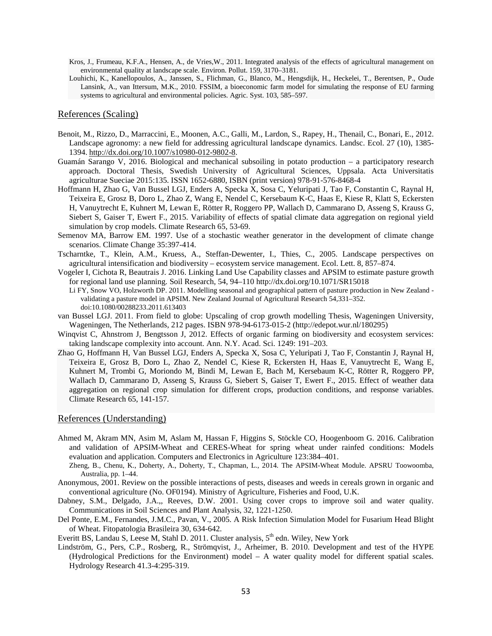- Kros, J., Frumeau, K.F.A., Hensen, A., de Vries,W., 2011. Integrated analysis of the effects of agricultural management on environmental quality at landscape scale. Environ. Pollut. 159, 3170–3181.
- Louhichi, K., Kanellopoulos, A., Janssen, S., Flichman, G., Blanco, M., Hengsdijk, H., Heckelei, T., Berentsen, P., Oude Lansink, A., van Ittersum, M.K., 2010. FSSIM, a bioeconomic farm model for simulating the response of EU farming systems to agricultural and environmental policies. Agric. Syst. 103, 585–597.

#### References (Scaling)

- Benoit, M., Rizzo, D., Marraccini, E., Moonen, A.C., Galli, M., Lardon, S., Rapey, H., Thenail, C., Bonari, E., 2012. Landscape agronomy: a new field for addressing agricultural landscape dynamics. Landsc. Ecol. 27 (10), 1385- 1394. [http://dx.doi.org/10.1007/s10980-012-9802-8.](http://dx.doi.org/10.1007/s10980-012-9802-8)
- <span id="page-54-0"></span>Guamán Sarango V, 2016. Biological and mechanical subsoiling in potato production – a participatory research approach. Doctoral Thesis, Swedish University of Agricultural Sciences, Uppsala. Acta Universitatis agriculturae Sueciae 2015:135. ISSN 1652-6880, ISBN (print version) 978-91-576-8468-4
- Hoffmann H, Zhao G, Van Bussel LGJ, Enders A, Specka X, Sosa C, Yeluripati J, Tao F, Constantin C, Raynal H, Teixeira E, Grosz B, Doro L, Zhao Z, Wang E, Nendel C, Kersebaum K-C, Haas E, Kiese R, Klatt S, Eckersten H, Vanuytrecht E, Kuhnert M, Lewan E, Rötter R, Roggero PP, Wallach D, Cammarano D, Asseng S, Krauss G, Siebert S, Gaiser T, Ewert F., 2015. Variability of effects of spatial climate data aggregation on regional yield simulation by crop models. Climate Research 65, 53-69.
- Semenov MA, Barrow EM. 1997. Use of a stochastic weather generator in the development of climate change scenarios. Climate Change 35:397-414.
- Tscharntke, T., Klein, A.M., Kruess, A., Steffan-Dewenter, I., Thies, C., 2005. Landscape perspectives on agricultural intensification and biodiversity – ecosystem service management. Ecol. Lett. 8, 857–874.
- Vogeler I, Cichota R, Beautrais J. 2016. Linking Land Use Capability classes and APSIM to estimate pasture growth for regional land use planning. Soil Research, 54, 94–110 http://dx.doi.org/10.1071/SR15018
- Li FY, Snow VO, Holzworth DP. 2011. Modelling seasonal and geographical pattern of pasture production in New Zealand validating a pasture model in APSIM. New Zealand Journal of Agricultural Research 54,331–352. doi:10.1080/00288233.2011.613403
- van Bussel LGJ. 2011. From field to globe: Upscaling of crop growth modelling Thesis, Wageningen University, Wageningen, The Netherlands, 212 pages. ISBN 978-94-6173-015-2 (http://edepot.wur.nl/180295)
- Winqvist C, Ahnstrom J, Bengtsson J, 2012. Effects of organic farming on biodiversity and ecosystem services: taking landscape complexity into account. Ann. N.Y. Acad. Sci. 1249: 191–203.
- Zhao G, Hoffmann H, Van Bussel LGJ, Enders A, Specka X, Sosa C, Yeluripati J, Tao F, Constantin J, Raynal H, Teixeira E, Grosz B, Doro L, Zhao Z, Nendel C, Kiese R, Eckersten H, Haas E, Vanuytrecht E, Wang E, Kuhnert M, Trombi G, Moriondo M, Bindi M, Lewan E, Bach M, Kersebaum K-C, Rötter R, Roggero PP, Wallach D, Cammarano D, Asseng S, Krauss G, Siebert S, Gaiser T, Ewert F., 2015. Effect of weather data aggregation on regional crop simulation for different crops, production conditions, and response variables. Climate Research 65, 141-157.

#### References (Understanding)

- Ahmed M, Akram MN, Asim M, Aslam M, Hassan F, Higgins S, Stöckle CO, Hoogenboom G. 2016. Calibration and validation of APSIM-Wheat and CERES-Wheat for spring wheat under rainfed conditions: Models evaluation and application. Computers and Electronics in Agriculture 123:384–401.
- <span id="page-54-1"></span>Zheng, B., Chenu, K., Doherty, A., Doherty, T., Chapman, L., 2014. The APSIM-Wheat Module. APSRU Toowoomba, Australia, pp. 1–44.
- Anonymous, 2001. Review on the possible interactions of pests, diseases and weeds in cereals grown in organic and conventional agriculture (No. OF0194). Ministry of Agriculture, Fisheries and Food, U.K.
- Dabney, S.M., Delgado, J.A.,, Reeves, D.W. 2001. Using cover crops to improve soil and water quality. Communications in Soil Sciences and Plant Analysis, 32, 1221-1250.
- Del Ponte, E.M., Fernandes, J.M.C., Pavan, V., 2005. A Risk Infection Simulation Model for Fusarium Head Blight of Wheat. Fitopatologia Brasileira 30, 634-642.
- Everitt BS, Landau S, Leese M, Stahl D. 2011. Cluster analysis, 5<sup>th</sup> edn. Wiley, New York
- Lindström, G., Pers, C.P., Rosberg, R., Strömqvist, J., Arheimer, B. 2010. Development and test of the HYPE (Hydrological Predictions for the Environment) model – A water quality model for different spatial scales. Hydrology Research 41.3-4:295-319.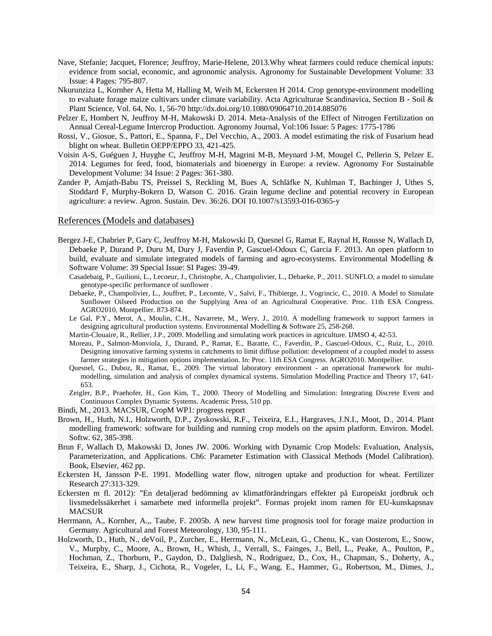- Nave, Stefanie; Jacquet, Florence; Jeuffroy, Marie-Helene, 2013.Why wheat farmers could reduce chemical inputs: evidence from social, economic, and agronomic analysis. Agronomy for Sustainable Development Volume: 33 Issue: 4 Pages: 795-807.
- Nkurunziza L, Kornher A, Hetta M, Halling M, Weih M, Eckersten H 2014. Crop genotype-environment modelling to evaluate forage maize cultivars under climate variability. Acta Agriculturae Scandinavica, Section B - Soil & Plant Science, Vol. 64, No. 1, 56-70 http://dx.doi.org/10.1080/09064710.2014.885076
- Pelzer E, Hombert N, Jeuffroy M-H, Makowski D. 2014. Meta-Analysis of the Effect of Nitrogen Fertilization on Annual Cereal-Legume Intercrop Production. Agronomy Journal, Vol:106 Issue: 5 Pages: 1775-1786
- Rossi, V., Giosue, S., Pattori, E., Spanna, F., Del Vecchio, A., 2003. A model estimating the risk of Fusarium head blight on wheat. Bulletin OEPP/EPPO 33, 421-425.
- Voisin A-S, Guéguen J, Huyghe C, Jeuffroy M-H, Magrini M-B, Meynard J-M, Mougel C, Pellerin S, Pelzer E. 2014. Legumes for feed, food, biomaterials and bioenergy in Europe: a review. Agronomy For Sustainable Development Volume: 34 Issue: 2 Pages: 361-380.
- Zander P, Amjath-Babu TS, Preissel S, Reckling M, Bues A, Schläfke N, Kuhlman T, Bachinger J, Uthes S, Stoddard F, Murphy-Bokern D, Watson C. 2016. Grain legume decline and potential recovery in European agriculture: a review. Agron. Sustain. Dev. 36:26. DOI 10.1007/s13593-016-0365-y

#### References (Models and databases)

- <span id="page-55-0"></span>Bergez J-E, Chabrier P, Gary C, Jeuffroy M-H, Makowski D, Quesnel G, Ramat E, Raynal H, Rousse N, Wallach D, Debaeke P, Durand P, Duru M, Dury J, Faverdin P, Gascuel-Odoux C, Garcia F. 2013. An open platform to build, evaluate and simulate integrated models of farming and agro-ecosystems. Environmental Modelling & Software Volume: 39 Special Issue: SI Pages: 39-49.
	- Casadebaig, P., Guilioni, L., Lecoeur, J., Christophe, A., Champolivier, L., Debaeke, P., 2011. SUNFLO, a model to simulate genotype-specific performance of sunflower .
	- Debaeke, P., Champolivier, L., Jouffret, P., Lecomte, V., Salvi, F., Thibierge, J., Vogrincic, C., 2010. A Model to Simulate Sunflower Oilseed Production on the Supplying Area of an Agricultural Cooperative. Proc. 11th ESA Congress. AGRO2010, Montpellier. 873-874.
	- Le Gal, P.Y., Merot, A., Moulin, C.H., Navarrete, M., Wery, J., 2010. A modelling framework to support farmers in designing agricultural production systems. Environmental Modelling & Software 25, 258-268.
	- Martin-Clouaire, R., Rellier, J.P., 2009. Modelling and simulating work practices in agriculture. IJMSO 4, 42-53.
	- Moreau, P., Salmon-Monviola, J., Durand, P., Ramat, E., Baratte, C., Faverdin, P., Gascuel-Odoux, C., Ruiz, L., 2010. Designing innovative farming systems in catchments to limit diffuse pollution: development of a coupled model to assess farmer strategies in mitigation options implementation. In: Proc. 11th ESA Congress. AGRO2010. Montpellier.
	- Quesnel, G., Duboz, R., Ramat, E., 2009. The virtual laboratory environment an operational framework for multimodelling, simulation and analysis of complex dynamical systems. Simulation Modelling Practice and Theory 17, 641- 653.
	- Zeigler, B.P., Praehofer, H., Gon Kim, T., 2000. Theory of Modelling and Simulation: Integrating Discrete Event and Continuous Complex Dynamic Systems. Academic Press, 510 pp.
- Bindi, M., 2013. MACSUR, CropM WP1: progress report
- Brown, H., Huth, N.I., Holzworth, D.P., Zyskowski, R.F., Teixeira, E.I., Hargraves, J.N.I., Moot, D., 2014. Plant modelling framework: software for building and running crop models on the apsim platform. Environ. Model. Softw. 62, 385-398.
- Brun F, Wallach D, Makowski D, Jones JW. 2006. Working with Dynamic Crop Models: Evaluation, Analysis, Parameterization, and Applications. Ch6: Parameter Estimation with Classical Methods (Model Calibration). Book, Elsevier, 462 pp.
- Eckersten H, Jansson P-E. 1991. Modelling water flow, nitrogen uptake and production for wheat. Fertilizer Research 27:313-329.
- Eckersten m fl. 2012): "En detaljerad bedömning av klimatförändringars effekter på Europeiskt jordbruk och livsmedelssäkerhet i samarbete med informella projekt". Formas projekt inom ramen för EU-kunskapsnav MACSUR
- Herrmann, A., Kornher, A.,, Taube, F. 2005b. A new harvest time prognosis tool for forage maize production in Germany. Agricultural and Forest Meteorology, 130, 95-111.
- Holzworth, D., Huth, N., deVoil, P., Zurcher, E., Herrmann, N., McLean, G., Chenu, K., van Oosterom, E., Snow, V., Murphy, C., Moore, A., Brown, H., Whish, J., Verrall, S., Fainges, J., Bell, L., Peake, A., Poulton, P., Hochman, Z., Thorburn, P., Gaydon, D., Dalgliesh, N., Rodriguez, D., Cox, H., Chapman, S., Doherty, A., Teixeira, E., Sharp, J., Cichota, R., Vogeler, I., Li, F., Wang, E., Hammer, G., Robertson, M., Dimes, J.,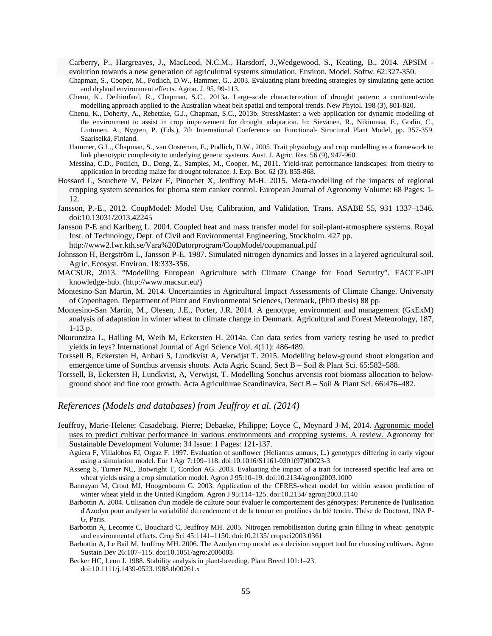Carberry, P., Hargreaves, J., MacLeod, N.C.M., Harsdorf, J.,Wedgewood, S., Keating, B., 2014. APSIM evolution towards a new generation of agriculutral systems simulation. Environ. Model. Softw. 62:327-350.

- Chapman, S., Cooper, M., Podlich, D.W., Hammer, G., 2003. Evaluating plant breeding strategies by simulating gene action and dryland environment effects. Agron. J. 95, 99-113.
- Chenu, K., Deihimfard, R., Chapman, S.C., 2013a. Large-scale characterization of drought pattern: a continent-wide modelling approach applied to the Australian wheat belt spatial and temporal trends. New Phytol. 198 (3), 801-820.
- Chenu, K., Doherty, A., Rebetzke, G.J., Chapman, S.C., 2013b. StressMaster: a web application for dynamic modelling of the environment to assist in crop improvement for drought adaptation. In: Sievänen, R., Nikinmaa, E., Godin, C., Lintunen, A., Nygren, P. (Eds.), 7th International Conference on Functional- Structural Plant Model, pp. 357-359. Saariselkä, Finland.
- Hammer, G.L., Chapman, S., van Oosterom, E., Podlich, D.W., 2005. Trait physiology and crop modelling as a framework to link phenotypic complexity to underlying genetic systems. Aust. J. Agric. Res. 56 (9), 947-960.
- Messina, C.D., Podlich, D., Dong, Z., Samples, M., Cooper, M., 2011. Yield-trait performance landscapes: from theory to application in breeding maize for drought tolerance. J. Exp. Bot. 62 (3), 855-868.
- Hossard L, Souchere V, Pelzer E, Pinochet X, Jeuffroy M-H. 2015. Meta-modelling of the impacts of regional cropping system scenarios for phoma stem canker control. European Journal of Agronomy Volume: 68 Pages: 1- 12.
- Jansson, P.-E., 2012. CoupModel: Model Use, Calibration, and Validation. Trans. ASABE 55, 931 1337–1346. doi:10.13031/2013.42245
- Jansson P-E and Karlberg L. 2004. Coupled heat and mass transfer model for soil-plant-atmosphere systems. Royal Inst. of Technology, Dept. of Civil and Environmental Engineering, Stockholm. 427 pp.
	- http://www2.lwr.kth.se/Vara%20Datorprogram/CoupModel/coupmanual.pdf
- Johnsson H, Bergström L, Jansson P-E. 1987. Simulated nitrogen dynamics and losses in a layered agricultural soil. Agric. Ecosyst. Environ. 18:333-356.
- MACSUR, 2013. "Modelling European Agriculture with Climate Change for Food Security". FACCE-JPI knowledge-hub. [\(http://www.macsur.eu/\)](http://www.macsur.eu/)
- Montesino-San Martin, M. 2014. Uncertainties in Agricultural Impact Assessments of Climate Change. University of Copenhagen. Department of Plant and Environmental Sciences, Denmark, (PhD thesis) 88 pp.
- Montesino-San Martin, M., Olesen, J.E., Porter, J.R. 2014. A genotype, environment and management (GxExM) analysis of adaptation in winter wheat to climate change in Denmark. Agricultural and Forest Meteorology, 187, 1-13 p.
- Nkurunziza L, Halling M, Weih M, Eckersten H. 2014a. Can data series from variety testing be used to predict yields in leys? International Journal of Agri Science Vol. 4(11): 486-489.
- Torssell B, Eckersten H, Anbari S, Lundkvist A, Verwijst T. 2015. Modelling below-ground shoot elongation and emergence time of Sonchus arvensis shoots. Acta Agric Scand, Sect B – Soil & Plant Sci. 65:582–588.
- Torssell, B, Eckersten H, Lundkvist, A, Verwijst, T. Modelling Sonchus arvensis root biomass allocation to belowground shoot and fine root growth. Acta Agriculturae Scandinavica, Sect B – Soil & Plant Sci. 66:476–482.

#### *References (Models and databases) from Jeuffroy et al. (2014)*

- <span id="page-56-0"></span>Jeuffroy, Marie-Helene; Casadebaig, Pierre; Debaeke, Philippe; Loyce C, Meynard J-M, 2014. [Agronomic model](https://apps.webofknowledge.com/full_record.do?product=UA&search_mode=GeneralSearch&qid=2&SID=S1JPriF2YPyPnAtiIWK&page=2&doc=15)  [uses to predict cultivar performance in various environments and cropping systems. A review. A](https://apps.webofknowledge.com/full_record.do?product=UA&search_mode=GeneralSearch&qid=2&SID=S1JPriF2YPyPnAtiIWK&page=2&doc=15)gronomy for Sustainable Development Volume: 34 Issue: 1 Pages: 121-137.
	- Agüera F, Villalobos FJ, Orgaz F. 1997. Evaluation of sunflower (Heliantus annuus, L.) genotypes differing in early vigour using a simulation model. Eur J Agr 7:109–118. doi:10.1016/S1161-0301(97)00023-3
	- Asseng S, Turner NC, Botwright T, Condon AG. 2003. Evaluating the impact of a trait for increased specific leaf area on wheat yields using a crop simulation model. Agron J 95:10–19. doi:10.2134/agronj2003.1000
	- Bannayan M, Crout MJ, Hoogenboom G. 2003. Application of the CERES-wheat model for within season prediction of winter wheat yield in the United Kingdom. Agron J 95:114–125. doi:10.2134/ agronj2003.1140
	- Barbottin A. 2004. Utilisation d'un modèle de culture pour évaluer le comportement des génotypes: Pertinence de l'utilisation d'Azodyn pour analyser la variabilité du rendement et de la teneur en protéines du blé tendre. Thèse de Doctorat, INA P-G, Paris.
	- Barbottin A, Lecomte C, Bouchard C, Jeuffroy MH. 2005. Nitrogen remobilisation during grain filling in wheat: genotypic and environmental effects. Crop Sci 45:1141–1150. doi:10.2135/ cropsci2003.0361
	- Barbottin A, Le Bail M, Jeuffroy MH. 2006. The Azodyn crop model as a decision support tool for choosing cultivars. Agron Sustain Dev 26:107–115. doi:10.1051/agro:2006003
	- Becker HC, Leon J. 1988. Stability analysis in plant-breeding. Plant Breed 101:1–23. doi:10.1111/j.1439-0523.1988.tb00261.x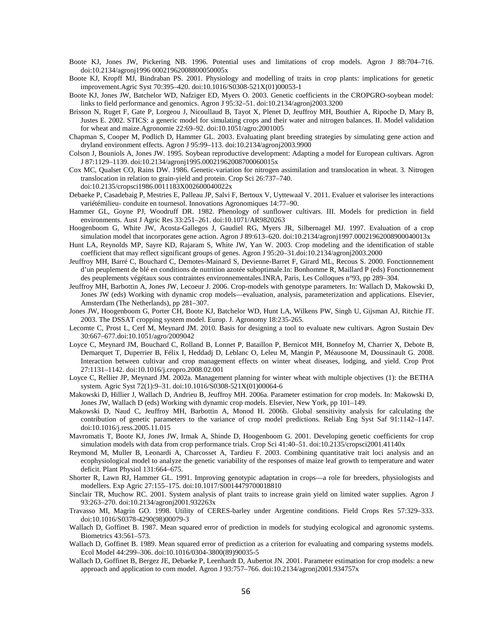- Boote KJ, Jones JW, Pickering NB. 1996. Potential uses and limitations of crop models. Agron J 88:704–716. doi:10.2134/agronj1996 00021962008800050005x
- Boote KJ, Kropff MJ, Bindraban PS. 2001. Physiology and modelling of traits in crop plants: implications for genetic improvement.Agric Syst 70:395–420. doi:10.1016/S0308-521X(01)00053-1
- Boote KJ, Jones JW, Batchelor WD, Nafziger ED, Myers O. 2003. Genetic coefficients in the CROPGRO-soybean model: links to field performance and genomics. Agron J 95:32–51. doi:10.2134/agronj2003.3200
- Brisson N, Ruget F, Gate P, Lorgeou J, Nicoullaud B, Tayot X, Plenet D, Jeuffroy MH, Bouthier A, Ripoche D, Mary B, Justes E. 2002. STICS: a generic model for simulating crops and their water and nitrogen balances. II. Model validation for wheat and maize.Agronomie 22:69–92. doi:10.1051/agro:2001005
- Chapman S, Cooper M, Podlich D, Hammer GL. 2003. Evaluating plant breeding strategies by simulating gene action and dryland environment effects. Agron J 95:99–113. doi:10.2134/agronj2003.9900
- Colson J, Bouniols A, Jones JW. 1995. Soybean reproductive development: Adapting a model for European cultivars. Agron J 87:1129–1139. doi:10.2134/agronj1995.00021962008700060015x
- Cox MC, Qualset CO, Rains DW. 1986. Genetic-variation for nitrogen assimilation and translocation in wheat. 3. Nitrogen translocation in relation to grain-yield and protein. Crop Sci 26:737–740.

doi:10.2135/cropsci1986.0011183X002600040022x

- Debaeke P, Casadebaig P, Mestries E, Palleau JP, Salvi F, Bertoux V, Uyttewaal V. 2011. Evaluer et valoriser les interactions variétémilieu- conduite en tournesol. Innovations Agronomiques 14:77–90.
- Hammer GL, Goyne PJ, Woodruff DR. 1982. Phenology of sunflower cultivars. III. Models for prediction in field environments. Aust J Agric Res 33:251–261. doi:10.1071/AR9820263
- Hoogenboom G, White JW, Acosta-Gallegos J, Gaudiel RG, Myers JR, Silbernagel MJ. 1997. Evaluation of a crop simulation model that incorporates gene action. Agron J 89:613–620. doi:10.2134/agronj1997.00021962008900040013x
- Hunt LA, Reynolds MP, Sayre KD, Rajaram S, White JW, Yan W. 2003. Crop modeling and the identification of stable coefficient that may reflect significant groups of genes. Agron J 95:20–31.doi:10.2134/agronj2003.2000
- Jeuffroy MH, Barré C, Bouchard C, Demotes-Mainard S, Devienne-Barret F, Girard ML, Recous S. 2000. Fonctionnement d'un peuplement de blé en conditions de nutrition azotée suboptimale.In: Bonhomme R, Maillard P (eds) Fonctionnement des peuplements végétaux sous contraintes environnementales.INRA, Paris, Les Colloques n°93, pp 289–304.
- Jeuffroy MH, Barbottin A, Jones JW, Lecoeur J. 2006. Crop-models with genotype parameters. In: Wallach D, Makowski D, Jones JW (eds) Working with dynamic crop models—evaluation, analysis, parameterization and applications. Elsevier, Amsterdam (The Netherlands), pp 281–307.
- Jones JW, Hoogenboom G, Porter CH, Boote KJ, Batchelor WD, Hunt LA, Wilkens PW, Singh U, Gijsman AJ, Ritchie JT. 2003. The DSSAT cropping system model. Europ. J. Agronomy 18:235-265.
- Lecomte C, Prost L, Cerf M, Meynard JM. 2010. Basis for designing a tool to evaluate new cultivars. Agron Sustain Dev 30:667–677.doi:10.1051/agro/2009042
- Loyce C, Meynard JM, Bouchard C, Rolland B, Lonnet P, Bataillon P, Bernicot MH, Bonnefoy M, Charrier X, Debote B, Demarquet T, Duperrier B, Félix I, Heddadj D, Leblanc O, Leleu M, Mangin P, Méausoone M, Doussinault G. 2008. Interaction between cultivar and crop management effects on winter wheat diseases, lodging, and yield. Crop Prot 27:1131–1142. doi:10.1016/j.cropro.2008.02.001
- Loyce C, Rellier JP, Meynard JM. 2002a. Management planning for winter wheat with multiple objectives (1): the BETHA system. Agric Syst 72(1):9–31. doi:10.1016/S0308-521X(01)00064-6
- Makowski D, Hillier J, Wallach D, Andrieu B, Jeuffroy MH. 2006a. Parameter estimation for crop models. In: Makowski D, Jones JW, Wallach D (eds) Working with dynamic crop models. Elsevier, New York, pp 101–149.
- Makowski D, Naud C, Jeuffroy MH, Barbottin A, Monod H. 2006b. Global sensitivity analysis for calculating the contribution of genetic parameters to the variance of crop model predictions. Reliab Eng Syst Saf 91:1142–1147. doi:10.1016/j.ress.2005.11.015
- Mavromatis T, Boote KJ, Jones JW, Irmak A, Shinde D, Hoogenboom G. 2001. Developing genetic coefficients for crop simulation models with data from crop performance trials. Crop Sci 41:40–51. doi:10.2135/cropsci2001.41140x
- Reymond M, Muller B, Leonardi A, Charcosset A, Tardieu F. 2003. Combining quantitative trait loci analysis and an ecophysiological model to analyze the genetic variability of the responses of maize leaf growth to temperature and water deficit. Plant Physiol 131:664–675.
- Shorter R, Lawn RJ, Hammer GL. 1991. Improving genotypic adaptation in crops—a role for breeders, physiologists and modellers. Exp Agric 27:155–175. doi:10.1017/S0014479700018810
- Sinclair TR, Muchow RC. 2001. System analysis of plant traits to increase grain yield on limited water supplies. Agron J 93:263–270. doi:10.2134/agronj2001.932263x
- Travasso MI, Magrin GO. 1998. Utility of CERES-barley under Argentine conditions. Field Crops Res 57:329–333. doi:10.1016/S0378-4290(98)00079-3
- Wallach D, Goffinet B. 1987. Mean squared error of prediction in models for studying ecological and agronomic systems. Biometrics 43:561–573.
- Wallach D, Goffinet B. 1989. Mean squared error of prediction as a criterion for evaluating and comparing systems models. Ecol Model 44:299–306. doi:10.1016/0304-3800(89)90035-5
- Wallach D, Goffinet B, Bergez JE, Debaeke P, Leenhardt D, Aubertot JN. 2001. Parameter estimation for crop models: a new approach and application to corn model. Agron J 93:757–766. doi:10.2134/agronj2001.934757x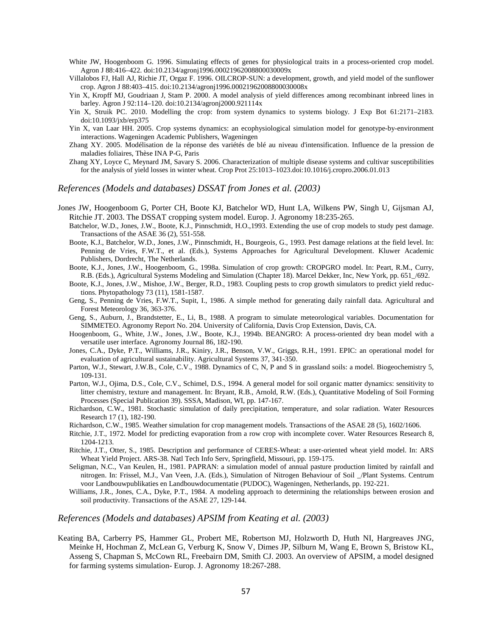- White JW, Hoogenboom G. 1996. Simulating effects of genes for physiological traits in a process-oriented crop model. Agron J 88:416–422. doi:10.2134/agronj1996.00021962008800030009x
- Villalobos FJ, Hall AJ, Richie JT, Orgaz F. 1996. OILCROP-SUN: a development, growth, and yield model of the sunflower crop. Agron J 88:403–415. doi:10.2134/agronj1996.00021962008800030008x
- Yin X, Kropff MJ, Goudriaan J, Stam P. 2000. A model analysis of yield differences among recombinant inbreed lines in barley. Agron J 92:114–120. doi:10.2134/agronj2000.921114x
- Yin X, Struik PC. 2010. Modelling the crop: from system dynamics to systems biology. J Exp Bot 61:2171–2183. doi:10.1093/jxb/erp375
- Yin X, van Laar HH. 2005. Crop systems dynamics: an ecophysiological simulation model for genotype-by-environment interactions. Wageningen Academic Publishers, Wageningen
- Zhang XY. 2005. Modélisation de la réponse des variétés de blé au niveau d'intensification. Influence de la pression de maladies foliaires, Thèse INA P-G, Paris
- Zhang XY, Loyce C, Meynard JM, Savary S. 2006. Characterization of multiple disease systems and cultivar susceptibilities for the analysis of yield losses in winter wheat. Crop Prot 25:1013–1023.doi:10.1016/j.cropro.2006.01.013

#### *References (Models and databases) DSSAT from Jones et al. (2003)*

- <span id="page-58-0"></span>Jones JW, Hoogenboom G, Porter CH, Boote KJ, Batchelor WD, Hunt LA, Wilkens PW, Singh U, Gijsman AJ, Ritchie JT. 2003. The DSSAT cropping system model. Europ. J. Agronomy 18:235-265.
	- Batchelor, W.D., Jones, J.W., Boote, K.J., Pinnschmidt, H.O.,1993. Extending the use of crop models to study pest damage. Transactions of the ASAE 36 (2), 551-558.
	- Boote, K.J., Batchelor, W.D., Jones, J.W., Pinnschmidt, H., Bourgeois, G., 1993. Pest damage relations at the field level. In: Penning de Vries, F.W.T., et al. (Eds.), Systems Approaches for Agricultural Development. Kluwer Academic Publishers, Dordrecht, The Netherlands.
	- Boote, K.J., Jones, J.W., Hoogenboom, G., 1998a. Simulation of crop growth: CROPGRO model. In: Peart, R.M., Curry, R.B. (Eds.), Agricultural Systems Modeling and Simulation (Chapter 18). Marcel Dekker, Inc, New York, pp. 651\_/692.
	- Boote, K.J., Jones, J.W., Mishoe, J.W., Berger, R.D., 1983. Coupling pests to crop growth simulators to predict yield reductions. Phytopathology 73 (11), 1581-1587.
	- Geng, S., Penning de Vries, F.W.T., Supit, I., 1986. A simple method for generating daily rainfall data. Agricultural and Forest Meteorology 36, 363-376.
	- Geng, S., Auburn, J., Brandstetter, E., Li, B., 1988. A program to simulate meteorological variables. Documentation for SIMMETEO. Agronomy Report No. 204. University of California, Davis Crop Extension, Davis, CA.
	- Hoogenboom, G., White, J.W., Jones, J.W., Boote, K.J., 1994b. BEANGRO: A process-oriented dry bean model with a versatile user interface. Agronomy Journal 86, 182-190.
	- Jones, C.A., Dyke, P.T., Williams, J.R., Kiniry, J.R., Benson, V.W., Griggs, R.H., 1991. EPIC: an operational model for evaluation of agricultural sustainability. Agricultural Systems 37, 341-350.
	- Parton, W.J., Stewart, J.W.B., Cole, C.V., 1988. Dynamics of C, N, P and S in grassland soils: a model. Biogeochemistry 5, 109-131.
	- Parton, W.J., Ojima, D.S., Cole, C.V., Schimel, D.S., 1994. A general model for soil organic matter dynamics: sensitivity to litter chemistry, texture and management. In: Bryant, R.B., Arnold, R.W. (Eds.), Quantitative Modeling of Soil Forming Processes (Special Publication 39). SSSA, Madison, WI, pp. 147-167.
	- Richardson, C.W., 1981. Stochastic simulation of daily precipitation, temperature, and solar radiation. Water Resources Research 17 (1), 182-190.
	- Richardson, C.W., 1985. Weather simulation for crop management models. Transactions of the ASAE 28 (5), 1602/1606.
	- Ritchie, J.T., 1972. Model for predicting evaporation from a row crop with incomplete cover. Water Resources Research 8, 1204-1213.
	- Ritchie, J.T., Otter, S., 1985. Description and performance of CERES-Wheat: a user-oriented wheat yield model. In: ARS Wheat Yield Project. ARS-38. Natl Tech Info Serv, Springfield, Missouri, pp. 159-175.
	- Seligman, N.C., Van Keulen, H., 1981. PAPRAN: a simulation model of annual pasture production limited by rainfall and nitrogen. In: Frissel, M.J., Van Veen, J.A. (Eds.), Simulation of Nitrogen Behaviour of Soil \_/Plant Systems. Centrum voor Landbouwpublikaties en Landbouwdocumentatie (PUDOC), Wageningen, Netherlands, pp. 192-221.
	- Williams, J.R., Jones, C.A., Dyke, P.T., 1984. A modeling approach to determining the relationships between erosion and soil productivity. Transactions of the ASAE 27, 129-144.

#### *References (Models and databases) APSIM from Keating et al. (2003)*

<span id="page-58-1"></span>Keating BA, Carberry PS, Hammer GL, Probert ME, Robertson MJ, Holzworth D, Huth NI, Hargreaves JNG, Meinke H, Hochman Z, McLean G, Verburg K, Snow V, Dimes JP, Silburn M, Wang E, Brown S, Bristow KL, Asseng S, Chapman S, McCown RL, Freebairn DM, Smith CJ. 2003. An overview of APSIM, a model designed for farming systems simulation- Europ. J. Agronomy 18:267-288.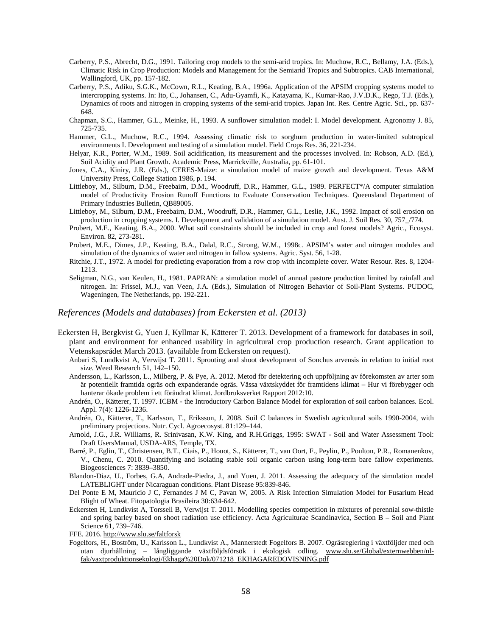- Carberry, P.S., Abrecht, D.G., 1991. Tailoring crop models to the semi-arid tropics. In: Muchow, R.C., Bellamy, J.A. (Eds.), Climatic Risk in Crop Production: Models and Management for the Semiarid Tropics and Subtropics. CAB International, Wallingford, UK, pp. 157-182.
- Carberry, P.S., Adiku, S.G.K., McCown, R.L., Keating, B.A., 1996a. Application of the APSIM cropping systems model to intercropping systems. In: Ito, C., Johansen, C., Adu-Gyamfi, K., Katayama, K., Kumar-Rao, J.V.D.K., Rego, T.J. (Eds.), Dynamics of roots and nitrogen in cropping systems of the semi-arid tropics. Japan Int. Res. Centre Agric. Sci., pp. 637- 648.
- Chapman, S.C., Hammer, G.L., Meinke, H., 1993. A sunflower simulation model: I. Model development. Agronomy J. 85, 725-735.
- Hammer, G.L., Muchow, R.C., 1994. Assessing climatic risk to sorghum production in water-limited subtropical environments I. Development and testing of a simulation model. Field Crops Res. 36, 221-234.
- Helyar, K.R., Porter, W.M., 1989. Soil acidification, its measurement and the processes involved. In: Robson, A.D. (Ed.), Soil Acidity and Plant Growth. Academic Press, Marrickville, Australia, pp. 61-101.
- Jones, C.A., Kiniry, J.R. (Eds.), CERES-Maize: a simulation model of maize growth and development. Texas A&M University Press, College Station 1986, p. 194.
- Littleboy, M., Silburn, D.M., Freebairn, D.M., Woodruff, D.R., Hammer, G.L., 1989. PERFECT\*/A computer simulation model of Productivity Erosion Runoff Functions to Evaluate Conservation Techniques. Queensland Department of Primary Industries Bulletin, QB89005.
- Littleboy, M., Silburn, D.M., Freebairn, D.M., Woodruff, D.R., Hammer, G.L., Leslie, J.K., 1992. Impact of soil erosion on production in cropping systems. I. Development and validation of a simulation model. Aust. J. Soil Res. 30, 757\_/774.
- Probert, M.E., Keating, B.A., 2000. What soil constraints should be included in crop and forest models? Agric., Ecosyst. Environ. 82, 273-281.
- Probert, M.E., Dimes, J.P., Keating, B.A., Dalal, R.C., Strong, W.M., 1998c. APSIM's water and nitrogen modules and simulation of the dynamics of water and nitrogen in fallow systems. Agric. Syst. 56, 1-28.
- Ritchie, J.T., 1972. A model for predicting evaporation from a row crop with incomplete cover. Water Resour. Res. 8, 1204- 1213.
- Seligman, N.G., van Keulen, H., 1981. PAPRAN: a simulation model of annual pasture production limited by rainfall and nitrogen. In: Frissel, M.J., van Veen, J.A. (Eds.), Simulation of Nitrogen Behavior of Soil-Plant Systems. PUDOC, Wageningen, The Netherlands, pp. 192-221.

#### *References (Models and databases) from Eckersten et al. (2013)*

- <span id="page-59-0"></span>Eckersten H, Bergkvist G, Yuen J, Kyllmar K, Kätterer T. 2013. Development of a framework for databases in soil, plant and environment for enhanced usability in agricultural crop production research. Grant application to Vetenskapsrådet March 2013. (available from Eckersten on request).
	- Anbari S, Lundkvist A, Verwijst T. 2011. Sprouting and shoot development of Sonchus arvensis in relation to initial root size. Weed Research 51, 142–150.
	- Andersson, L., Karlsson, L., Milberg, P. & Pye, A. 2012. Metod för detektering och uppföljning av förekomsten av arter som är potentiellt framtida ogräs och expanderande ogräs. Vässa växtskyddet för framtidens klimat – Hur vi förebygger och hanterar ökade problem i ett förändrat klimat. Jordbruksverket Rapport 2012:10.
	- Andrén, O., Kätterer, T. 1997. ICBM the Introductory Carbon Balance Model for exploration of soil carbon balances. Ecol. Appl. 7(4): 1226-1236.
	- Andrén, O., Kätterer, T., Karlsson, T., Eriksson, J. 2008. Soil C balances in Swedish agricultural soils 1990-2004, with preliminary projections. Nutr. Cycl. Agroecosyst. 81:129–144.
	- Arnold, J.G., J.R. Williams, R. Srinivasan, K.W. King, and R.H.Griggs, 1995: SWAT Soil and Water Assessment Tool: Draft UsersManual, USDA-ARS, Temple, TX.
	- Barré, P., Eglin, T., Christensen, B.T., Ciais, P., Houot, S., Kätterer, T., van Oort, F., Peylin, P., Poulton, P.R., Romanenkov, V., Chenu, C. 2010. Quantifying and isolating stable soil organic carbon using long-term bare fallow experiments. Biogeosciences 7: 3839–3850.

Blandon-Diaz, U., Forbes, G.A, Andrade-Piedra, J., and Yuen, J. 2011. Assessing the adequacy of the simulation model LATEBLIGHT under Nicaraguan conditions. Plant Disease 95:839-846.

- Del Ponte E M, Maurício J C, Fernandes J M C, Pavan W, 2005. A Risk Infection Simulation Model for Fusarium Head Blight of Wheat. Fitopatologia Brasileira 30:634-642.
- Eckersten H, Lundkvist A, Torssell B, Verwijst T. 2011. Modelling species competition in mixtures of perennial sow-thistle and spring barley based on shoot radiation use efficiency. Acta Agriculturae Scandinavica, Section B – Soil and Plant Science 61, 739–746.
- FFE. 2016[. http://www.slu.se/faltforsk](http://www.slu.se/faltforsk)
- Fogelfors, H., Boström, U., Karlsson L., Lundkvist A., Mannerstedt Fogelfors B. 2007. Ogräsreglering i växtföljder med och utan djurhållning – långliggande växtföljdsförsök i ekologisk odling. [www.slu.se/Global/externwebben/nl](http://www.slu.se/Global/externwebben/nl-fak/vaxtproduktionsekologi/Ekhaga%20Dok/071218_EKHAGAREDOVISNING.pdf)[fak/vaxtproduktionsekologi/Ekhaga%20Dok/071218\\_EKHAGAREDOVISNING.pdf](http://www.slu.se/Global/externwebben/nl-fak/vaxtproduktionsekologi/Ekhaga%20Dok/071218_EKHAGAREDOVISNING.pdf)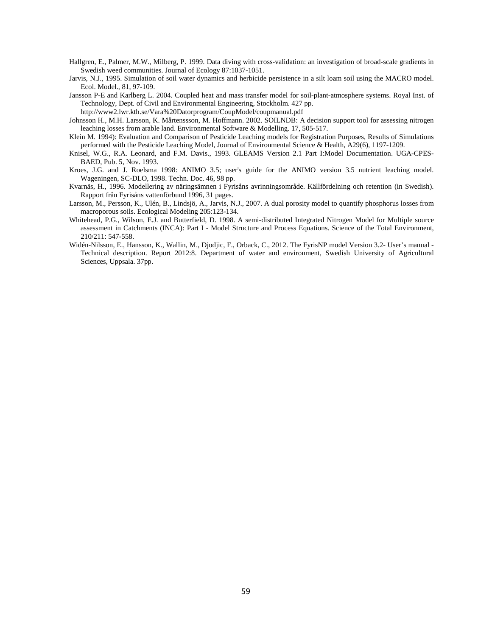- Hallgren, E., Palmer, M.W., Milberg, P. 1999. Data diving with cross-validation: an investigation of broad-scale gradients in Swedish weed communities. Journal of Ecology 87:1037-1051.
- Jarvis, N.J., 1995. Simulation of soil water dynamics and herbicide persistence in a silt loam soil using the MACRO model. Ecol. Model., 81, 97-109.
- Jansson P-E and Karlberg L. 2004. Coupled heat and mass transfer model for soil-plant-atmosphere systems. Royal Inst. of Technology, Dept. of Civil and Environmental Engineering, Stockholm. 427 pp.
	- http://www2.lwr.kth.se/Vara%20Datorprogram/CoupModel/coupmanual.pdf
- Johnsson H., M.H. Larsson, K. Mårtenssson, M. Hoffmann. 2002. SOILNDB: A decision support tool for assessing nitrogen leaching losses from arable land. Environmental Software & Modelling. 17, 505-517.
- Klein M. 1994): Evaluation and Comparison of Pesticide Leaching models for Registration Purposes, Results of Simulations performed with the Pesticide Leaching Model, Journal of Environmental Science & Health, A29(6), 1197-1209.
- Knisel, W.G., R.A. Leonard, and F.M. Davis., 1993. GLEAMS Version 2.1 Part I:Model Documentation. UGA-CPES-BAED, Pub. 5, Nov. 1993.
- Kroes, J.G. and J. Roelsma 1998: ANIMO 3.5; user's guide for the ANIMO version 3.5 nutrient leaching model. Wageningen, SC-DLO, 1998. Techn. Doc. 46, 98 pp.
- Kvarnäs, H., 1996. Modellering av näringsämnen i Fyrisåns avrinningsområde. Källfördelning och retention (in Swedish). Rapport från Fyrisåns vattenförbund 1996, 31 pages.
- Larsson, M., Persson, K., Ulén, B., Lindsjö, A., Jarvis, N.J., 2007. A dual porosity model to quantify phosphorus losses from macroporous soils. Ecological Modeling 205:123-134.
- Whitehead, P.G., Wilson, E.J. and Butterfield, D. 1998. A semi-distributed Integrated Nitrogen Model for Multiple source assessment in Catchments (INCA): Part I - Model Structure and Process Equations. Science of the Total Environment, 210/211: 547-558.
- Widén-Nilsson, E., Hansson, K., Wallin, M., Djodjic, F., Orback, C., 2012. The FyrisNP model Version 3.2- User's manual Technical description. Report 2012:8. Department of water and environment, Swedish University of Agricultural Sciences, Uppsala. 37pp.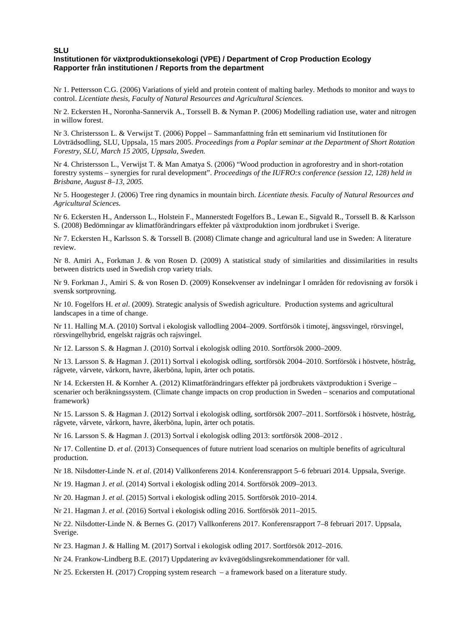#### **SLU Institutionen för växtproduktionsekologi (VPE) / Department of Crop Production Ecology Rapporter från institutionen / Reports from the department**

Nr 1. Pettersson C.G. (2006) Variations of yield and protein content of malting barley. Methods to monitor and ways to control. *Licentiate thesis, Faculty of Natural Resources and Agricultural Sciences.*

Nr 2. Eckersten H., Noronha-Sannervik A., Torssell B. & Nyman P. (2006) Modelling radiation use, water and nitrogen in willow forest.

Nr 3. Christersson L. & Verwijst T. (2006) Poppel – Sammanfattning från ett seminarium vid Institutionen för Lövträdsodling, SLU, Uppsala, 15 mars 2005. *Proceedings from a Poplar seminar at the Department of Short Rotation Forestry, SLU, March 15 2005, Uppsala, Sweden.*

Nr 4. Christersson L., Verwijst T. & Man Amatya S. (2006) "Wood production in agroforestry and in short-rotation forestry systems – synergies for rural development". *Proceedings of the IUFRO:s conference (session 12, 128) held in Brisbane, August 8–13, 2005.*

Nr 5. Hoogesteger J. (2006) Tree ring dynamics in mountain birch. *Licentiate thesis. Faculty of Natural Resources and Agricultural Sciences.*

Nr 6. Eckersten H., Andersson L., Holstein F., Mannerstedt Fogelfors B., Lewan E., Sigvald R., Torssell B. & Karlsson S. (2008) Bedömningar av klimatförändringars effekter på växtproduktion inom jordbruket i Sverige.

Nr 7. Eckersten H., Karlsson S. & Torssell B. (2008) Climate change and agricultural land use in Sweden: A literature review.

Nr 8. Amiri A., Forkman J. & von Rosen D. (2009) A statistical study of similarities and dissimilarities in results between districts used in Swedish crop variety trials.

Nr 9. Forkman J., Amiri S. & von Rosen D. (2009) Konsekvenser av indelningar I områden för redovisning av forsök i svensk sortprovning.

Nr 10. Fogelfors H. *et al*. (2009). Strategic analysis of Swedish agriculture. Production systems and agricultural landscapes in a time of change.

Nr 11. Halling M.A. (2010) Sortval i ekologisk vallodling 2004–2009. Sortförsök i timotej, ängssvingel, rörsvingel, rörsvingelhybrid, engelskt rajgräs och rajsvingel.

Nr 12. Larsson S. & Hagman J. (2010) Sortval i ekologisk odling 2010. Sortförsök 2000–2009.

Nr 13. Larsson S. & Hagman J. (2011) Sortval i ekologisk odling, sortförsök 2004–2010. Sortförsök i höstvete, höstråg, rågvete, vårvete, vårkorn, havre, åkerböna, lupin, ärter och potatis.

Nr 14. Eckersten H. & Kornher A. (2012) Klimatförändringars effekter på jordbrukets växtproduktion i Sverige – scenarier och beräkningssystem. (Climate change impacts on crop production in Sweden – scenarios and computational framework)

Nr 15. Larsson S. & Hagman J. (2012) Sortval i ekologisk odling, sortförsök 2007–2011. Sortförsök i höstvete, höstråg, rågvete, vårvete, vårkorn, havre, åkerböna, lupin, ärter och potatis.

Nr 16. Larsson S. & Hagman J. (2013) Sortval i ekologisk odling 2013: sortförsök 2008–2012 .

Nr 17. Collentine D. *et al*. (2013) Consequences of future nutrient load scenarios on multiple benefits of agricultural production.

Nr 18. Nilsdotter-Linde N. *et al*. (2014) Vallkonferens 2014. Konferensrapport 5–6 februari 2014. Uppsala, Sverige.

Nr 19. Hagman J. *et al*. (2014) Sortval i ekologisk odling 2014. Sortförsök 2009–2013.

Nr 20. Hagman J. *et al*. (2015) Sortval i ekologisk odling 2015. Sortförsök 2010–2014.

Nr 21. Hagman J. *et al*. (2016) Sortval i ekologisk odling 2016. Sortförsök 2011–2015.

Nr 22. Nilsdotter-Linde N. & Bernes G. (2017) Vallkonferens 2017. Konferensrapport 7–8 februari 2017. Uppsala, Sverige.

Nr 23. Hagman J. & Halling M. (2017) Sortval i ekologisk odling 2017. Sortförsök 2012–2016.

Nr 24. Frankow-Lindberg B.E. (2017) Uppdatering av kvävegödslingsrekommendationer för vall.

Nr 25. Eckersten H. (2017) Cropping system research – a framework based on a literature study.